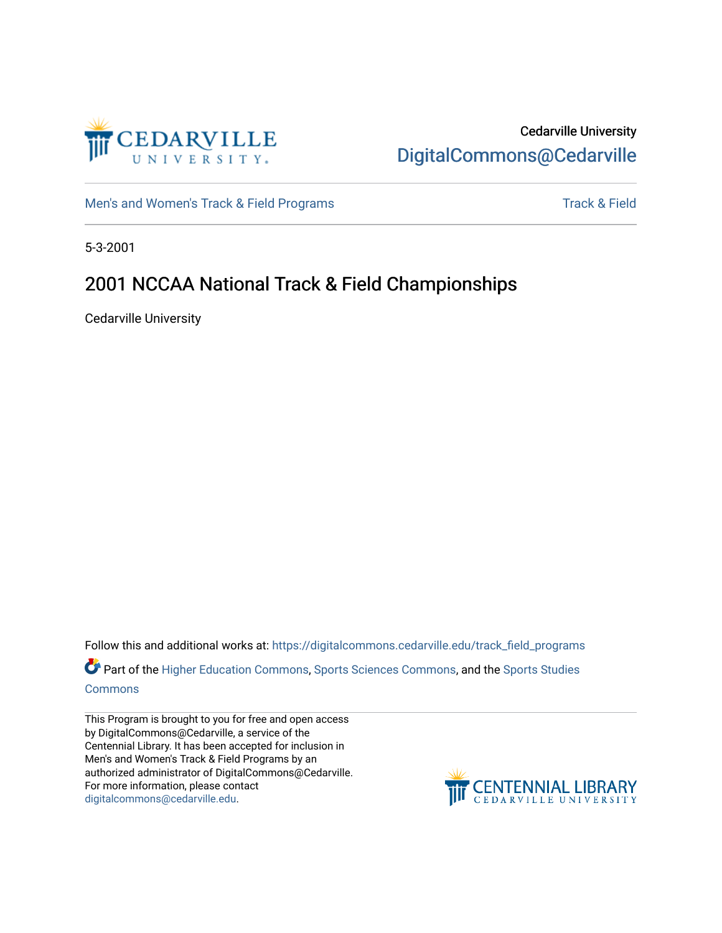

## Cedarville University [DigitalCommons@Cedarville](https://digitalcommons.cedarville.edu/)

[Men's and Women's Track & Field Programs](https://digitalcommons.cedarville.edu/track_field_programs) [Track & Field](https://digitalcommons.cedarville.edu/track_and_field) Structure and Momen's Track & Field

5-3-2001

## 2001 NCCAA National Track & Field Championships

Cedarville University

Follow this and additional works at: [https://digitalcommons.cedarville.edu/track\\_field\\_programs](https://digitalcommons.cedarville.edu/track_field_programs?utm_source=digitalcommons.cedarville.edu%2Ftrack_field_programs%2F41&utm_medium=PDF&utm_campaign=PDFCoverPages)  Part of the [Higher Education Commons,](http://network.bepress.com/hgg/discipline/1245?utm_source=digitalcommons.cedarville.edu%2Ftrack_field_programs%2F41&utm_medium=PDF&utm_campaign=PDFCoverPages) [Sports Sciences Commons,](http://network.bepress.com/hgg/discipline/759?utm_source=digitalcommons.cedarville.edu%2Ftrack_field_programs%2F41&utm_medium=PDF&utm_campaign=PDFCoverPages) and the [Sports Studies](http://network.bepress.com/hgg/discipline/1198?utm_source=digitalcommons.cedarville.edu%2Ftrack_field_programs%2F41&utm_medium=PDF&utm_campaign=PDFCoverPages)  [Commons](http://network.bepress.com/hgg/discipline/1198?utm_source=digitalcommons.cedarville.edu%2Ftrack_field_programs%2F41&utm_medium=PDF&utm_campaign=PDFCoverPages)

This Program is brought to you for free and open access by DigitalCommons@Cedarville, a service of the Centennial Library. It has been accepted for inclusion in Men's and Women's Track & Field Programs by an authorized administrator of DigitalCommons@Cedarville. For more information, please contact [digitalcommons@cedarville.edu](mailto:digitalcommons@cedarville.edu).

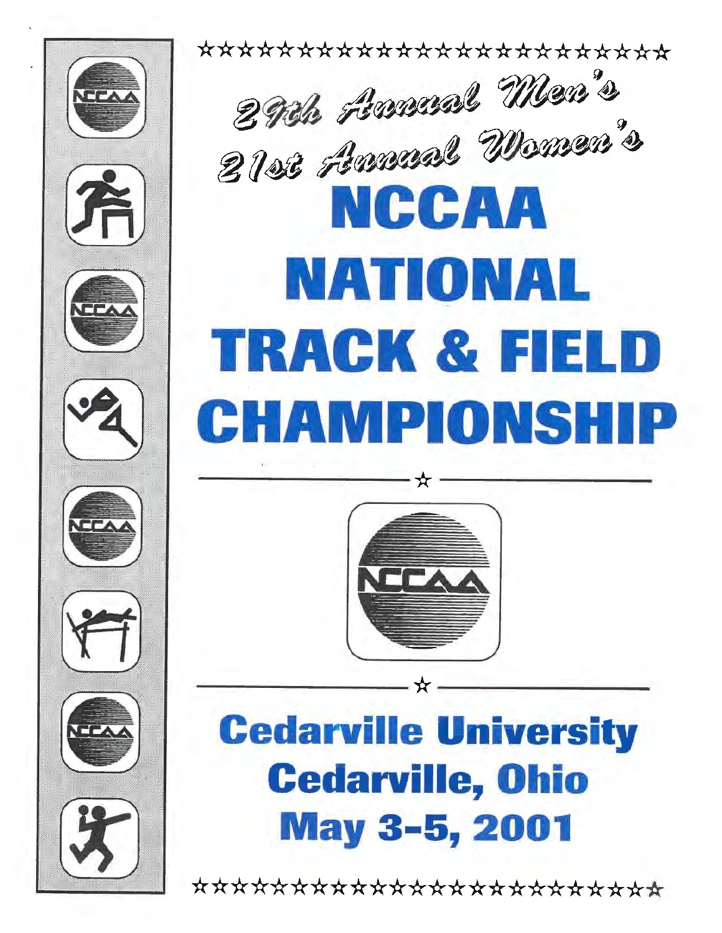













\*\*\*\*\*\*\*\*\*\*\*\*\*\*\*\*\*\*\*\*\* 2 Pok Americal Men's **• 8122 Aman Women** <sup>n</sup>**NCCAA NATIONAL**  · 'i **TRACK** & FIELD ;~ ,. CHAMPIONSHIP  $\overline{\phantom{a}}$ 



\_\_\_ \_

# Cedarville University Cedarville, Ohio May 3-5, 2001

\*\*\*\*\*\*\*\*\*\*\*\*\*\*\*\*\*\*\*\*\*\*\*\*\*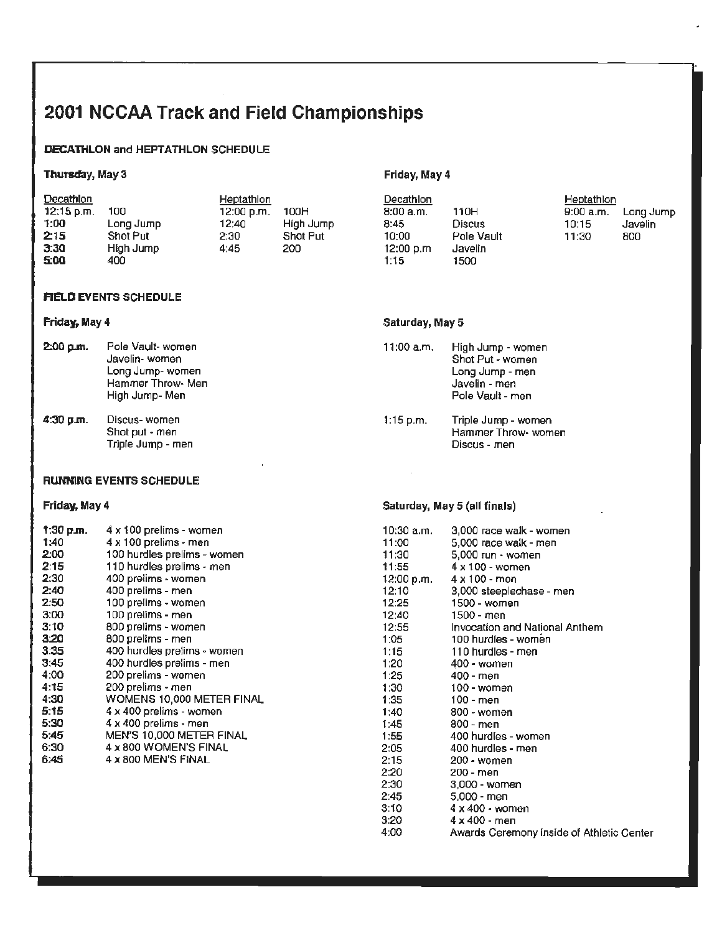## 2001 NCCAA Track and Field Championships

### DECATHLON and HEPTATHLON SCHEDULE

### Thursday, May 3

| <b>Decathlon</b> |           | Heptathlon |           | Decathlon  |            | Heptathlon |           |
|------------------|-----------|------------|-----------|------------|------------|------------|-----------|
| $12:15$ p.m.     | 100       | 12:00 p.m. | 100H      | 8:00a.m.   | 110H       | 9:00 a.m.  | Long Jump |
| 1:00             | Long Jump | 12:40      | High Jump | 8:45       | Discus     | 10:15      | Javelin   |
| 2:15             | Shot Put  | 2:30       | Shot Put  | 10:00      | Pole Vault | 11:30      | 800       |
| 3:30             | High Jump | 4:45       | 200       | 12:00 p.m. | Javelin    |            |           |
| 5:00             | 400       |            |           | 1:15.      | 1500       |            |           |

### **AELD EVENTS SCHEDULE**

### **Friday, May 4**

| $2.00 \,\mathrm{nm}$ . | Pole Vault- women |
|------------------------|-------------------|
|                        | Javelin- women    |
|                        | Long Jump-women   |
|                        | Hammer Throw- Men |
|                        | High Jump-Men     |

**4:30 p.m.** Discus- women Shot put • men Triple Jump - men

### **RUNNING EVENTS SCHEDULE**

### **Friday, May 4**

| 1:30 p.m. | 4 x 100 prelims - women     |
|-----------|-----------------------------|
| 1:40      | 4 x 100 prelims - men       |
| 2:00      | 100 hurdles prelims - women |
| 2:15      | 110 hurdles prelims - men   |
| 2:30      | 400 prelims - women         |
| 2:40      | 400 prelims - men           |
| 2:50      | 100 prefims - women         |
| 3:00      | 100 prelims - men           |
| 3:10      | 800 prelims - women         |
| 3.20      | 800 prelims - men           |
| 3:35      | 400 hurdles prelims - women |
| 3:45      | 400 hurdles prelims - men   |
| 4:00      | 200 prelims - women         |
| 4:15      | 200 prelims - men           |
| 4:30      | WOMENS 10,000 METER FINAL   |
| 5:15      | 4 x 400 prelims - women     |
| 5:30      | 4 x 400 prelims - men       |
| 5:45      | MEN'S 10,000 METER FINAL    |
| 6:30      | 4 x 800 WOMEN'S FINAL       |
| 6:45      | 4 x 800 MEN'S FINAL         |

## Friday, **May 4**

### **Saturday, May 5**

 $\mathcal{L}$ 

- 11 :00 a.m. High Jump women Shot Put - women Long Jump - men Javelin - men Pole Vault - men
- 1 :15 p.m. Triple Jump women Hammer Throw- women Discus- men

### **Saturday, May 5 (all finals)**

| 10:30 a.m. | 3,000 race walk - women                   |
|------------|-------------------------------------------|
| 11:00      | 5,000 race walk - men                     |
| 11:30      | 5,000 run - women                         |
| 11:55      | $4 \times 100$ - women                    |
|            | 12:00 p.m. $4 \times 100 -$ men           |
| 12:10      | 3,000 steeplechase - men                  |
| 12:25      | 1500 - women                              |
| 12:40      | 1500 - men                                |
| 12:55      | Invocation and National Anthem            |
| 1:05       | 100 hurdles - women                       |
| 1:15       | 110 hurdles - men                         |
| 1:20       | 400 - women                               |
| 1:25       | 400 - men                                 |
| 1:30       | 100 - women                               |
| 1:35       | 100 - men                                 |
| 1:40       | $800 \cdot$ women                         |
| 1:45       | 800 - men                                 |
| 1:55       | 400 hurdles - women                       |
| 2:05       | 400 hurdles - men                         |
| 2:15       | 200 - women                               |
| 2:20       | 200 - men                                 |
| 2:30       | 3,000 - women                             |
| 2:45       | 5,000 - men                               |
| 3:10       | 4 x 400 - women                           |
| 3:20       | $4 \times 400$ - men                      |
| 4:00       | Awards Ceremony inside of Athletic Center |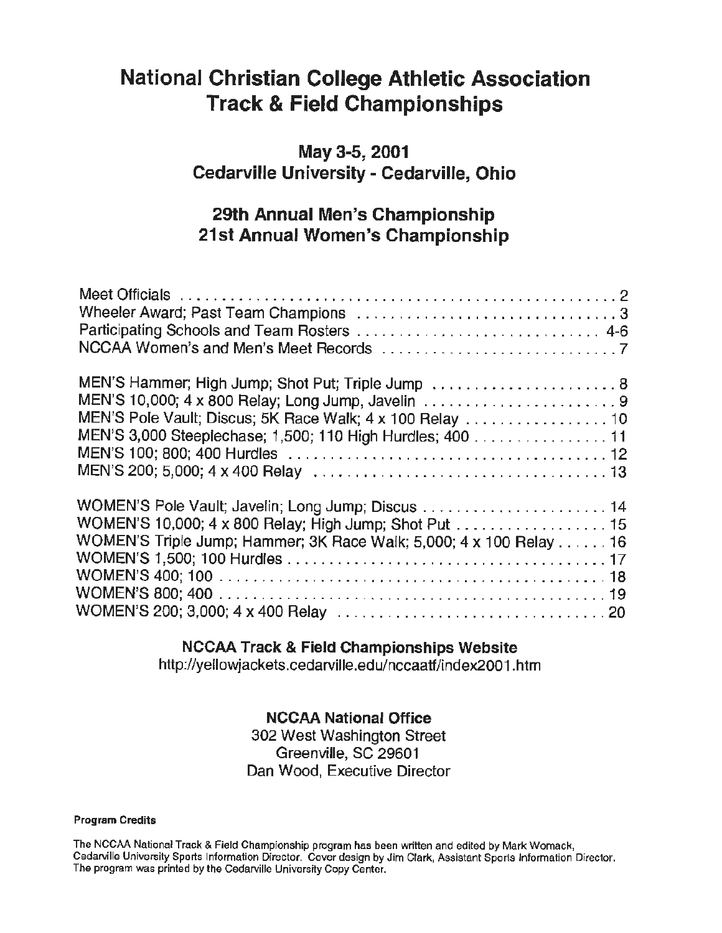## **National Christian College Athletic Association Track** & **Field Championships**

## **May 3-5, 2001 Cedarville University- Cedarville, Ohio**

## **29th Annual Men's Championship 21st Annual Women's Championship**

| MEN'S Hammer; High Jump; Shot Put; Triple Jump  8<br>MEN'S Pole Vault; Discus; 5K Race Walk; 4 x 100 Relay  10<br>MEN'S 3,000 Steeplechase; 1,500; 110 High Hurdles; 400 11 |  |
|-----------------------------------------------------------------------------------------------------------------------------------------------------------------------------|--|
| WOMEN'S 10,000; 4 x 800 Relay; High Jump; Shot Put 15<br>WOMEN'S Triple Jump; Hammer; 3K Race Walk; 5,000; 4 x 100 Relay 16                                                 |  |

## **NCCAA Track** & **Field Championships Website**

http://yellowjackets.cedarville.edu/nccaatf/index2001.htm

## **NCCAA National Office**

302 West Washington Street Greenville, SC 29601 Dan Wood, Executive Director

### **Program Credits**

The NCCAA National Track & Field Championship program has been written and edited by Mark Womack, Cedarville University Sports Information Director. Cover design by Jim Clark, Assistant Sports Information Director. The program was printed by the Cedarville University Copy Center.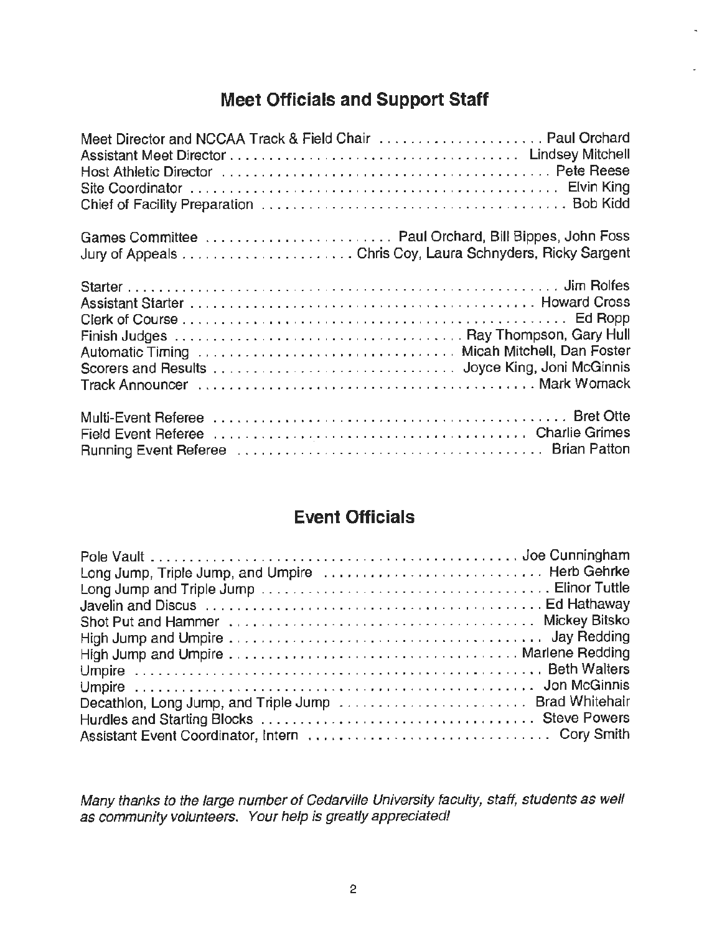## **Meet Officials and Support Staff**

| Meet Director and NCCAA Track & Field Chair  Paul Orchard<br>Host Athletic Director (and all and all and all and all and all and all and all and all and all and all and a |  |
|----------------------------------------------------------------------------------------------------------------------------------------------------------------------------|--|
| Games Committee  Paul Orchard, Bill Bippes, John Foss                                                                                                                      |  |
| Automatic Timing Washerman Automatic Automatic Automatic Timing Washerman Automatic Timing                                                                                 |  |
|                                                                                                                                                                            |  |

## **Event Officials**

| Decathlon, Long Jump, and Triple Jump  Brad Whitehair |  |
|-------------------------------------------------------|--|
|                                                       |  |
|                                                       |  |

Many thanks to the large number of Cedarville University faculty, staff, students as well as community volunteers. Your help is greatly appreciated!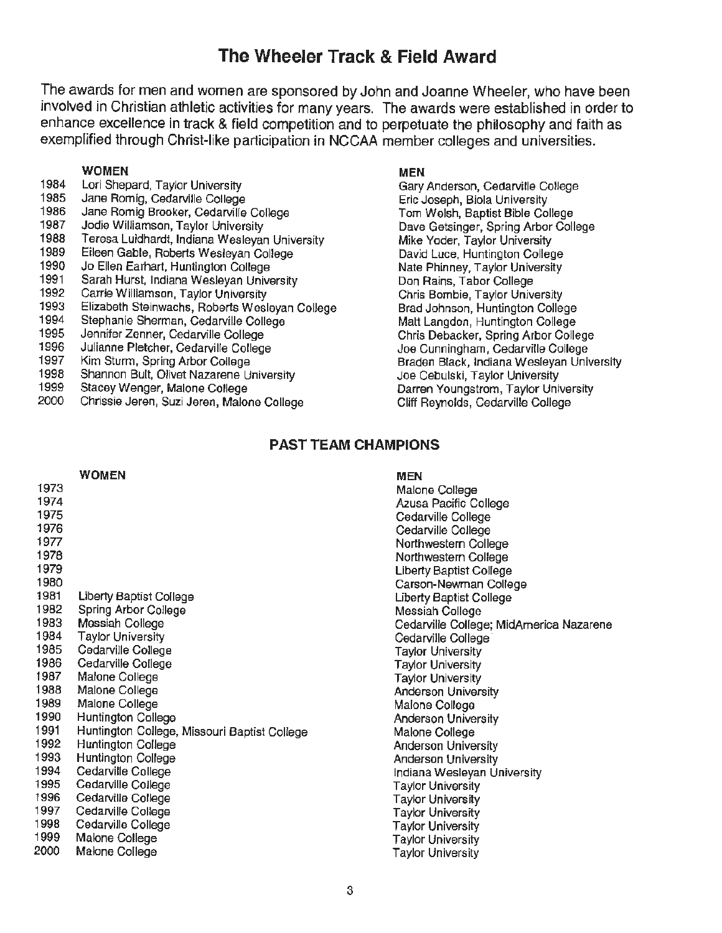## **The Wheeler Track** & **Field Award**

The awards for men and women are sponsored by John and Joanne Wheeler, who have been involved in Christian athletic activities for many years. The awards were established in order to enhance excellence in track & field competition and to perpetuate the philosophy and faith as exemplified through Christ-like participation in NCCAA member colleges and universities.

### **WOMEN**

- 1984 Lori Shepard, Taylor University
- 1985 Jane Romig, Cedarville College
- 1986 Jane Romig Brooker, Cedarville College
- 1987 Jodie Williamson, Taylor University
- 1988 Teresa Luidhardt, Indiana Wesleyan University
- 1989 Eileen Gable, Roberts Wesleyan College
- 1990 Jo Ellen Earhart, Huntington College
- 1991 Sarah Hurst, Indiana Wesleyan University
- 1992 Carrie Williamson, Taylor University
- 1993 Elizabeth Steinwachs, Roberts Wesleyan College
- 1994 Stephanie Sherman, Cedarville College
- 1995 Jennifer Zenner, Cedarville College
- 1996 Julianne Pletcher, Cedarville College
- 1997 Kim Sturm, Spring Arbor College
- 1998 Shannon Bult, Olivet Nazarene University
- 1999 Stacey Wenger, Malone College
- 2000 Chrissie Jeren, Suzi Jaren, Malone College

### **MEN**

Gary Anderson, Cedarville College Eric Joseph, Biola University Tom Welsh, Baptist Bible College Dave Getsinger, Spring Arbor College Mike Yoder, Taylor University David Luce, Huntington College Nate Phinney, Taylor University Don Rains, Tabor College Chris Bambie, Taylor University Brad Johnson, Huntington College Matt Langdon, Huntington College Chris Debacker, Spring Arbor College Joe Cunningham, Cedarville College Braden Black, Indiana Wesleyan University Joe Cebulski, Taylor University Darren Youngstrom, Taylor University Cliff Reynolds, Cedarville College

### **PAST TEAM CHAMPIONS**

|      | <b>WOMEN</b>                                 | <b>MEN</b>                              |
|------|----------------------------------------------|-----------------------------------------|
| 1973 |                                              | Malone College                          |
| 1974 |                                              | Azusa Pacific College                   |
| 1975 |                                              | Cedarville College                      |
| 1976 |                                              | Cedarville College                      |
| 1977 |                                              | Northwestern College                    |
| 1978 |                                              | Northwestern College                    |
| 1979 |                                              | <b>Liberty Baptist College</b>          |
| 1980 |                                              | Carson-Newman College                   |
| 1981 | Liberty Baptist College                      | Liberty Baptist College                 |
| 1982 | Spring Arbor College                         | Messiah College                         |
| 1983 | Messiah College                              | Cedarville College; MidAmerica Nazarene |
| 1984 | <b>Taylor University</b>                     | Cedarville College                      |
| 1985 | Cedarville College                           | Taylor University                       |
| 1986 | Cedarville College                           | <b>Taylor University</b>                |
| 1987 | Malone College                               | <b>Taylor University</b>                |
| 1988 | Malone College                               | <b>Anderson University</b>              |
| 1989 | Malone College                               | Malone College                          |
| 1990 | Huntington College                           | <b>Anderson University</b>              |
| 1991 | Huntington College, Missouri Baptist College | Malone College                          |
| 1992 | <b>Huntington College</b>                    | <b>Anderson University</b>              |
| 1993 | Huntington College                           | <b>Anderson University</b>              |
| 1994 | Cedarville College                           | Indiana Wesleyan University             |
| 1995 | Cedarville College                           | <b>Taylor University</b>                |
| 1996 | Cedarville College                           | <b>Taylor University</b>                |
| 1997 | Cedarville College                           | <b>Taylor University</b>                |
| 1998 | Cedarville College                           | Taylor University                       |
| 1999 | Malone College                               | <b>Taylor University</b>                |
| 2000 | Malone College                               | Taylor University                       |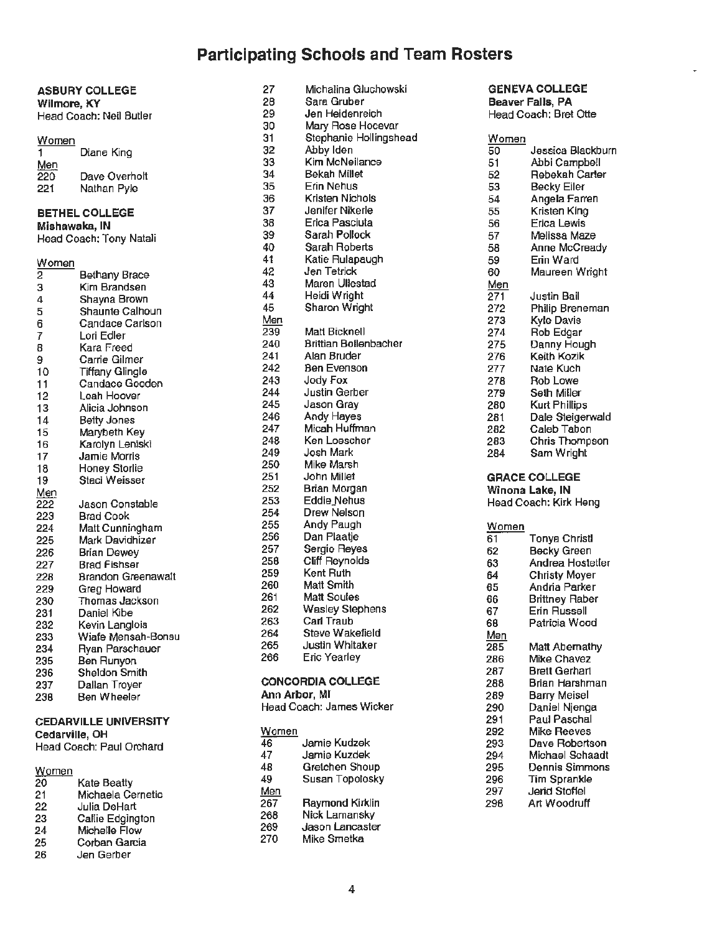## **Participating Schools** and Team **Rosters**

|                          | <b>ASBURY COLLEGE</b>        | 27  | MICHAILE GILCHOWSKI          |            | GENEVA COLLEGE          |
|--------------------------|------------------------------|-----|------------------------------|------------|-------------------------|
|                          | Wilmore, KY                  | 28  | Sara Gruber                  |            | <b>Beaver Falls, PA</b> |
|                          | Head Coach: Neil Butler      | 29  | Jen Heidenreich              |            | Head Coach: Bret Otte   |
|                          |                              | 30  | Mary Rose Hocevar            |            |                         |
| Women                    |                              | 31  | Stephanie Hollingshead       | Women      |                         |
| $\overline{1}$           | Diane King                   | 32  | Abby Iden                    | 50         | Jessica Blackburn       |
| Men                      |                              | 33  | Kim McNeilance               | 51         | Abbi Campbell           |
| $\frac{1}{220}$          | Dave Overholt                | 34  | Bekah Millet                 | 52         | <b>Rebekah Carter</b>   |
| 221                      | Nathan Pyle                  | 35  | Erin Nehus                   | 53         | Becky Eiler             |
|                          |                              | 36  | Kristen Nichols              | 54         | Angela Farren           |
|                          |                              | 37  | Jenifer Nikerle              | 55         | Kristen King            |
|                          | <b>BETHEL COLLEGE</b>        | 38  | Erica Pasciuta               | 56         | <b>Erica Lewis</b>      |
|                          | Mishawaka, IN                | 39  | Sarah Pollock                | 57         | Melissa Maze            |
|                          | Head Coach: Tony Natali      | 40  | <b>Sarah Roberts</b>         | 58         | Anne McCready           |
|                          |                              | 41  | Katie Rulapaugh              | 59         | Erin Ward               |
| $\frac{\text{Women}}{2}$ |                              | 42  | Jen Tetrick                  | 60         |                         |
|                          | Bethany Brace                | 43  | Maren Ullestad               |            | Maureen Wright          |
| з                        | Kim Brandsen                 | 44  |                              | Men        |                         |
| 4                        | Shayna Brown                 | 45  | Heidi Wright                 | 271        | Justin Bail             |
| 5                        | Shaunte Calhoun              |     | Sharon Wright                | 272        | Philip Breneman         |
| 6                        | Candace Carlson              | Men |                              | 273        | Kyle Davis              |
| 7                        | Lori Edler                   | 239 | Matt Bicknell                | 274        | Rob Edgar               |
| 8                        | Kara Freed                   | 240 | <b>Brittian Bollenbacher</b> | 275        | Danny Hough             |
| 9                        | Carrie Gilmer                | 241 | Alan Bruder                  | 276        | Keith Kozik             |
| 10                       | <b>Tiffany Glingle</b>       | 242 | Ben Evenson                  | 277        | Nate Kuch               |
| 11                       | Candace Gooden               | 243 | Jody Fox                     | 278        | Rob Lowe                |
| 12                       | Leah Hoover                  | 244 | Justin Gerber                | 279        | Seth Miller             |
| 13                       | Alicia Johnson               | 245 | Jason Gray                   | 280        | <b>Kurt Phillips</b>    |
| 14                       | <b>Betty Jones</b>           | 246 | Andy Hayes                   | 281        | Dale Steigerwald        |
| 15                       | Marybeth Key                 | 247 | Micah Huffman                | 282        | Caleb Tabon             |
| 16                       | Karolyn Leniski              | 248 | Ken Loescher                 | 283        | Chris Thompson          |
| 17                       | Jamie Morris                 | 249 | Josh Mark                    | 284        | Sam Wright              |
| 18                       | Honey Storlie                | 250 | Mike Marsh                   |            |                         |
| 19                       | Staci Weisser                | 251 | John Millet                  |            | <b>GRACE COLLEGE</b>    |
|                          |                              | 252 | Brian Morgan                 |            | Winona Lake, IN         |
| Men<br>222               | Jason Constable              | 253 | Eddie Nehus                  |            | Head Coach: Kirk Heng   |
| 223                      | <b>Brad Cook</b>             | 254 | Drew Nelson                  |            |                         |
| 224                      | Matt Cunningham              | 255 | Andy Paugh                   | Women      |                         |
| 225                      | Mark Davidhizer              | 256 | Dan Plaatje                  | 61         | <b>Tonya Christl</b>    |
| 226                      | <b>Brian Dewey</b>           | 257 | Sergio Reyes                 | 62         | <b>Becky Green</b>      |
| 227                      | <b>Brad Fishser</b>          | 258 | Cliff Reynolds               | 63         | Andrea Hostetler        |
| 228                      | <b>Brandon Greenawalt</b>    | 259 | Kent Ruth                    | 64         | <b>Christy Moyer</b>    |
| 229                      | Greg Howard                  | 260 | Matt Smith                   | 65         | Andria Parker           |
| 230                      | Thomas Jackson               | 261 | <b>Matt Soules</b>           | 66         | <b>Brittney Raber</b>   |
| 231                      | Daniel Kibe                  | 262 | <b>Wasley Stephens</b>       | 67         | Erin Russell            |
| 232                      | Kevin Langlois               | 263 | Carl Traub                   | 68         | Patricia Wood           |
| 233                      | Wiafe Mensah-Bonsu           | 264 | Steve Wakefield              | <u>Men</u> |                         |
| 234                      | Ryan Parschauer              | 265 | Justin Whitaker              | 285        | Matt Abernathy          |
| 235                      | Ben Runyon                   | 266 | <b>Eric Yearley</b>          | 286        | Mike Chavez             |
| 236                      | Sheldon Smith                |     |                              | 287        | <b>Brett Gerhart</b>    |
| 237                      | Dallan Troyer                |     | <b>CONCORDIA COLLEGE</b>     | 288        | Brian Harshman          |
| 236                      | Ben Wheeler                  |     | Ann Arbor, MI                | 289        | <b>Barry Meisel</b>     |
|                          |                              |     | Head Coach: James Wicker     | 290        | Daniel Njenga           |
|                          | <b>CEDARVILLE UNIVERSITY</b> |     |                              | 291        | Paul Paschal            |
|                          |                              |     |                              |            |                         |

| ZV. | Kate Beatty       | $\sim$     | _______                                         | --- |               |
|-----|-------------------|------------|-------------------------------------------------|-----|---------------|
| 21  | Michaela Cernetic | <u>Men</u> |                                                 | 297 | Jerid Stoffel |
| 22  | Julia DeHart      | 267        | <b>Raymond Kirklin</b>                          | 298 | Art Woodruf   |
| 23  | Callie Edgington  | 268        | Nick Lamansky<br>Jason Lancaster<br>Mike Smetka |     |               |
| 24  | Michelle Flow     | 269        |                                                 |     |               |
| 25  | Corban Garcia     | 270        |                                                 |     |               |
| 26  | Jen Gerber        |            |                                                 |     |               |

| 27<br><b>ASBURY COLLEGE</b>   |                                              | Michalina Gluchowski | <b>GENEVA COLLEGE</b>        |       |                         |
|-------------------------------|----------------------------------------------|----------------------|------------------------------|-------|-------------------------|
| Wilmore, KY                   |                                              | 28                   | Sara Gruber                  |       | <b>Beaver Falls, PA</b> |
| 29<br>Head Coach: Neil Butler |                                              |                      | Jen Heidenreich              |       | Head Coach: Bret Otte   |
|                               |                                              | 30                   | Mary Rose Hocevar            |       |                         |
| Nomen                         |                                              | 31                   | Stephanie Hollingshead       | Women |                         |
| 1.                            | Diane King                                   | 32                   | Abby Iden                    | 50    | Jessica Blackbu         |
| Men                           |                                              | 33                   | Kim McNeilance               | 51    | Abbi Campbell           |
| 220                           | Dave Overholt                                | 34                   | Bekah Millet                 | 52    | Rebekah Carter          |
| 221                           | Nathan Pyle                                  | 35                   | Erin Nehus                   | 53    | Becky Eiler             |
|                               |                                              | 36                   | Kristen Nichols              | 54    | Angela Farren           |
|                               | <b>BETHEL COLLEGE</b>                        | 37                   | Jenifer Nikerle              | 55    | Kristen King            |
|                               | Mishawaka, IN                                | 38                   | Erica Pasciuta               | 56    | Erica Lewis             |
|                               | Head Coach: Tony Natali                      | 39                   | Sarah Pollock                | 57    | Melissa Maze            |
|                               |                                              | 40                   | Sarah Roberts                | 58    | Anne McCready           |
| Nomen                         |                                              | 41                   | Katie Rulapaugh              | 59    | Erin Ward               |
|                               | <b>Bethany Brace</b>                         | 42                   | Jen Tetrick                  | 60    | Maureen Wright          |
| 3                             | Kim Brandsen                                 | 43                   | Maren Ullestad               | Men   |                         |
| 1                             | Shayna Brown                                 | 44                   | Heidi Wright                 | 271   | Justin Bail             |
|                               | Shaunte Calhoun                              | 45                   | Sharon Wright                | 272   | <b>Philip Breneman</b>  |
| 3                             | Candace Carlson                              | Men                  |                              | 273   | Kyle Davis              |
|                               | Lori Edler                                   | 239                  | Matt Bicknell                | 274   | Rob Edgar               |
| 3                             | Kara Freed                                   | 240                  | <b>Brittian Bollenbacher</b> | 275   | Danny Hough             |
| g                             | Carrie Gilmer                                | 241                  | Alan Bruder                  | 276   | Keith Kozik             |
| 10                            | <b>Tiffany Glingle</b>                       | 242                  | Ben Evenson                  | 277   | Nate Kuch               |
| 11                            | Candace Gooden                               | 243                  | Jody Fox                     | 278   | Rob Lowe                |
| 12                            | Leah Hoover                                  | 244                  | Justin Gerber                | 279   | Seth Miller             |
| 13                            | Alicia Johnson                               | 245                  | Jason Gray                   | 280   | <b>Kurt Phillips</b>    |
| 14                            | <b>Betty Jones</b>                           | 246                  | Andy Hayes                   | 281   | Dale Steigerwald        |
| 15                            | Marybeth Key                                 | 247                  | Micah Huffman                | 282   | Caleb Tabon             |
| 16                            | Karolyn Leniski                              | 248                  | Ken Loescher                 | 283   | Chris Thompson          |
| 17                            | Jamie Morris                                 | 249                  | Josh Mark                    | 284   | Sam Wright              |
| 18                            | Honey Storlie                                | 250                  | Mike Marsh                   |       |                         |
| 19                            | Staci Weisser                                | 251                  | John Millet                  |       | <b>GRACE COLLEGE</b>    |
| vlen                          |                                              | 252                  | Brian Morgan                 |       | Winona Lake, IN         |
| $\overline{222}$              | Jason Constable                              | 253                  | Eddie Nehus                  |       | Head Coach: Kirk Heng   |
| 223                           | Brad Cook                                    | 254                  | Drew Nelson                  |       |                         |
| 224                           | Matt Cunningham                              | 255                  | Andy Paugh                   | Women |                         |
| 25                            | Mark Davidhizer                              | 256                  | Dan Plaatje                  | 61    | <b>Tonya Christl</b>    |
| 28                            | Brian Dewey                                  | 257                  | Sergio Reyes                 | 62    | Becky Green             |
| 227                           | <b>Brad Fishser</b>                          | 258                  | Cliff Reynolds               | 63    | Andrea Hostetler        |
| 228                           | <b>Brandon Greenawalt</b>                    | 259                  | Kent Ruth                    | 64    | <b>Christy Mover</b>    |
| 29                            | Greg Howard                                  | 260                  | Matt Smith                   | 65    | Andria Parker           |
| 230                           | Thomas Jackson                               | 261                  | <b>Matt Soules</b>           | 66    | <b>Brittney Raber</b>   |
| 231                           | Daniel Kibe                                  | 262                  | <b>Wasley Stephens</b>       | 67    | Erin Russell            |
| 232                           | Kevin Langlois                               | 263                  | Carl Traub                   | 68    | Patricia Wood           |
| 233                           |                                              | 264                  | Steve Wakefield              | Men   |                         |
| 234                           | Wiafe Mensah-Bonsu<br><b>Ryan Parschauer</b> | 265                  | Justin Whitaker              | 285   | Matt Abernathy          |
| :35                           | Ben Runyon                                   | 266                  | Eric Yearley                 | 286   | Mike Chavez             |
| 96                            | Sheldon Smith                                |                      |                              | 287   | <b>Brett Gerhart</b>    |
| דרי                           | Dallan Trover                                |                      | <b>CONCORDIA COLLEGE</b>     | 288   | Brian Harshman.         |
|                               |                                              |                      |                              |       |                         |

### **Cedarville, OH** Women 292<br> **Cedarville, OH** 292<br>
Head Coach: Paul Omhard 46 Jamie Kudzek 293 Head Coach: Paul Orchard 46 Jamie Kudzek 293 Dave Robertson 47 Jamie Kuzdek 294 Michael Schaadter<br>48 Michael Schaup 294 Michael Schaadter Women **48** Gretchen Shoup 295 Dennis Simmons 20 Kate Beatty **296 Tim Sprankle** 49 Susan Topolosky 296 Tim Sprankle 1997 Jerid Stoffel<br>267 Raymond Kirklin 298 Art Woodruff<br>268 Nick Lamansky 268 Nick Lamansky<br>269 Jason Lancaste 269 Jason Lancaster<br>270 Mike Smetka Mike Smetka

| 110111011     |                       |
|---------------|-----------------------|
| 50            | Jessica Blackburr     |
| 51            | Abbi Campbell         |
| 52            | <b>Rebekah Carter</b> |
| 53            | <b>Becky Eiler</b>    |
| 54            | Angela Farren         |
| 55            | Kristen King          |
| 56            | Erica Lewis           |
| 57            | Melissa Maze          |
| 58            | Anne McCready         |
| 59            | Erin Ward             |
| 60            | Maureen Wright        |
| <u>Men</u>    |                       |
| 271           | Justin Bail           |
| 272           | Philip Breneman       |
| 273           | Kyle Davis            |
| 274           | Rob Edgar             |
| 275           | Danny Hough           |
| 276           | Keith Kozik           |
| 277           | Nate Kuch             |
| 278           | Rob Lowe              |
| 279           | Seth Miller           |
| 280           | <b>Kurt Phillips</b>  |
| 281           | Dale Steigerwald      |
| 282           | Caleb Tabon           |
| 283           | Chris Thompson        |
| 284           | Sam Wright            |
|               | <b>GRACE COLLEGE</b>  |
|               | Winona Lake, IN       |
|               | Head Coach: Kirk Heng |
| <u> Momen</u> |                       |
| 51            | <b>Tonya Christl</b>  |
| 52            | <b>Becky Green</b>    |
| 53            | Andrea Hostetler      |
| 54            | <b>Christy Moyer</b>  |
| 35            | Andria Parker         |
| 6             | <b>Brittney Raber</b> |
| 37            | Erin Russell          |
| 58            | Patricia Wood         |
| Men           |                       |

| ıη |                      |
|----|----------------------|
| 5  | Matt Abernathy       |
| 6  | Mike Chavez          |
| 7  | <b>Brett Gerhart</b> |
| B  | Brian Harshmar       |
| 9  | Barry Meisel         |
| D  | Daniel Njenga        |
| 1  | Paul Paschal         |
| 2  | Mike Reeves          |
| 3  | Dave Robertson       |
| 4  | Michael Schaad       |
| 5  | Dennis Simmon        |
| s  | <b>Tim Sprankle</b>  |
| 7  | Jerid Stoffel        |
| ä  | Art Woodruff         |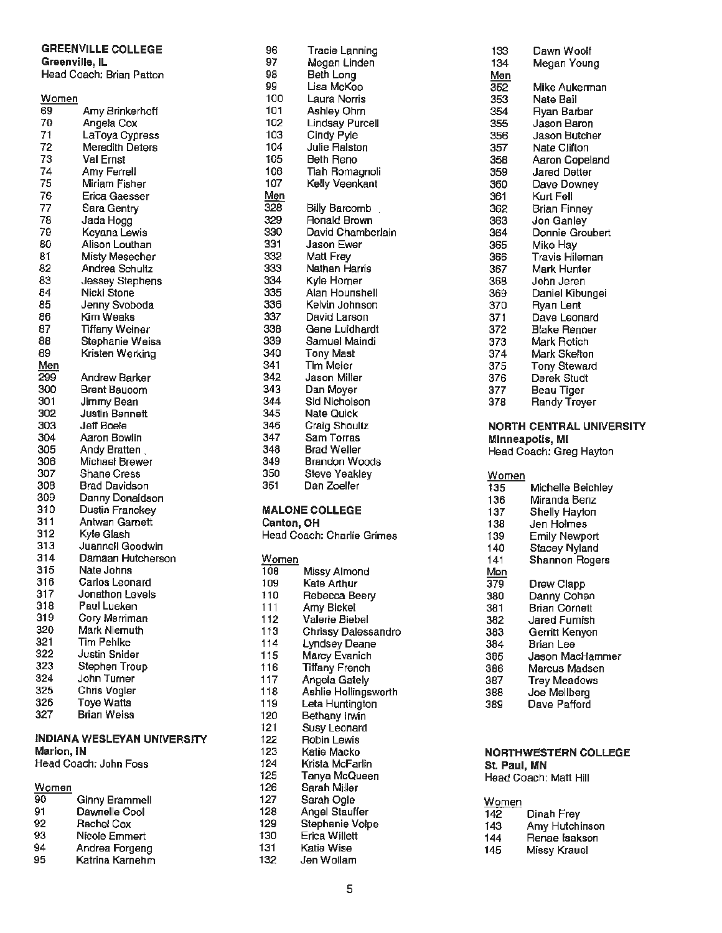## **GREENVILLE COLLEGE**

**Greenville, IL** Head Coach: Brian Patton

|       |                        |              |                            | ุงษย  | יישייייערערי עמויי              |
|-------|------------------------|--------------|----------------------------|-------|---------------------------------|
| Women |                        | 100          | Laura Norris               | 353   | Nate Bail                       |
| 69    | Amy Brinkerhoff        | 101          | Ashley Ohrn                | 354   | Ryan Barbar                     |
| 70    | Angela Cox             | 102          | <b>Lindsay Purcell</b>     | 355   | Jason Baron                     |
| 71    | LaToya Cypress         | 103          | Cindy Pyle                 | 356   | Jason Butcher                   |
| 72    | <b>Meredith Deters</b> | 104          | Julie Ralston              | 357   | Nate Clifton                    |
| 73    | Val Ernst              | 105          | Beth Reno                  | 358   | Aaron Copeland                  |
| 74    | Amy Ferrell            | 106          | Tiah Romagnoli             | 359   | <b>Jared Detter</b>             |
| 75    | Miriam Fisher          | 107          | Kelly Veenkant             | 360   | Dave Downey                     |
| 76    | Erica Gaesser          | Men          |                            | 361   | Kurt Fell                       |
| 77    | Sara Gentry            | 328          | <b>Billy Barcomb</b>       | 362   | <b>Brian Finney</b>             |
| 78    | Jada Hogg              | 329          | <b>Ronald Brown</b>        | 363   | Jon Ganley                      |
| 79    | Keyana Lewis           | 330          | David Chamberlain          | 364   | Donnie Groubert                 |
| 80    | Alison Louthan         | 331          | Jason Ewer                 | 365   | Mike Hay                        |
| 81    | Misty Mesecher         | 332          | Matt Frey                  | 366   | <b>Travis Hileman</b>           |
| 82    | Andrea Schultz         | 333          | Nathan Harris              | 367   | Mark Hunter                     |
| 83    | Jessey Stephens        | 334          | Kyle Horner                | 368   | John Jeren                      |
| 84    | Nicki Stone            | 335          | Alan Hounshell             | 369   | Daniel Kibungei                 |
| 85    | Jenny Svoboda          | 336          | Kelvin Johnson             | 370   | Ryan Lent                       |
| 86    | Kim Weaks              | 337          | David Larson               | 371   | Dave Leonard                    |
| 87    | <b>Tiffany Weiner</b>  | 338          | Gene Luidhardt             | 372   | Blake Renner                    |
| 86    | Stephanie Weiss        | 339          | Samuel Maindi              | 373   | Mark Rotich                     |
| 89    | Kristen Werking        | 340          | <b>Tony Mast</b>           | 374   | Mark Skelton                    |
| Men   |                        | 341          | Tim Meier                  | 375   | <b>Tony Steward</b>             |
| 299   | <b>Andrew Barker</b>   | 342          | Jason Miller               | 376   | Derek Studt                     |
| 300   | <b>Brent Baucom</b>    | 343          | Dan Moyer                  | 377   | Beau Tiger                      |
| 301   | Jimmy Bean             | 344          | Sid Nicholson              | 378   | Randy Troyer                    |
| 302   | <b>Justin Bennett</b>  | 345          | <b>Nate Quick</b>          |       |                                 |
|       |                        |              | Craig Shoultz              |       | <b>NORTH CENTRAL UNIVERSITY</b> |
|       |                        |              |                            |       |                                 |
| 303   | Jeff Boele             | 346          |                            |       |                                 |
| 304   | Aaron Bowlin           | 347          | Sam Torras                 |       | Minneapolis, MI                 |
| 305   | Andy Bratten           | 348          | <b>Brad Weller</b>         |       | Head Coach: Greg Hayton         |
| 306   | Michael Brewer         | 349          | <b>Brandon Woods</b>       |       |                                 |
| 307   | Shane Cress            | 350          | Steve Yeakley              | Women |                                 |
| 308   | <b>Brad Davidson</b>   | 351          | Dan Zoeller                | 135   | Michelle Beichley               |
| 309   | Danny Donaldson        |              |                            | 136   | Miranda Benz                    |
| 310   | Dustin Franckey        |              | <b>MALONE COLLEGE</b>      | 137   | Shelly Hayton                   |
| 311   | Antwan Garnett         | Canton, OH   |                            | 138   | Jen Holmes                      |
| 312   | Kyle Glash             |              | Head Coach: Charlie Grimes | 139   | <b>Emily Newport</b>            |
| 313   | Juannell Goodwin       |              |                            | 140   | <b>Stacey Nyland</b>            |
| 314   | Damaan Hutcherson      | Women        |                            | 141   | <b>Shannon Rogers</b>           |
| 315   | Nate Johns             | 108          | Missy Almond               | Men   |                                 |
| 316   | Carlos Leonard         | 109          | Kate Arthur                | 379   | <b>Drew Clapp</b>               |
| 317   | Jonathon Levels        | 110          | Rebecca Beery              | 380   | Danny Cohen                     |
| 318   | Paul Lueken            | 111          | Amy Bickel                 | 381   | <b>Brian Cornett</b>            |
| 319   | Cory Merriman          | 112          | Valerie Biebel             | 382   | Jared Furnish                   |
| 320   | Mark Niemuth           | 113          | Chrissy Dalessandro        | 383   | Gerritt Kenyon                  |
| 321   | Tim Pehlke             | 114          | <b>Lyndsey Deane</b>       | 384   | <b>Brian Lee</b>                |
| 322   | Justin Snider          | 115          | Marcy Evanich              | 385   | Jason MacHammer                 |
| 323   | Stephen Troup          | 116          | <b>Tiffany French</b>      | 386   | Marcus Madsen                   |
| 324   | John Turner            | 117          | Angela Gately              | 387   | <b>Trey Meadows</b>             |
| 325   | Chris Vogler           | 118          | Ashlie Hollingsworth       | 388   | Joe Mellberg                    |
| 326   | <b>Toye Watts</b>      | 119          | Leta Huntington            | 389   | Dave Pafford                    |
| 327   | <b>Brian Weiss</b>     | 120<br>4.04. | Bethany Irwin              |       |                                 |

## **INDIANA WESLEYAN UNIVERSITY**<br>Marion, IN

### Women

| 90 | Ginny Brammell  | 127 | Sarah Ogle           |
|----|-----------------|-----|----------------------|
| 91 | Dawnelle Cool   | 128 | Angel Stauff         |
| 92 | Rachel Cox      | 129 | Stephanie V          |
| 93 | Nicole Emmert   | 130 | <b>Erica Willett</b> |
| 94 | Andrea Forgeng  | 131 | Katie Wise           |
| 95 | Katrina Karnehm | 132 | Jen Wollam           |

| 96         | Tracie Lanning             | 133   | Dawn Woolf                 |
|------------|----------------------------|-------|----------------------------|
| 97         | Megan Linden               | 134   | Megan Young                |
| 98         | Beth Long                  | Men   |                            |
| 99         | Lisa McKee                 | 352   | Mike Aukerman              |
| 100        | Laura Norris               | 353   | Nate Bail                  |
| 101        | Ashley Ohrn                | 354   | Ryan Barbar                |
| 102        | <b>Lindsay Purcell</b>     | 355   | Jason Baron                |
| 103        | Cindy Pyle                 | 356   | Jason Butcher              |
| 104        | Julie Ralston              | 357   | Nate Clifton               |
| 105        | <b>Beth Reno</b>           | 358   | <b>Aaron Copeland</b>      |
| 106        | Tiah Romagnoli             | 359   | <b>Jared Detter</b>        |
| 107        | Kelly Veenkant             | 360   | Dave Downey                |
| Men        |                            | 361   | Kurt Fell                  |
| 328        | Billy Barcomb              | 362   | <b>Brian Finney</b>        |
| 329        | Ronald Brown               | 363   | Jon Ganley                 |
| 330        | David Chamberlain          | 364   | Donnie Groubert            |
| 331        | Jason Ewer                 | 365   | Mike Hay                   |
| 332        | Matt Frey                  | 366   | <b>Travis Hileman</b>      |
| 333        | Nathan Harris              | 367   | <b>Mark Hunter</b>         |
| 334        | Kyle Horner                | 368   | John Jeren                 |
| 335        | Alan Hounshell             | 369   | Daniel Kibungei            |
| 336        | Kelvin Johnson             | 370   | Ryan Lent                  |
| 337        | David Larson               | 371   | Dave Leonard               |
| 338        | Gene Luidhardt             | 372   | <b>Blake Renner</b>        |
| 339        | Samuel Maindi              | 373   | Mark Rotich                |
| 340        | <b>Tony Mast</b>           | 374   | Mark Skelton               |
| 341        | Tim Meier                  | 375   | <b>Tony Steward</b>        |
| 342        | Jason Miller               | 376   | Derek Studt                |
| 343        | Dan Moyer                  | 377   | Beau Tiger                 |
| 344        | Sid Nicholson              | 378   | Randy Trover               |
| 345        | <b>Nate Quick</b>          |       |                            |
| 346        | Craig Shoultz              |       | <b>NORTH CENTRAL UNIVI</b> |
| 347        | <b>Sam Torras</b>          |       | Minneapolis, MI            |
| 348        | <b>Brad Weller</b>         |       | Head Coach: Greg Haytor    |
| 349        | Brandon Woods              |       |                            |
| 350        | Steve Yeakley              | Women |                            |
| 351        | Dan Zoeller                | 135   | Michelle Beichley          |
|            |                            | 136   | Miranda Benz               |
|            | <b>MALONE COLLEGE</b>      | 137   | Shelly Hayton              |
| Canton, OH |                            | 138   | Jen Holmes                 |
|            | Head Coach: Charlie Grimes | 139   | <b>Emily Newport</b>       |
|            |                            | 140   | Stacey Nyland              |
| Women      |                            | 141   | Shannon Rogers             |

| 315          | Nate Johns                   | 108 | Missy Almond         | Men                      |                       |
|--------------|------------------------------|-----|----------------------|--------------------------|-----------------------|
| 316          | Carlos Leonard               | 109 | Kate Arthur          | 379                      | Drew Clapp            |
| 317          | Jonathon Levels              | 110 | Rebecca Beery        | 380                      | Danny Cohen           |
| 318          | Paul Lueken                  | 111 | Amy Bickel           | 381                      | <b>Brian Cornett</b>  |
| 319          | Cory Merriman                | 112 | Valerie Biebel       | 382                      | Jared Furnish         |
| 320          | Mark Niemuth                 | 113 | Chrissy Dalessandro  | 383                      | Gerritt Kenyon        |
| 321          | Tim Pehlke                   | 114 | Lyndsey Deane        | 384                      | Brian Lee             |
| 322          | Justin Snider                | 115 | Marcy Evanich        | 385                      | Jason MacHamn         |
| 323          | Stephen Troup                | 116 | Tiffany French       | 386                      | Marcus Madsen         |
| 324          | John Turner                  | 117 | Angela Gately        | 387                      | Trey Meadows          |
| 325          | Chris Vogler                 | 118 | Ashlie Hollingsworth | 388                      | Joe Mellberg          |
| 326          | Toye Watts                   | 119 | Leta Huntington      | 389                      | Dave Pafford          |
| 327          | Brian Weiss                  | 120 | Bethany Irwin        |                          |                       |
|              |                              | 121 | <b>Susy Leonard</b>  |                          |                       |
|              | INDIANA WESLEYAN UNIVERSITY  | 122 | Robin Lewis          |                          |                       |
| Marion, IN   |                              | 123 | Katie Macko          | <b>NORTHWESTERN COLL</b> |                       |
|              | 124<br>Head Coach: John Foss |     | Krista McFarlin      | St. Paul, MN             |                       |
|              |                              | 125 | Tanya McQueen        |                          | Head Coach: Matt Hill |
| <u>Women</u> |                              | 126 | Sarah Miller         |                          |                       |
| 90           | Ginny Brammell               | 127 | Sarah Ogle           | Women                    |                       |
| 91           | Dawnelle Cool                | 128 | Angel Stauffer       | 142                      | Dinah Frey            |
| 92           | Rachel Cox                   | 129 | Stephanie Volpe      | 143                      | Amy Hutchinson        |
| 93           | Nicole Emmert                | 130 | Erica Willett        | 144                      | Renae Isakson         |
| 94           | Andrea Forgeng               | 131 | Katie Wise           | 145                      | Missy Krauel          |
| 95           | Katrina Karnehm              | 132 | Jen Wollam           |                          |                       |

| 133             | Dawn Woolf                 |
|-----------------|----------------------------|
| 134             | Megan Young                |
| Men             |                            |
| 352             | Mike Aukerman              |
| 353             | Nate Bail                  |
| 354             | Ryan Barbar                |
| 355             | Jason Baron                |
| 356             | Jason Butcher              |
| 357             | Nate Clifton               |
| 358             | Aaron Copeland             |
| 359             | <b>Jared Detter</b>        |
| 360             | Dave Downey                |
| 361             | Kurt Fell                  |
| 362             | <b>Brian Finney</b>        |
| 363             | Jon Ganlev                 |
| 364             | Donnie Groubert            |
| 365             | Mike Hay                   |
| 366             | <b>Travis Hileman</b>      |
| 367             | <b>Mark Hunter</b>         |
| 368             | John Jeren                 |
| 369             | Daniel Kibungei            |
| 370             | <b>Ryan Lent</b>           |
| 371             | Dave Leonard               |
| 372             | Blake Renner               |
| 373             | Mark Rotich                |
| 374             | Mark Skelton               |
| 375             | <b>Tony Steward</b>        |
| 376             | Derek Studt                |
| 377             | Beau Tiger                 |
| 378             | Randy Troyer               |
|                 | <b>NORTH CENTRAL UNIVE</b> |
| Minneapolis, MI |                            |
|                 | Head Coach: Greg Haytor    |

| Women |                       |
|-------|-----------------------|
| 135   | Michelle Beichley     |
| 136   | Miranda Benz          |
| 137   | Shelly Hayton         |
| 138   | Jen Holmes            |
| 139.  | Emily Newport         |
| 140.  | <b>Stacey Nyland</b>  |
| 141   | <b>Shannon Rogers</b> |
| Men   |                       |
| 379   | Drew Clapp            |
| 380   | Danny Cohen           |
| 381   | Brian Cornett         |
| 382   | Jared Furnish         |
| 383   | Gerritt Kenyon        |
| 384   | Brian Lee             |
| 385   | Jason MacHammer       |
| 386   | Marcus Madsen         |
| 387   | <b>Trey Meadows</b>   |
| 388   | Joe Mellberg          |
| 389   | Dave Pafford          |

## Marion, IN 123 Katie Macko **NORTHWESTERN** COLLEGE St. Paul, MN<br>Head Coach: Matt Hill

| 142 | Dinah Frey     |
|-----|----------------|
| 143 | Amy Hutchinson |
| 144 | Renae Isakson  |
| 145 | Missy Krauel   |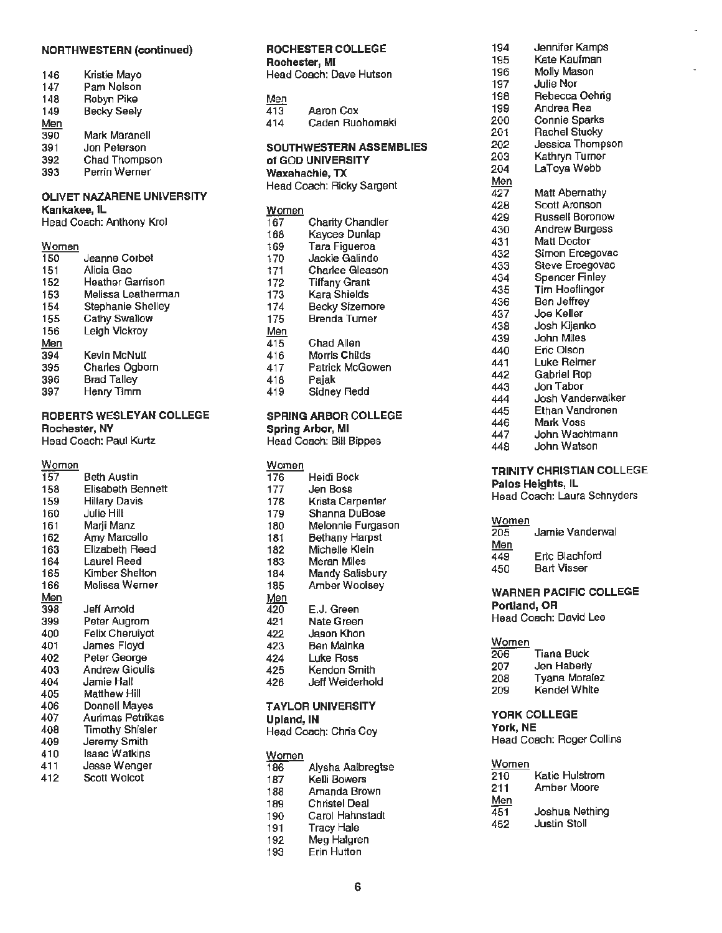## **NORTHWESTERN (continued) ROCHESTER COLLEGE** 194 Jennifer Kamps

| 146<br>147<br>148 | Kristie Mayo<br>Pam Nelson<br>Robyn Pike |
|-------------------|------------------------------------------|
| 149               | <b>Becky Seelv</b>                       |
| Men               |                                          |
| 390               | Mark Maranell                            |
| 391               | Jon Peterson                             |
| 392               | Chad Thompson                            |
| 393               | Perrin Werner                            |
|                   |                                          |

## **OLIVET NAZARENE UNIVERSITY**

| Women |  |  |  |  |
|-------|--|--|--|--|
|       |  |  |  |  |

| 150 | Jeanne Corbet           |
|-----|-------------------------|
| 151 | Alicia Gac              |
| 152 | <b>Heather Garrison</b> |
| 153 | Melissa Leatherman      |
| 154 | Stephanie Shelley       |
| 155 | <b>Cathy Swallow</b>    |
| 156 | Leigh Vickroy           |
| Men |                         |
| 394 | Kevin McNult            |
| 395 | <b>Charles Ogborn</b>   |
| 396 | <b>Brad Talley</b>      |
| 397 | Henry Timm              |

## **ROBERTS WESLEYAN COLLEGE Rochester, NY**

| <b>Rochester, NY</b>              |                          | Spring Arbor, MI             | John Wachtma<br>447                        |
|-----------------------------------|--------------------------|------------------------------|--------------------------------------------|
| Head Coach: Paul Kurtz            |                          | Head Coach: Bill Bippes      | John Watson<br>448                         |
| $\frac{\text{Women}}{\text{157}}$ |                          | Women                        | <b>TRINITY CHRISTIAN CO</b>                |
|                                   | <b>Beth Austin</b>       | Heidi Bock<br>176            |                                            |
| 158                               | <b>Elisabeth Bennett</b> | 177<br>Jen Boss              | Palos Heights, IL<br>Head Coach: Laura Sch |
| 159                               | <b>Hillary Davis</b>     | Krista Carpenter<br>178      |                                            |
| 160                               | <b>Julie Hill</b>        | Shanna DuBose<br>179         |                                            |
| 161                               | Marji Manz               | 180<br>Melonnie Furgason     | Women<br>Jamie Vanderw                     |
| 162                               | Amy Marcello             | 181<br><b>Bethany Harpst</b> | 205                                        |
| 163                               | Elizabeth Reed           | 182<br>Michelle Klein        | Men<br>Eric Blachford                      |
| 164                               | Laurel Reed              | 183<br>Meran Miles           | 449<br><b>Bart Visser</b>                  |
| 165                               | Kimber Shelton           | 184<br>Mandy Salisbury       | 450                                        |
| 166                               | Melissa Werner           | 185<br>Amber Woolsey         | <b>WARNER PACIFIC COI</b>                  |
| <u>Men</u>                        |                          | <u>Men</u>                   |                                            |
| 398                               | Jeff Arnold              | E.J. Green<br>420            | Portland, OR                               |
| 399                               | Peter Augrom             | 421<br>Nate Green            | Head Coach: David Lee                      |
| 400                               | <b>Felix Cheruivot</b>   | Jason Khon<br>422            |                                            |
| 401                               | <b>James Floyd</b>       | 423<br><b>Ben Mainka</b>     | Women                                      |
| 402                               | Peter George             | 424<br>Luke Ross             | 206<br>Tiana Buck                          |
| 403                               | <b>Andrew Gioulis</b>    | 425<br>Kendon Smith          | Jen Haberly<br>207                         |
| 404                               | Jamie Hall               | 426<br>Jeff Weiderhold       | Tyana Moralez<br>208                       |
| 405                               | <b>Matthew Hill</b>      |                              | Kendel White<br>209                        |
| 406                               | Donnell Mayes            | <b>TAYLOR UNIVERSITY</b>     |                                            |
| 407                               | <b>Aurimas Petrikas</b>  | Upland, IN                   | <b>YORK COLLEGE</b>                        |
| 408                               | <b>Timothy Shisler</b>   | Head Coach: Chris Coy        | York, NE                                   |
| 409                               | Jeremy Smith             |                              | Head Coach: Roger Coll                     |
| 410                               | <b>Isaac Watkins</b>     | Women                        |                                            |
| 411                               | Jesse Wenger             | 186<br>Alysha Aalbregtse     | Women                                      |
| 412                               | Scott Wolcot             | 187<br>Kelli Bowers          | Katie Hulstrom<br>210                      |
|                                   |                          | Amanda Brown<br>188          | Amber Moore<br>211                         |
|                                   |                          | 189<br><b>Christel Deal</b>  | Men<br><b>AR1</b><br>Joehus Nathing        |
|                                   |                          |                              |                                            |

|                  |                                          |            | Rochester, MI                                          | 195        | Kate Kaufman                |
|------------------|------------------------------------------|------------|--------------------------------------------------------|------------|-----------------------------|
| 146              | Kristie Mayo                             |            | Head Coach: Dave Hutson                                | 196        | Molly Mason                 |
| 147              | Pam Nelson                               |            |                                                        | 197        | <b>Julie Nor</b>            |
| 148              | Robyn Pike                               | Men        |                                                        | 198        | Rebecca Oehrig              |
| 149              | <b>Becky Seely</b>                       | 413        | Aaron Cox                                              | 199        | Andrea Rea                  |
| <u>Men</u>       |                                          | 414        | Caden Ruohomaki                                        | 200        | <b>Connie Sparks</b>        |
| 390              | Mark Maranell                            |            |                                                        | 201        | <b>Rachel Stucky</b>        |
| 391              | Jon Peterson                             |            | <b>SOUTHWESTERN ASSEMBLIES</b>                         | 202        | Jessica Thompson            |
| 392              | Chad Thompson                            |            | of GOD UNIVERSITY                                      | 203        | Kathryn Turner              |
| 393              | Perrin Werner                            |            | Waxahachie, TX                                         | 204        | LaToya Webb                 |
|                  |                                          |            |                                                        | <u>Men</u> |                             |
|                  | <b>OLIVET NAZARENE UNIVERSITY</b>        |            | Head Coach: Ricky Sargent                              | 427        | Matt Abernathy              |
|                  |                                          |            |                                                        | 428        | Scott Aronson               |
|                  | Kankakee, IL<br>Head Coach: Anthony Krol | Women      | Charity Chandler                                       | 429        | <b>Russell Boronow</b>      |
|                  |                                          | 167        |                                                        | 430        | <b>Andrew Burgess</b>       |
|                  |                                          | 168        | Kaycee Dunlap                                          | 431        | Matt Doctor                 |
| Women<br>150     | Jeanne Corbet                            | 169<br>170 | Tara Figueroa<br>Jackie Galindo                        | 432        | Simon Ercegovac             |
| 151              | Alicia Gac                               |            | Charlee Gleason                                        | 433        | Steve Ercegovac             |
| 152              | <b>Heather Garrison</b>                  | 171<br>172 | <b>Tiffany Grant</b>                                   | 434        | <b>Spencer Finley</b>       |
| 153              | Melissa Leatherman                       | 173        | Kara Shields                                           | 435        | <b>Tim Hoeflinger</b>       |
| 154              | Stephanie Shelley                        | 174        | <b>Becky Sizemore</b>                                  | 436        | <b>Ben Jeffrey</b>          |
| 155              | <b>Cathy Swallow</b>                     | 175        | <b>Brenda Turner</b>                                   | 437        | Joe Keller                  |
| 156              | Leigh Vickroy                            |            |                                                        | 438        | Josh Kijanko                |
| Men              |                                          | Men<br>415 | Chad Allen                                             | 439        | John Miles                  |
| 394              | Kevin McNult                             | 416        | Morris Childs                                          | 440        | Eric Olson                  |
|                  | Charles Ogborn                           |            | Patrick McGowen                                        | 441        | Luke Reimer                 |
| 395<br>396       | <b>Brad Talley</b>                       | 417        |                                                        | 442        | <b>Gabriel Rop</b>          |
| 397              | Henry Timm                               | 418        | Pajak<br>Sidney Redd                                   | 443        | Jon Tabor                   |
|                  |                                          | 419        |                                                        | 444        | Josh Vanderwalker           |
|                  | <b>ROBERTS WESLEYAN COLLEGE</b>          |            |                                                        | 445        | Ethan Vandronen             |
|                  |                                          |            | <b>SPRING ARBOR COLLEGE</b><br><b>Spring Arbor, MI</b> |            | Mark Voss                   |
|                  | <b>Rochester, NY</b>                     |            |                                                        | 447        | John Wachtmann              |
|                  | Head Coach: Paul Kurtz                   |            | Head Coach: Bill Bippes                                | 448        | John Watson                 |
| Women            |                                          | Women      |                                                        |            | TRINITY CHRISTIAN COLLEGE   |
| $\overline{157}$ | <b>Beth Austin</b>                       | 176        | Heidi Bock                                             |            | Palos Heights, IL           |
| 158              | <b>Elisabeth Bennett</b>                 | 177        | Jen Boss                                               |            | Head Coach: Laura Schnyders |
| 159              | <b>Hillary Davis</b>                     | 178        | Krista Carpenter                                       |            |                             |
| 160              | <b>Julie Hill</b>                        | 179        | Shanna DuBose                                          | Women      |                             |
| 161              | Marji Manz                               | 180        | Melonnie Furgason                                      | 205        | Jamie Vanderwal             |
| 162              | Amy Marcello                             | 181        | <b>Bethany Harpst</b>                                  | Men        |                             |
| 163              | Elizabeth Reed                           | 182        | Michelle Klein                                         | 449        | Eric Blachford              |
| 164              | Laurel Reed                              | 183        | Meran Miles                                            | $1 - n$    | $D = 4$ . Moreover, $D = 1$ |

|            |                        |     |                       |              | <b>TRINITY CHRISTIAN CO</b> |
|------------|------------------------|-----|-----------------------|--------------|-----------------------------|
| 157        | <b>Beth Austin</b>     | 176 | Heidi Bock            |              |                             |
| 158        | Elisabeth Bennett      | 177 | Jen Boss              |              | Palos Heights, IL           |
| 159        | <b>Hillary Davis</b>   | 178 | Krista Carpenter      |              | Head Coach: Laura Schi      |
| 160        | Julie Hill             | 179 | Shanna DuBose         |              |                             |
| 161        | Marji Manz             | 180 | Melonnie Furgason     | Women        |                             |
| 162        | Amy Marcello           | 181 | <b>Bethany Harpst</b> | 205          | Jamie Vanderw               |
| 163        | Elizabeth Reed         | 182 | Michelle Klein        | <u>Men</u>   |                             |
| 164        | Laurel Reed            | 183 | Meran Miles           | 449          | Eric Blachford              |
| 165        | Kimber Shelton         | 184 | Mandy Salisbury       | 450          | <b>Bart Visser</b>          |
| 166        | Melissa Werner         | 185 | Amber Woolsey         |              |                             |
| <u>Men</u> |                        | Men |                       |              | <b>WARNER PACIFIC COL</b>   |
| 398        | Jeff Arnold            | 420 | E.J. Green            | Portland, OR |                             |
| 399        | Peter Augrom           | 421 | Nate Green            |              | Head Coach: David Lee       |
| 400        | <b>Felix Cheruivot</b> | 422 | Jason Khon            |              |                             |
| 401        | James Floyd            | 423 | Ben Mainka            | Women        |                             |
| 402        | Peter George           | 424 | Luke Ross             | 206          | Tiana Buck                  |
| 403        | <b>Andrew Gioulis</b>  | 425 | Kendon Smith          | 207          | Jen Haberly                 |
| 404        | Jamie Hall             | 426 | Jeff Weiderhold       | 208          | Tyana Moralez               |
|            |                        |     |                       | ההה          | レーニュー いいしゅう                 |

### Donnell Mayes **TAYLOR UNIVERSITY**

| <b>Head Coach: Chns Coy</b> |  |
|-----------------------------|--|
|                             |  |

| <b>Women</b><br>186<br>187<br>188<br>189 | Alysha Aalbregtse<br>Kelli Bowers<br>Amanda Brown<br><b>Christel Deal</b> | Women<br>210<br>211<br>$\frac{\text{Men}}{451}$ | Katie Hulstrom<br>Amber Moore<br>Joshua Nething |
|------------------------------------------|---------------------------------------------------------------------------|-------------------------------------------------|-------------------------------------------------|
| 190<br>191<br>192<br>193                 | Carol Hahnstadt<br>Tracy Hale<br>Meg Halgren<br><b>Erin Hutton</b>        | 452                                             | <b>Justin Stoll</b>                             |

| 194 | Jenningi Ivanipo       |
|-----|------------------------|
| 195 | Kate Kaufman           |
| 196 | Molly Mason            |
| 197 | <b>Julie Nor</b>       |
| 198 | Rebecca Oehrig         |
| 199 | Andrea Rea             |
| 200 | Connie Sparks          |
| 201 | <b>Rachel Stucky</b>   |
| 202 | Jessica Thompson       |
| 203 | Kathryn Turner         |
| 204 | LaToya Webb            |
| Men |                        |
| 427 | Matt Abernathy         |
| 428 | Scott Aronson          |
| 429 | <b>Russell Boronow</b> |
| 430 | <b>Andrew Burgess</b>  |
| 431 | Matt Doctor            |
| 432 | Simon Ercegovac        |
| 433 | Steve Ercegovac        |
| 434 | <b>Spencer Finley</b>  |
| 435 | Tim Hoeflinger         |
| 436 | <b>Ben Jeffrey</b>     |
| 437 | Joe Keller             |
| 438 | Josh Kijanko           |
| 439 | John Miles             |
| 440 | Eric Olson             |
| 441 | Luke Reimer            |
| 442 | Gabriel Rop            |
| 443 | Jon Tabor              |
| 444 | Josh Vanderwalker      |
| 445 | Ethan Vandronen        |
| 446 | Mark Voss              |
| 447 | John Wachtmann         |
| 448 | John Watson            |

| п |
|---|
|   |

| 205 | Jamie Vanderwal    |
|-----|--------------------|
| Men |                    |
| 449 | Eric Blachford     |
| 450 | <b>Bart Visser</b> |

## WARNER PACIFIC COLLEGE<br>Portland, OR

| 206 | Tiana Buck           |
|-----|----------------------|
| 207 | Jen Haberly          |
| 208 | <b>Tyana Moralez</b> |
| 209 | Kendel White         |

## Aurimas Petrikas **Upland, IN YORK COLLEGE**

Head Coach: Roger Collins

| vomen<br>٠ |  |
|------------|--|
|            |  |

| 210 | Katle Fluistforn    |
|-----|---------------------|
| 211 | Amber Moore         |
| Men |                     |
| 451 | Joshua Nething      |
| 452 | <b>Justin Stoll</b> |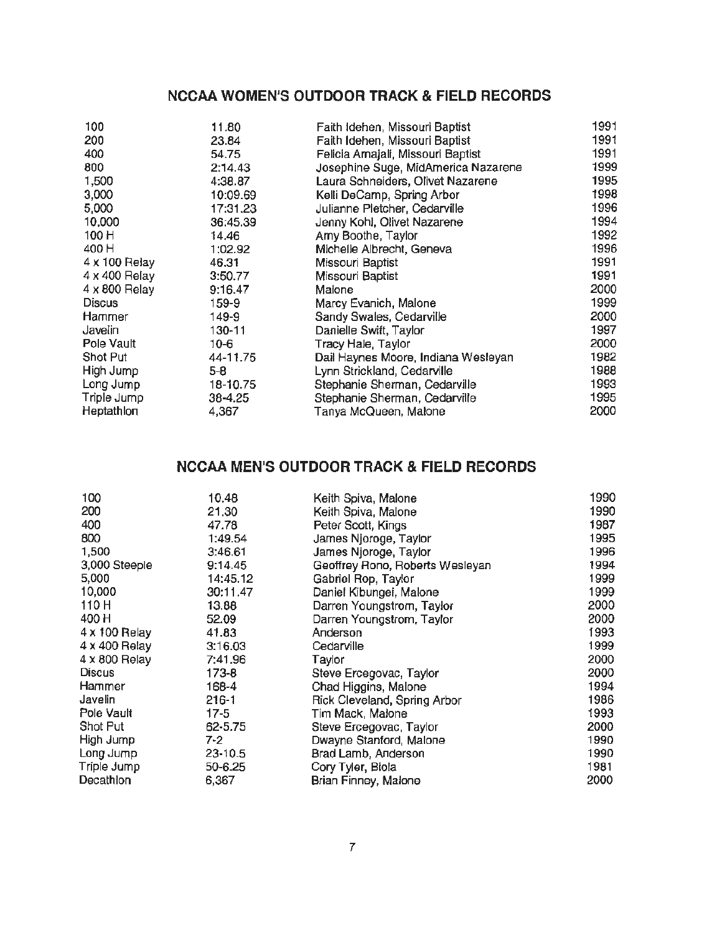## **NCCAA WOMEN'S OUTDOOR TRACK & FIELD RECORDS**

| 100                  | 11.80    | Faith Idehen, Missouri Baptist      | 1991 |
|----------------------|----------|-------------------------------------|------|
| 200                  | 23.84    | Faith Idehen, Missouri Baptist      | 1991 |
| 400                  | 54.75    | Felicia Amajali, Missouri Baptist   | 1991 |
| 800                  | 2:14.43  | Josephine Suge, MidAmerica Nazarene | 1999 |
| 1,500                | 4:38.87  | Laura Schneiders, Olivet Nazarene   | 1995 |
| 3,000                | 10:09.69 | Kelli DeCamp, Spring Arbor          | 1998 |
| 5,000                | 17:31.23 | Julianne Pletcher, Cedarville       | 1996 |
| 10,000               | 36:45.39 | Jenny Kohl, Olivet Nazarene         | 1994 |
| 100 H                | 14.46    | Amy Boothe, Taylor                  | 1992 |
| 400 H                | 1:02.92  | Michelle Albrecht, Geneva           | 1996 |
| $4 \times 100$ Relay | 46.31    | Missouri Baptist                    | 1991 |
| 4 x 400 Relay        | 3:50.77  | Missouri Baptist                    | 1991 |
| 4 x 800 Relay        | 9:16.47  | Malone                              | 2000 |
| <b>Discus</b>        | 159-9    | Marcy Evanich, Malone               | 1999 |
| Hammer               | 149-9    | Sandy Swales, Cedarville            | 2000 |
| Javelin              | 130-11   | Danielle Swift, Taylor              | 1997 |
| Pole Vault           | $10 - 6$ | Tracy Hale, Taylor                  | 2000 |
| Shot Put             | 44-11.75 | Dail Haynes Moore, Indiana Wesleyan | 1982 |
| High Jump            | $5 - 8$  | Lynn Strickland, Cedarville         | 1988 |
| Long Jump            | 18-10.75 | Stephanie Sherman, Cedarville       | 1993 |
| Triple Jump          | 38-4.25  | Stephanie Sherman, Cedarville       | 1995 |
| Heptathlon           | 4,367    | Tanya McQueen, Malone               | 2000 |

## **NCCAA MEN'S OUTDOOR TRACK & FIELD RECORDS**

| 100           | 10.48       | Keith Spiva, Malone             | 1990 |
|---------------|-------------|---------------------------------|------|
| 200           | 21,30       | Keith Spiva, Malone             | 1990 |
| 400           | 47.78       | Peter Scott, Kings              | 1987 |
| 800           | 1:49.54     | James Njoroge, Taylor           | 1995 |
| 1,500         | 3:46.61     | James Njoroge, Taylor           | 1996 |
| 3,000 Steeple | 9:14.45     | Geoffrey Rono, Roberts Wesleyan | 1994 |
| 5,000         | 14:45.12    | Gabriel Rop, Taylor             | 1999 |
| 10,000        | 30:11.47    | Daniel Kibungei, Malone         | 1999 |
| 110 H         | 13.88       | Darren Youngstrom, Taylor       | 2000 |
| 400 H         | 52.09       | Darren Youngstrom, Taylor       | 2000 |
| 4 x 100 Relay | 41.83       | Anderson                        | 1993 |
| 4 x 400 Relay | 3:16.03     | Cedarville                      | 1999 |
| 4 x 800 Relay | 7:41.96     | Taylor                          | 2000 |
| <b>Discus</b> | 173-8       | Steve Ercegovac, Taylor         | 2000 |
| Hammer        | 168-4       | Chad Higgins, Malone            | 1994 |
| Javelin       | 216-1       | Rick Cleveland, Spring Arbor    | 1986 |
| Pole Vault    | 17-5        | Tim Mack, Malone                | 1993 |
| Shot Put      | 62-5.75     | Steve Ercegovac, Taylor         | 2000 |
| High Jump     | 7-2         | Dwayne Stanford, Malone         | 1990 |
| Long Jump     | $23 - 10.5$ | Brad Lamb, Anderson             | 1990 |
| Triple Jump   | 50-6.25     | Cory Tyler, Biola               | 1981 |
| Decathion     | 6,367       | Brian Finney, Malone            | 2000 |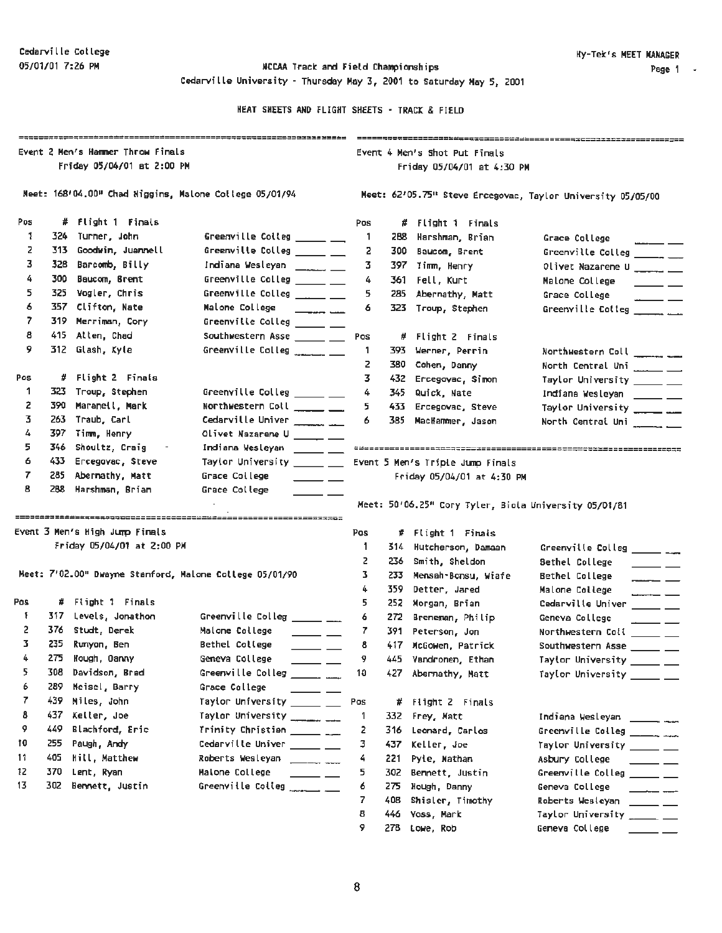### 05/01/01 7:26 PM **MCCAA Track and Field Championships** Cedarville University - Thursday May 3, 2001 to Saturday May 5, 2001

HEAT SHEETS AND FLIGHT SHEETS - TRACK & FIELD

|                             | Event 2 Men's Hammer Throw Finals |                                           |                                                                                                                                                                                 | Event 4 Men's Shot Put Finals                               |       |                                                       |                                                                                                                                                                                                                                                                                                                            |  |
|-----------------------------|-----------------------------------|-------------------------------------------|---------------------------------------------------------------------------------------------------------------------------------------------------------------------------------|-------------------------------------------------------------|-------|-------------------------------------------------------|----------------------------------------------------------------------------------------------------------------------------------------------------------------------------------------------------------------------------------------------------------------------------------------------------------------------------|--|
|                             |                                   | Friday 05/04/01 at 2:00 PM                |                                                                                                                                                                                 |                                                             |       | Friday 05/04/01 at 4:30 PM                            |                                                                                                                                                                                                                                                                                                                            |  |
|                             |                                   |                                           | Meet: 168'04.00" Chad Higgins, Malone College 05/01/94                                                                                                                          | Meet: 62'05.75" Steve Ercegovac, Taylor University 05/05/00 |       |                                                       |                                                                                                                                                                                                                                                                                                                            |  |
| Pos                         |                                   | # Flight 1 Finals                         |                                                                                                                                                                                 | Pos                                                         |       | # Flight 1 Finals                                     |                                                                                                                                                                                                                                                                                                                            |  |
| 1                           |                                   | 324 Turner, John                          | Greenville Colleg _____ __                                                                                                                                                      | -1                                                          |       | 288 Harshman, Brian                                   | Grace College                                                                                                                                                                                                                                                                                                              |  |
| z                           |                                   | 313 Goodwin, Juannell                     | Greenville Colleg _____ __                                                                                                                                                      | 2                                                           | 300   | Baucom, Brent                                         | Greenville Colleg $\frac{1}{\sqrt{1-\frac{1}{2}}}$                                                                                                                                                                                                                                                                         |  |
| 3                           |                                   | 328 Barcomb, Billy                        | Indiana Wesleyan ________ ___                                                                                                                                                   | 3                                                           |       | 397 Jimm, Henry                                       | Olivet Nazarene U _____ __                                                                                                                                                                                                                                                                                                 |  |
| 4                           |                                   | 300 Baucom, Brent                         | Greenville Colleg ______ ___                                                                                                                                                    | 4                                                           |       | 361 Fell, Kurt                                        | Malone College<br>$\frac{1}{2}$ and $\frac{1}{2}$ and $\frac{1}{2}$ and $\frac{1}{2}$ and $\frac{1}{2}$ and $\frac{1}{2}$ and $\frac{1}{2}$ and $\frac{1}{2}$                                                                                                                                                              |  |
| 5                           |                                   | 325 Vogler, Chris                         | Greenville Colleg _____ __                                                                                                                                                      | 5                                                           | 285   | Abernathy, Matt                                       | Grace College<br>$\overline{\phantom{a}}$                                                                                                                                                                                                                                                                                  |  |
| 6                           |                                   | 357 Clifton, Nate                         | Malone College<br>المستحدث المستحدث                                                                                                                                             | 6                                                           | 323   | Troup, Stephen                                        | Greenville Colleg ________                                                                                                                                                                                                                                                                                                 |  |
| 7                           |                                   | 319 Merriman, Cory                        | Greenville Colleg _____ __                                                                                                                                                      |                                                             |       |                                                       |                                                                                                                                                                                                                                                                                                                            |  |
| 8                           |                                   | 415 Atten, Chad                           | Southwestern Asse _____ __                                                                                                                                                      | Pos                                                         |       | # Flight 2 Finals                                     |                                                                                                                                                                                                                                                                                                                            |  |
| 9                           |                                   | 312 Glash, Kyle                           | Greenville Colleg $\frac{1}{2}$                                                                                                                                                 | 1.                                                          |       | 393 Werner, Perrin                                    | Northwestern Coll ________                                                                                                                                                                                                                                                                                                 |  |
|                             |                                   |                                           |                                                                                                                                                                                 | 2                                                           | 380   | Cohen, Danny                                          | North Central Uni _____ __                                                                                                                                                                                                                                                                                                 |  |
| Pos                         |                                   | # Flight 2 Finals                         |                                                                                                                                                                                 | 3.                                                          |       | 432 Ercegovac, Simon                                  | Taylor University _____ __                                                                                                                                                                                                                                                                                                 |  |
| 1                           |                                   | 323 Troup, Stephen                        | Greenville Colleg _____ __                                                                                                                                                      | 4                                                           | 345.  | Quick, Nate                                           | Indiana Wesleyan _____ __                                                                                                                                                                                                                                                                                                  |  |
| 2                           |                                   | 390 Maranell, Mark                        | Northwestern Coll ____ __                                                                                                                                                       | 5                                                           | 433.  | Ercegovac, Steve                                      | Taylor University ______ ___                                                                                                                                                                                                                                                                                               |  |
| 3.                          |                                   | 263 Traub, Carl                           | Cedarville Univer _______ __                                                                                                                                                    | 6                                                           | 385.  | MacHammer, Jason                                      | North Central Uni ________                                                                                                                                                                                                                                                                                                 |  |
|                             |                                   | 397 Timm, Henry                           | Olivet Nazarene U _____ __                                                                                                                                                      |                                                             |       |                                                       |                                                                                                                                                                                                                                                                                                                            |  |
| 4                           | 346                               | Shoultz, Craig                            | Indiana Wesleyan ________                                                                                                                                                       |                                                             |       |                                                       |                                                                                                                                                                                                                                                                                                                            |  |
| 5.                          |                                   |                                           |                                                                                                                                                                                 |                                                             |       |                                                       |                                                                                                                                                                                                                                                                                                                            |  |
| 6                           | 433 -                             | Ercegovac, Steve                          | Taylor University ______ ___                                                                                                                                                    |                                                             |       | Event 5 Men's Triple Jump Finals                      |                                                                                                                                                                                                                                                                                                                            |  |
| 7<br>8                      | 285<br>288                        | Abernathy, Matt<br>Marshman, Brian        | Grace College<br>Grace College                                                                                                                                                  |                                                             |       | Friday 05/04/01 at 4:30 PM                            |                                                                                                                                                                                                                                                                                                                            |  |
|                             |                                   |                                           |                                                                                                                                                                                 |                                                             |       | Meet: 50'06.25" Cory Tyler, Biola University 05/01/81 |                                                                                                                                                                                                                                                                                                                            |  |
|                             |                                   | Event 3 Men's High Jump Finals            |                                                                                                                                                                                 | Pos                                                         |       | # Flight 1 Finals                                     |                                                                                                                                                                                                                                                                                                                            |  |
|                             |                                   | Friday 05/04/01 at 2:00 PM                |                                                                                                                                                                                 | 1                                                           |       | 314 Hutcherson, Damaan                                |                                                                                                                                                                                                                                                                                                                            |  |
|                             |                                   |                                           |                                                                                                                                                                                 | z                                                           | 236 - | Smith, Sheldon                                        | Sethel College                                                                                                                                                                                                                                                                                                             |  |
|                             |                                   |                                           | Meet: 7'02.00" Dwayne Stanford, Malone College 05/01/90                                                                                                                         | 3.                                                          |       | 233 Mensah-Bonsu, Wiafe                               | <b>Bethel College</b>                                                                                                                                                                                                                                                                                                      |  |
|                             |                                   |                                           |                                                                                                                                                                                 | 4<br>5.                                                     | 359 . | Detter, Jared                                         | Malone College                                                                                                                                                                                                                                                                                                             |  |
| Ŧ                           |                                   | # Flight 1 Finals<br>317 Levels, Jonathon |                                                                                                                                                                                 | 6                                                           |       | 252 Morgan, Brian                                     |                                                                                                                                                                                                                                                                                                                            |  |
| 2                           |                                   | 376 Studt, Derek                          | Greenville Colleg $\frac{1}{\sqrt{1-\frac{1}{2}}\sqrt{1-\frac{1}{2}}\sqrt{1-\frac{1}{2}}\sqrt{1-\frac{1}{2}}\sqrt{1-\frac{1}{2}}$<br>Malone College<br>$\overline{\phantom{a}}$ | 7                                                           |       | 272 Breneman, Philip<br>391 Peterson, Jon             | Greenville Colleg $\frac{1}{\sqrt{1-\frac{1}{2}}\sqrt{1-\frac{1}{2}}\sqrt{1-\frac{1}{2}}\sqrt{1-\frac{1}{2}}\sqrt{1-\frac{1}{2}}\sqrt{1-\frac{1}{2}}$<br>$\overline{\phantom{a}}$ and $\overline{\phantom{a}}$<br>Cedarville Univer _____ __<br>Geneva College                                                             |  |
| 3.                          | 235                               | Runyon, Ben                               | Bethel College<br>المستحصل                                                                                                                                                      | 8.                                                          |       | 417 McGowen, Patrick                                  |                                                                                                                                                                                                                                                                                                                            |  |
| 4.                          |                                   | 275 Kough, Danny                          | Geneva College                                                                                                                                                                  | 9                                                           |       | 445 Vandronen, Ethan                                  |                                                                                                                                                                                                                                                                                                                            |  |
| 5                           | 308                               | Davidson, Brad                            | Greenville Colleg ______ ___                                                                                                                                                    | 10                                                          |       | 427 Abernathy, Matt                                   |                                                                                                                                                                                                                                                                                                                            |  |
| 6                           | 289                               | Meisel, Barry                             | Grace College                                                                                                                                                                   |                                                             |       |                                                       |                                                                                                                                                                                                                                                                                                                            |  |
| 7                           | 439                               | Miles, John                               | Taylor University ______ __                                                                                                                                                     | Pos                                                         | #.    | Flight 2 Finals                                       |                                                                                                                                                                                                                                                                                                                            |  |
| 8                           | 437.                              | Keller, Joe                               | Taylor University __________                                                                                                                                                    | 1                                                           | 332   | Frey, Matt                                            |                                                                                                                                                                                                                                                                                                                            |  |
| 9                           | 449                               | Blachford, Eric                           | Trinity Christian $\frac{1}{1-x^2}$                                                                                                                                             | 2                                                           | 316   | Leonard, Carlos                                       |                                                                                                                                                                                                                                                                                                                            |  |
|                             | 255                               | Paugh, Andy                               | Cedarville Univer _____ __                                                                                                                                                      | з                                                           | 437   | Keller, Joe                                           |                                                                                                                                                                                                                                                                                                                            |  |
|                             | 405                               | Hill, Matthew                             | Roberts Wesleyan                                                                                                                                                                | 4                                                           | 221   | Pyle, Nathan                                          | Asbury College                                                                                                                                                                                                                                                                                                             |  |
|                             | 370                               | Lent, Ryan                                | Malone College<br>$\overline{\phantom{a}}$                                                                                                                                      | 5                                                           | 302   | Bennett, Justin                                       |                                                                                                                                                                                                                                                                                                                            |  |
|                             | 302                               | Bennett, Justin                           | Greenville Colleg ______ __                                                                                                                                                     | 6                                                           |       | 275 Hough, Danny                                      | Geneva College                                                                                                                                                                                                                                                                                                             |  |
|                             |                                   |                                           |                                                                                                                                                                                 | 7                                                           | 408.  | Shisler, Timothy                                      |                                                                                                                                                                                                                                                                                                                            |  |
| Pos<br>10<br>11<br>12<br>13 |                                   |                                           |                                                                                                                                                                                 | 8<br>9                                                      | 446   | Voss, Mark<br>278 Lowe, Rob                           | Northwestern Coll ______ __<br>Southwestern Asse _____ __<br>Taylor University ______ ___<br>Taylor University _____ __<br>Greenville Colleg ________<br>Taylor University _____ __<br>$\overline{\phantom{a}}$<br>Greenvitle Colleg _____ __<br>Roberts Wesleyan _____ __<br>Taylor University _____ __<br>Geneva College |  |

8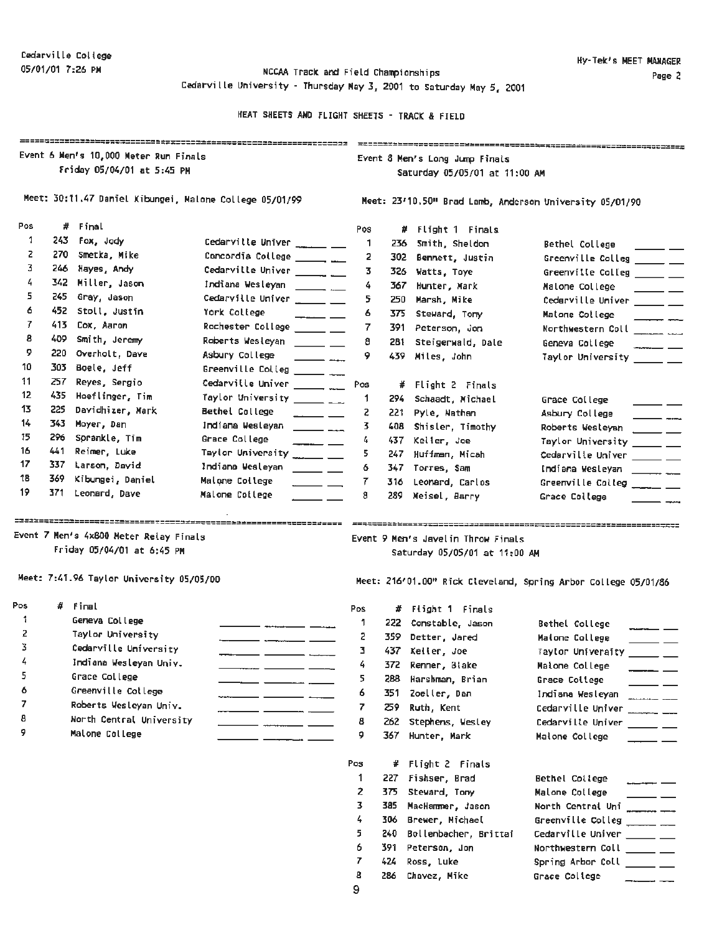05/01/01 7:26 **PM** NCCAA TracK and Field Chanpionships Cedarville University - Thursday May 3, 2001 to Saturday May 5, 2001

|                |       |                                                                      | HEAT SHEETS AND FLIGHT SHEETS - TRACK & FIELD            |              |                                                                 |                                                                     |                                                                |  |  |  |  |
|----------------|-------|----------------------------------------------------------------------|----------------------------------------------------------|--------------|-----------------------------------------------------------------|---------------------------------------------------------------------|----------------------------------------------------------------|--|--|--|--|
|                |       | Event 6 Men's 10,000 Meter Run Finals<br>Friday 05/04/01 at 5:45 PM  |                                                          |              | Event 8 Men's Long Jump Finals<br>Saturday 05/05/01 at 11:00 AM |                                                                     |                                                                |  |  |  |  |
|                |       |                                                                      | Meet: 30:11.47 Daniel Kibungei, Malone College 05/01/99  |              | Meet: 23'10.50" Brad Lamb, Anderson University 05/01/90         |                                                                     |                                                                |  |  |  |  |
| Pos            |       | # Final                                                              |                                                          | Pos          |                                                                 | # Flight 1 Finals                                                   |                                                                |  |  |  |  |
| 1              |       | 243 Fox, Jody                                                        | Cedarville Univer ______ __                              | 1            | 236                                                             | Smith, Sheldon                                                      | Bethel College                                                 |  |  |  |  |
| 2              |       | 270 Smetka, Mike                                                     | Concordia College ________ ____                          | 2            | 302 -                                                           | Bennett, Justin                                                     | Greenville Colleg _____ __                                     |  |  |  |  |
| 3              |       | 246 Hayes, Andy                                                      | Cedarville Univer _______ ___                            | 3.           |                                                                 | 326 Watts, Toye                                                     | Greenville Colleg _____ __                                     |  |  |  |  |
| 4              |       | 342 Miller, Jason                                                    | Indiana Wesleyan _______ ___                             | 4            |                                                                 | 367 Hunter, Mark                                                    | Malone College<br>$\overline{\phantom{a}}$                     |  |  |  |  |
| 5              |       | 245 Gray, Jason                                                      | Cedarville Univer ______ __                              | 5            | 250                                                             | Marsh, Mike                                                         | Cedarville Univer ______ __                                    |  |  |  |  |
| 6              |       | 452 Stoll, Justin                                                    | York College<br>$ -$                                     | 6            | 375                                                             | Steward, Tony                                                       | Matone College<br>$- - -$                                      |  |  |  |  |
| $\overline{r}$ |       | 413 Cox, Aaron                                                       | Rochester College _____ __                               | 7            | 391 -                                                           | Peterson, Jon                                                       | Northwestern Coll ______ ___                                   |  |  |  |  |
| 8              | 409 - | Smith, Jeremy                                                        | Roberts Wesleyan ______ __                               | 8            |                                                                 | 281 Steigerwald, Dale                                               | Geneva College<br>$-$                                          |  |  |  |  |
| 9              | 220   | Overholt, Dave                                                       | Asbury College<br>$\overline{\phantom{a}}$               | 9            |                                                                 | 439 Miles, John                                                     | Taylor University _____ __                                     |  |  |  |  |
| 10             |       | 303 Boele, Jeff                                                      | Greenville Colleg _______ ___                            |              |                                                                 |                                                                     |                                                                |  |  |  |  |
| 11             |       | 257 Reyes, Sergio                                                    | Cedarville Univer ________ .___                          | Pos          |                                                                 | # Flight 2 Finals                                                   |                                                                |  |  |  |  |
| 12             |       | 435 Hoeflinger, Tim                                                  | Taylor University $\frac{1}{1-\epsilon}$                 | $\mathbf{1}$ | 294                                                             | Schaadt, Michael                                                    | Grace College                                                  |  |  |  |  |
| 13             | 225   | Davidhizer, Mark                                                     | Bethel College                                           | 2            |                                                                 | 221 Pyle, Nathan                                                    | Asbury College                                                 |  |  |  |  |
| 14             |       | 343 Moyer, Dan                                                       | Indiana Wesleyan<br>$\frac{1}{2}$ and $\frac{1}{2}$      | 3.           |                                                                 | 408 Shisler, Timothy                                                | Roberts Wesleyan                                               |  |  |  |  |
| 15             |       | 296 Sprankle, Tim                                                    | Grace College                                            | 4            |                                                                 | 437 Keller, Joe                                                     | Taylor University ______ __                                    |  |  |  |  |
| 16             | 441   | Reimer, Luke                                                         | Taylor University ______ ___                             | 5            |                                                                 | 247 Huffman, Micah                                                  | Cedarville Univer _____ __                                     |  |  |  |  |
| 17             |       | 337 Larson, David                                                    | Indiana Wesleyan<br>$\frac{1}{2}$                        | 6            |                                                                 | 347 Torres, Sam                                                     | Indiana Wesleyan ___________                                   |  |  |  |  |
| 18             |       | 369 Kibungei, Daniel                                                 | Maione College<br>$\overline{\phantom{iiiiiiiiiiiiiii}}$ | 7            | 316                                                             | Leonard, Carlos                                                     | Greenville Colleg $\frac{1}{\sqrt{2}}$                         |  |  |  |  |
| 19             |       | 371 Leonard, Dave                                                    | Malone College                                           | 8            |                                                                 | 289 Meisel, Barry                                                   | Grace College                                                  |  |  |  |  |
|                |       | Event 7 Men's 4x800 Meter Relay Finals<br>Friday 05/04/01 at 6:45 PM |                                                          |              |                                                                 | Event 9 Men's Javelin Throw Finals<br>Saturday 05/05/01 at 11:00 AM |                                                                |  |  |  |  |
|                |       | Meet: 7:41.96 Taylor University 05/05/00                             |                                                          |              |                                                                 |                                                                     | Meet: 216'01.00" Rick Cleveland, Spring Arbor College 05/01/86 |  |  |  |  |
| Pos            |       | $#$ Final                                                            |                                                          | Pos          |                                                                 | # Flight 1 Finals                                                   |                                                                |  |  |  |  |
| 1              |       | Geneva College                                                       |                                                          | 1.           |                                                                 | 222 Constable, Jason                                                | Bethel College                                                 |  |  |  |  |
| 2.             |       | Taylor University                                                    |                                                          | 2            |                                                                 | 359 Detter, Jared                                                   | Maione College<br>______                                       |  |  |  |  |
| 3              |       | Cedarville University                                                |                                                          | 3.           |                                                                 | 437 Keller, Joe                                                     | Taylor University _____ __                                     |  |  |  |  |
| 4              |       | Indiana Wesleyan Univ.                                               |                                                          | 4            | 372                                                             | Renner, Blake                                                       | Maione College                                                 |  |  |  |  |
| 5              |       | Grace College                                                        |                                                          | 5            |                                                                 | 288 Harshman, Brian                                                 | Grace College                                                  |  |  |  |  |
| 6              |       | Greenville College                                                   | $ -$<br>- - -                                            | 6            |                                                                 | 351 Zoeller, Dan                                                    | Indiana Wesleyan                                               |  |  |  |  |
|                |       |                                                                      |                                                          |              |                                                                 |                                                                     |                                                                |  |  |  |  |

6 Greenville College 7 Roberts Wesleyan Univ.

- 8 **Horth Central University**
- 9 Malone College

| 1              | 222   | Constable, Jason      | Bethel College                                                                                                                                                                                                                                                                                                                                                                                                                                                      |
|----------------|-------|-----------------------|---------------------------------------------------------------------------------------------------------------------------------------------------------------------------------------------------------------------------------------------------------------------------------------------------------------------------------------------------------------------------------------------------------------------------------------------------------------------|
| 2              | 359   | Detter, Jared         | Maione College                                                                                                                                                                                                                                                                                                                                                                                                                                                      |
| 3              | 437 - | Keller, Joe           | Taylor Univeraity<br><u> 1999 - Andrea State</u>                                                                                                                                                                                                                                                                                                                                                                                                                    |
| 4              | 372   | Renner, Blake         | Maione College<br>$\overline{\phantom{a}}$ and $\overline{\phantom{a}}$                                                                                                                                                                                                                                                                                                                                                                                             |
| 5              | 288   | Harshman, Brian       | Grace College                                                                                                                                                                                                                                                                                                                                                                                                                                                       |
| 6              | 351   | Zoeller, Dan          | Indiana Wesleyan                                                                                                                                                                                                                                                                                                                                                                                                                                                    |
| 7              | 259.  | Ruth, Kent            | Cedarville Univer                                                                                                                                                                                                                                                                                                                                                                                                                                                   |
| 8              | 262   | Stephens, Wesley      | Cedarville Univer<br>$\frac{1}{2} \left( \frac{1}{2} \right) \frac{1}{2} \left( \frac{1}{2} \right) \frac{1}{2} \left( \frac{1}{2} \right) \frac{1}{2} \left( \frac{1}{2} \right) \frac{1}{2} \left( \frac{1}{2} \right) \frac{1}{2} \left( \frac{1}{2} \right) \frac{1}{2} \left( \frac{1}{2} \right) \frac{1}{2} \left( \frac{1}{2} \right) \frac{1}{2} \left( \frac{1}{2} \right) \frac{1}{2} \left( \frac{1}{2} \right) \frac{1}{2} \left( \frac{1}{2} \right)$ |
| 9              | 367.  | Hunter, Mark          | Malone College                                                                                                                                                                                                                                                                                                                                                                                                                                                      |
|                |       |                       |                                                                                                                                                                                                                                                                                                                                                                                                                                                                     |
| Pos            | #     | Flight 2 Finals       |                                                                                                                                                                                                                                                                                                                                                                                                                                                                     |
| 1              | 227   | Fishser, Brad         | Bethel College                                                                                                                                                                                                                                                                                                                                                                                                                                                      |
| $\overline{c}$ | 375.  | Steward, Tony         | Malone College                                                                                                                                                                                                                                                                                                                                                                                                                                                      |
| 3              | 385   | MacHammer, Jason      | North Central Uni<br>$\frac{1}{2}$                                                                                                                                                                                                                                                                                                                                                                                                                                  |
| 4              | 306   | Brewer, Michael       | Greenville Colleg ______ __                                                                                                                                                                                                                                                                                                                                                                                                                                         |
| 5              | 240   | Bollenbacher, Brittai | Cedarville Univer _____ __                                                                                                                                                                                                                                                                                                                                                                                                                                          |
| 6              | 391   | Peterson, Jon         | Northwestern Coll _____ __                                                                                                                                                                                                                                                                                                                                                                                                                                          |
| 7              | 424.  | Ross, Luke            | Spring Arbor Coll _____ __                                                                                                                                                                                                                                                                                                                                                                                                                                          |
| 8              | 286   | Chavez, Mike          | Grace College                                                                                                                                                                                                                                                                                                                                                                                                                                                       |
| 9              |       |                       |                                                                                                                                                                                                                                                                                                                                                                                                                                                                     |

 $\overline{\phantom{a}}$  and  $\overline{\phantom{a}}$  and  $\overline{\phantom{a}}$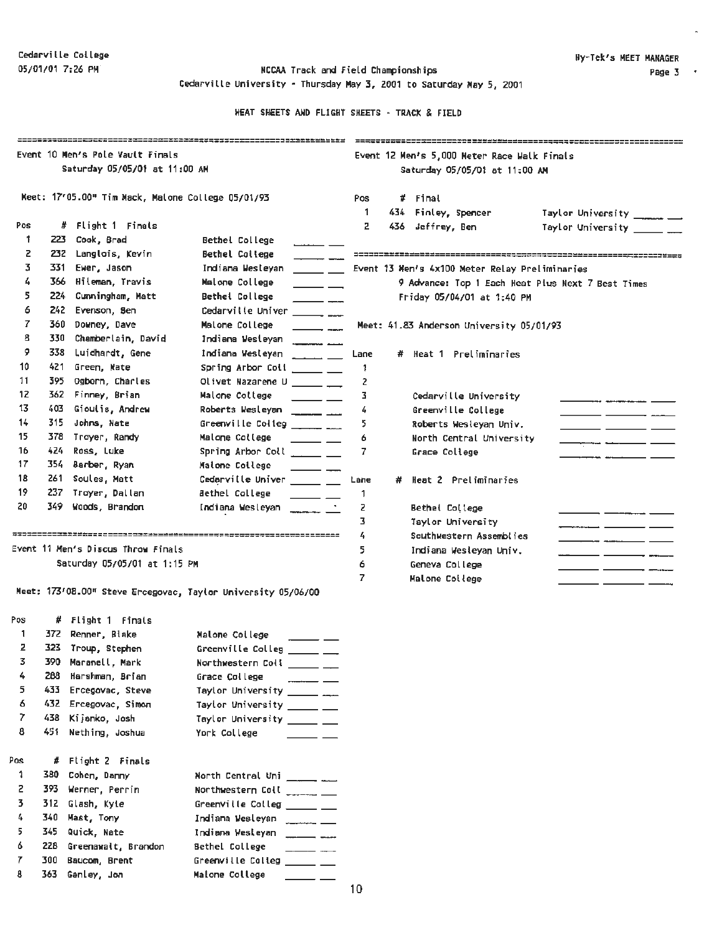Cedarville University• Thursday **May 3,** 2001 to Saturday **Mey 5,** 2001

|     |       |                                                   |                                                                                                                                                                                                                                                                                                                    |      |                               |                                                | ------------------------------------              |  |
|-----|-------|---------------------------------------------------|--------------------------------------------------------------------------------------------------------------------------------------------------------------------------------------------------------------------------------------------------------------------------------------------------------------------|------|-------------------------------|------------------------------------------------|---------------------------------------------------|--|
|     |       | Event 10 Men's Pole Vault Finals                  |                                                                                                                                                                                                                                                                                                                    |      |                               | Event 12 Men's 5,000 Meter Race Walk Finals    |                                                   |  |
|     |       | Saturday 05/05/01 at 11:00 AM                     |                                                                                                                                                                                                                                                                                                                    |      | Saturday 05/05/01 at 11:00 AM |                                                |                                                   |  |
|     |       |                                                   |                                                                                                                                                                                                                                                                                                                    |      |                               |                                                |                                                   |  |
|     |       | Keet: 17'05.00" Tim Mack, Malone College 05/01/93 |                                                                                                                                                                                                                                                                                                                    | Pos  |                               | # Final                                        |                                                   |  |
|     |       |                                                   |                                                                                                                                                                                                                                                                                                                    | 1.   |                               | 434 Finley, Spencer                            | Taylor University _______                         |  |
| Pos |       | # Flight 1 Finals                                 |                                                                                                                                                                                                                                                                                                                    | 2    |                               | 436 Jeffrey, Ben                               | Taylor University ______ __                       |  |
| 1   | 223   | Cook, Brad                                        | Bethel College<br>$\overline{\phantom{0}}$                                                                                                                                                                                                                                                                         |      |                               |                                                |                                                   |  |
| z   | 232.  | Langlois, Kevin                                   | <b>Bethel College</b>                                                                                                                                                                                                                                                                                              |      |                               |                                                |                                                   |  |
| 3   | 331   | Ewer, Jason                                       | Indiana Westeyan<br><u> 2002 - 20</u>                                                                                                                                                                                                                                                                              |      |                               | Event 13 Hen's 4x100 Meter Relay Preliminaries |                                                   |  |
| 4   | 366   | Hileman, Travis                                   | Malone College<br>$\overline{\phantom{a}}$                                                                                                                                                                                                                                                                         |      |                               |                                                | 9 Advance: Top 1 Each Heat Plus Next 7 Best Times |  |
| 5   | 224   | Cunningham, Matt                                  | Bethel College<br>$\overline{\phantom{a}}$                                                                                                                                                                                                                                                                         |      |                               | Friday 05/04/01 at 1:40 PM                     |                                                   |  |
| 6   | 242   | Evenson, Sen                                      | Cedarville Univer<br>$\overline{\phantom{a}}$                                                                                                                                                                                                                                                                      |      |                               |                                                |                                                   |  |
| 7   | 360   | Downey, Dave                                      | Malone College<br>$\overline{\phantom{a}}$                                                                                                                                                                                                                                                                         |      |                               | Meet: 41.83 Anderson University 05/01/93       |                                                   |  |
| 8   | 330   | Chamberlain, David                                | Indiana Westeyan                                                                                                                                                                                                                                                                                                   |      |                               |                                                |                                                   |  |
| 9   | 338   | Luidhardt, Gene                                   | Indiana Wesleyan                                                                                                                                                                                                                                                                                                   | Lane |                               | # Heat 1 Preliminaries                         |                                                   |  |
| 10  | 421   | Green, Mate                                       | Spring Arbor Coll<br>السامسية                                                                                                                                                                                                                                                                                      | 1    |                               |                                                |                                                   |  |
| 11  | 395.  | Ogborn, Charles                                   | Olivet Nazarene U ______ __                                                                                                                                                                                                                                                                                        | 2    |                               |                                                |                                                   |  |
| 12  | 362.  | Finney, Brian                                     | Malone College<br>$\overline{\phantom{a}}$                                                                                                                                                                                                                                                                         | з    |                               | Cedarville University                          |                                                   |  |
| 13  | 403   | Gioulis, Andrew                                   | Roberts Wesleyan                                                                                                                                                                                                                                                                                                   | 4    |                               | Greenville College                             |                                                   |  |
| 14  | 315   | Johns, Nate                                       | Greenville Colleg _______ ___                                                                                                                                                                                                                                                                                      | 5    |                               | Roberts Wesleyan Univ.                         |                                                   |  |
| 15  | 378   | Troyer, Randy                                     | Malone College<br>$\overline{\phantom{a}}$ $\overline{\phantom{a}}$                                                                                                                                                                                                                                                | 6    |                               | North Central University                       |                                                   |  |
| 16  | 424   | Ross, Luke                                        | Spring Arbor Coll _____ __                                                                                                                                                                                                                                                                                         | 7    |                               | Grace College                                  |                                                   |  |
| 17  | 354.  | Barber, Ryan                                      | Malone College<br>$\overline{\phantom{a}}$                                                                                                                                                                                                                                                                         |      |                               |                                                |                                                   |  |
| 18  | 261   | Soules, Matt                                      | Cedarville Univer _____ __                                                                                                                                                                                                                                                                                         | Lane | #                             | Heat 2 Preliminaries                           |                                                   |  |
| 19  | 237   | Troyer, Dallan                                    | <b>Bethel College</b><br>$\overline{\phantom{a}}$ $\overline{\phantom{a}}$                                                                                                                                                                                                                                         | 1    |                               |                                                |                                                   |  |
| 20  | 349.  | Woods, Brandon                                    | Indiana Wesleyan                                                                                                                                                                                                                                                                                                   | z    |                               | Bethel College                                 |                                                   |  |
|     |       |                                                   |                                                                                                                                                                                                                                                                                                                    | 3    |                               | Taylor University                              |                                                   |  |
|     |       |                                                   |                                                                                                                                                                                                                                                                                                                    | 4    |                               | Southwestern Assemblies                        |                                                   |  |
|     |       | Event 11 Men's Discus Throw Finals                |                                                                                                                                                                                                                                                                                                                    | 5.   |                               | Indiana Wesleyan Univ.                         |                                                   |  |
|     |       | Saturday 05/05/01 at 1:15 PM                      |                                                                                                                                                                                                                                                                                                                    | 6    |                               | Geneva College                                 | _ ___<br>- - -                                    |  |
|     |       |                                                   |                                                                                                                                                                                                                                                                                                                    | 7    |                               | Malone College                                 |                                                   |  |
|     |       |                                                   | Meet: 173'08.00" Steve Ercegovac, Taylor University 05/06/00                                                                                                                                                                                                                                                       |      |                               |                                                |                                                   |  |
| Pos |       | # Flight 1 Finals                                 |                                                                                                                                                                                                                                                                                                                    |      |                               |                                                |                                                   |  |
| 1   |       | 372 Renner, Blake                                 | Malone College                                                                                                                                                                                                                                                                                                     |      |                               |                                                |                                                   |  |
| 2   |       | 323 Troup, Stephen                                | Greenville Colleg                                                                                                                                                                                                                                                                                                  |      |                               |                                                |                                                   |  |
| 3   | 390   | Maranell, Mark                                    | Northwestern Coll _____ __                                                                                                                                                                                                                                                                                         |      |                               |                                                |                                                   |  |
| 4   | 288   | Harshman, Brian                                   | Grace College                                                                                                                                                                                                                                                                                                      |      |                               |                                                |                                                   |  |
| 5.  |       | 433 Ercegovac, Steve                              | Taylor University _______ ___                                                                                                                                                                                                                                                                                      |      |                               |                                                |                                                   |  |
| 6   |       | 432 Ercegovac, Simon                              | Taylor University ______ __                                                                                                                                                                                                                                                                                        |      |                               |                                                |                                                   |  |
| 7   | 438   | Kijanko, Josh                                     | Taylor University ______ __                                                                                                                                                                                                                                                                                        |      |                               |                                                |                                                   |  |
| 8   | 451 - | Nething, Joshua                                   | York College                                                                                                                                                                                                                                                                                                       |      |                               |                                                |                                                   |  |
| Pos |       |                                                   |                                                                                                                                                                                                                                                                                                                    |      |                               |                                                |                                                   |  |
|     |       | # Flight 2 Finals                                 |                                                                                                                                                                                                                                                                                                                    |      |                               |                                                |                                                   |  |
| 1   | 380   | Cohen, Danny                                      | North Central Uni _______                                                                                                                                                                                                                                                                                          |      |                               |                                                |                                                   |  |
| 2   | 393.  | Wenner, Perrin                                    | Northwestern Coll _______ ___                                                                                                                                                                                                                                                                                      |      |                               |                                                |                                                   |  |
| 3.  | 312   | Glash, Kyie                                       | Greenville Colleg _____ __                                                                                                                                                                                                                                                                                         |      |                               |                                                |                                                   |  |
| 4   | 340   | Mast, Tony                                        | Indiana Wesleyan _______ ___                                                                                                                                                                                                                                                                                       |      |                               |                                                |                                                   |  |
| 5   | 345   | Quick, Nate                                       | Indiana Wesleyan<br>$\frac{1}{1}$                                                                                                                                                                                                                                                                                  |      |                               |                                                |                                                   |  |
| 6   | 228   | Greenawalt, Brandon                               | Sethel College<br>______                                                                                                                                                                                                                                                                                           |      |                               |                                                |                                                   |  |
| 7   | 300   | Baucom, Brent                                     | Greenville Colleg<br>$\frac{1}{2}$ and $\frac{1}{2}$ and $\frac{1}{2}$ and $\frac{1}{2}$ and $\frac{1}{2}$ and $\frac{1}{2}$ and $\frac{1}{2}$ and $\frac{1}{2}$ and $\frac{1}{2}$ and $\frac{1}{2}$ and $\frac{1}{2}$ and $\frac{1}{2}$ and $\frac{1}{2}$ and $\frac{1}{2}$ and $\frac{1}{2}$ and $\frac{1}{2}$ a |      |                               |                                                |                                                   |  |
| 8   |       | 363 Ganley, Jon                                   | Malone College                                                                                                                                                                                                                                                                                                     |      |                               |                                                |                                                   |  |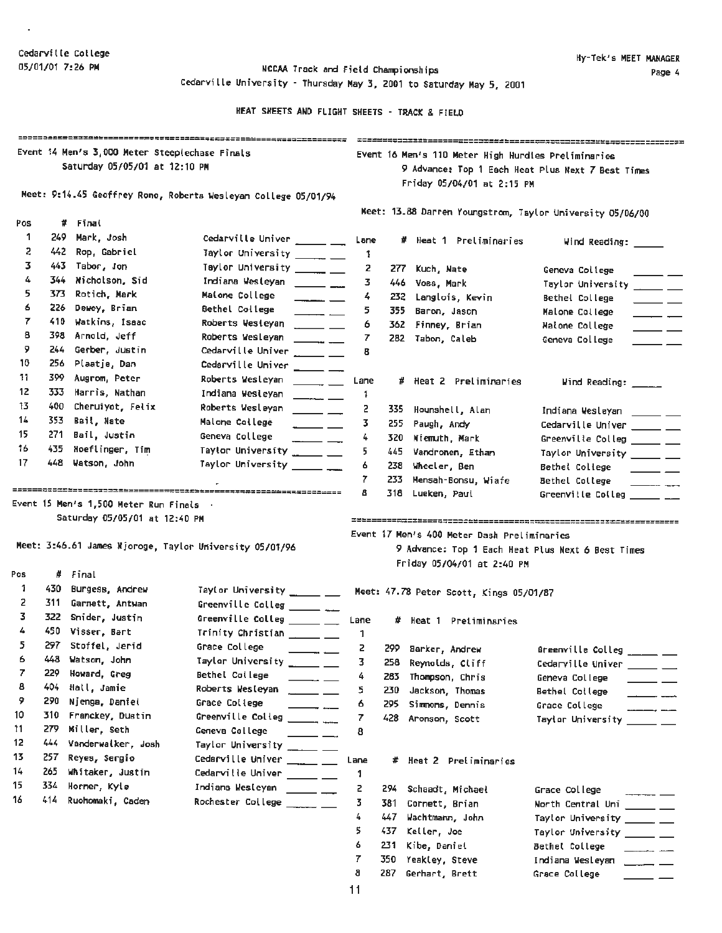$\epsilon$ 

05/01/01 7:26 PM **NCCAA Track and Field Championships** Cedarville University - Thursday May 3, 2001 to Saturday May 5, 2001

|     |       | Event 14 Men's 3,000 Meter Steeplechase Finals          |                                                                                                                                                                                                                                                                                                                                                                                                                                         |                      |       | Event 16 Men's 110 Meter High Hurdies Preliminaries       |                                                                                                                                                                                                                                                                                                                                                                                                                                         |
|-----|-------|---------------------------------------------------------|-----------------------------------------------------------------------------------------------------------------------------------------------------------------------------------------------------------------------------------------------------------------------------------------------------------------------------------------------------------------------------------------------------------------------------------------|----------------------|-------|-----------------------------------------------------------|-----------------------------------------------------------------------------------------------------------------------------------------------------------------------------------------------------------------------------------------------------------------------------------------------------------------------------------------------------------------------------------------------------------------------------------------|
|     |       | Saturday 05/05/01 at 12:10 PM                           |                                                                                                                                                                                                                                                                                                                                                                                                                                         |                      |       |                                                           | 9 Advance: Top 1 Each Heat Plus Next 7 Best Times                                                                                                                                                                                                                                                                                                                                                                                       |
|     |       |                                                         |                                                                                                                                                                                                                                                                                                                                                                                                                                         |                      |       | Friday 05/04/01 at 2:15 PM                                |                                                                                                                                                                                                                                                                                                                                                                                                                                         |
|     |       |                                                         | Meet: 9:14.45 Geoffrey Rono, Roberts Wesleyan College 05/01/94                                                                                                                                                                                                                                                                                                                                                                          |                      |       |                                                           |                                                                                                                                                                                                                                                                                                                                                                                                                                         |
|     |       |                                                         |                                                                                                                                                                                                                                                                                                                                                                                                                                         |                      |       | Meet: 13.88 Darren Youngstrom, Taylor University 05/06/00 |                                                                                                                                                                                                                                                                                                                                                                                                                                         |
| Pos |       | # Final                                                 |                                                                                                                                                                                                                                                                                                                                                                                                                                         |                      |       |                                                           |                                                                                                                                                                                                                                                                                                                                                                                                                                         |
| 1   | 249.  | Mark, Josh                                              | Cedarville Univer ______ ___                                                                                                                                                                                                                                                                                                                                                                                                            | Lane                 |       | # Heat 1 Preliminaries                                    | Wind Reading: _____                                                                                                                                                                                                                                                                                                                                                                                                                     |
| 2   | 442   | Rop, Gabriel                                            | Taylor University _____ __                                                                                                                                                                                                                                                                                                                                                                                                              | 1                    |       |                                                           |                                                                                                                                                                                                                                                                                                                                                                                                                                         |
| 3   |       | 443 Tabor, Jon                                          | Taylor University ______ __                                                                                                                                                                                                                                                                                                                                                                                                             | 2                    | 277.  | Kuch, Nate                                                | Geneva College<br>$\overline{\phantom{a}}$ $\overline{\phantom{a}}$                                                                                                                                                                                                                                                                                                                                                                     |
| 4   | 344.  | Nicholson, Sid                                          | Indiana Westeyan _______ ___                                                                                                                                                                                                                                                                                                                                                                                                            | 3.                   |       | 446 Voss, Mark                                            | Taylor University ______ ___                                                                                                                                                                                                                                                                                                                                                                                                            |
| 5   | 373.  | Rotich, Mark                                            | Maione College<br>$ -$                                                                                                                                                                                                                                                                                                                                                                                                                  | 4                    | 232   | Langlois, Kevin                                           | Bethel College<br>$\frac{1}{1-\frac{1}{1-\frac{1}{1-\frac{1}{1-\frac{1}{1-\frac{1}{1-\frac{1}{1-\frac{1}{1-\frac{1}{1-\frac{1}{1-\frac{1}{1-\frac{1}{1-\frac{1}{1-\frac{1}{1-\frac{1}{1-\frac{1}{1-\frac{1}{1-\frac{1}{1-\frac{1}{1-\frac{1}{1-\frac{1}{1-\frac{1}{1-\frac{1}{1-\frac{1}{1-\frac{1}{1-\frac{1}{1-\frac{1}{1-\frac{1}{1-\frac{1}{1-\frac{1}{1-\frac{1}{1-\frac{1}{1-\frac{1}{1-\frac{1}{1-\frac{1}{1-\frac{1}{1-\frac{1$ |
| 6   | 226   | Dewey, Brian                                            | Bethel College<br>$\overline{\phantom{a}}$ and $\overline{\phantom{a}}$                                                                                                                                                                                                                                                                                                                                                                 | 5                    | 355.  | Baron, Jason                                              | Malone College<br>$\frac{1}{1}$                                                                                                                                                                                                                                                                                                                                                                                                         |
| 7   |       | 410 Watkins, Isaac                                      | Roberts Westeyan ______ ___                                                                                                                                                                                                                                                                                                                                                                                                             | 6                    | 362.  | Finney, Brian                                             | Malone College<br>$\overline{\phantom{a}}$                                                                                                                                                                                                                                                                                                                                                                                              |
| 8   |       | 398 Arnold, Jeff                                        | Roberts Wesleyan<br>$\overline{\phantom{a}}$                                                                                                                                                                                                                                                                                                                                                                                            | 7                    |       | 282 Tabon, Caleb                                          | Geneva College<br>$\overline{\phantom{0}}$                                                                                                                                                                                                                                                                                                                                                                                              |
| 9   | 244   | Gerber, Justin                                          | Cedarville Univer ______ ___                                                                                                                                                                                                                                                                                                                                                                                                            | 8                    |       |                                                           |                                                                                                                                                                                                                                                                                                                                                                                                                                         |
| 10  |       | 256 Plaatje, Dan                                        | Cedarville Univer ______ ___                                                                                                                                                                                                                                                                                                                                                                                                            |                      |       |                                                           |                                                                                                                                                                                                                                                                                                                                                                                                                                         |
| 11. |       | 399 Augrom, Peter                                       | Roberts Wesleyan<br>$\overline{\phantom{iiiiiiiiii}}$                                                                                                                                                                                                                                                                                                                                                                                   | Lane                 |       | # Heat 2 Preliminaries                                    | Wind Reading: _____                                                                                                                                                                                                                                                                                                                                                                                                                     |
| 12  | 333.  | Harris, Nathan                                          | Indiana Wesleyan<br>$\overline{\phantom{a}}$                                                                                                                                                                                                                                                                                                                                                                                            | 1                    |       |                                                           |                                                                                                                                                                                                                                                                                                                                                                                                                                         |
| 13  | 400.  | Cheruiyot, Felix                                        | Roberts Wesleyan<br>$\frac{1}{1}$                                                                                                                                                                                                                                                                                                                                                                                                       | 2                    | 335.  | Hounshell, Alan                                           | Indiana Wesleyan _____ __                                                                                                                                                                                                                                                                                                                                                                                                               |
| 14  |       | 353 Bail, Nate                                          | Malone College<br>$\overline{\phantom{a}}$                                                                                                                                                                                                                                                                                                                                                                                              | 3                    | 255   | Paugh, Andy                                               | Cedarville Univer _____ __                                                                                                                                                                                                                                                                                                                                                                                                              |
| 15  |       | 271 Bail, Justin                                        | Geneva College<br>$\frac{1}{1-\frac{1}{1-\frac{1}{1-\frac{1}{1-\frac{1}{1-\frac{1}{1-\frac{1}{1-\frac{1}{1-\frac{1}{1-\frac{1}{1-\frac{1}{1-\frac{1}{1-\frac{1}{1-\frac{1}{1-\frac{1}{1-\frac{1}{1-\frac{1}{1-\frac{1}{1-\frac{1}{1-\frac{1}{1-\frac{1}{1-\frac{1}{1-\frac{1}{1-\frac{1}{1-\frac{1}{1-\frac{1}{1-\frac{1}{1-\frac{1}{1-\frac{1}{1-\frac{1}{1-\frac{1}{1-\frac{1}{1-\frac{1}{1-\frac{1}{1-\frac{1}{1-\frac{1}{1-\frac{1$ | 4                    | 320.  | Niemuth, Mark                                             | Greenville Colleg _____ __                                                                                                                                                                                                                                                                                                                                                                                                              |
| 16  |       | 435 Noeflinger, Tim                                     | Taylor University ______ __                                                                                                                                                                                                                                                                                                                                                                                                             | 5.                   | 445   | Vandronen, Ethan                                          | Taylor University _____ __                                                                                                                                                                                                                                                                                                                                                                                                              |
| 17  | 448 - | Watson, John                                            | Taylor University ______ ___                                                                                                                                                                                                                                                                                                                                                                                                            | 6                    | 238   | Wheeler, Ben                                              | Bethel College<br><u>____</u> __                                                                                                                                                                                                                                                                                                                                                                                                        |
|     |       |                                                         |                                                                                                                                                                                                                                                                                                                                                                                                                                         | 7                    | 233   | Mensah-Bonsu, Wiafe                                       | Bethel College                                                                                                                                                                                                                                                                                                                                                                                                                          |
|     |       |                                                         |                                                                                                                                                                                                                                                                                                                                                                                                                                         | 8                    | 318   | Lueken, Paul                                              | Greenville Colleg _____ __                                                                                                                                                                                                                                                                                                                                                                                                              |
|     |       | Event 15 Men's 1,500 Meter Run Finals .                 |                                                                                                                                                                                                                                                                                                                                                                                                                                         |                      |       |                                                           |                                                                                                                                                                                                                                                                                                                                                                                                                                         |
|     |       | Saturday 05/05/01 at 12:40 PM                           |                                                                                                                                                                                                                                                                                                                                                                                                                                         |                      |       |                                                           |                                                                                                                                                                                                                                                                                                                                                                                                                                         |
|     |       | Meet: 3:46.61 James Njoroge, Taylor University 05/01/96 |                                                                                                                                                                                                                                                                                                                                                                                                                                         |                      |       | Event 17 Men's 400 Meter Dash Preliminaries               |                                                                                                                                                                                                                                                                                                                                                                                                                                         |
|     |       |                                                         |                                                                                                                                                                                                                                                                                                                                                                                                                                         |                      |       | 9 Advance: Top 1 Each Heat Plus Next 6 Best Times         |                                                                                                                                                                                                                                                                                                                                                                                                                                         |
| Pos | #.    | Final                                                   |                                                                                                                                                                                                                                                                                                                                                                                                                                         |                      |       | Friday 05/04/01 at 2:40 PM                                |                                                                                                                                                                                                                                                                                                                                                                                                                                         |
| 1   | 430.  | Burgess, Andrew                                         | Taylor University _____ __ Meet: 47.78 Peter Scott, Kings 05/01/87                                                                                                                                                                                                                                                                                                                                                                      |                      |       |                                                           |                                                                                                                                                                                                                                                                                                                                                                                                                                         |
| 2   | 311   | Garnett, Antwan                                         | Greenville Colleg ______ __                                                                                                                                                                                                                                                                                                                                                                                                             |                      |       |                                                           |                                                                                                                                                                                                                                                                                                                                                                                                                                         |
| 3.  | 322   | Snider, Justin                                          | Greenville Colleg ______ ___                                                                                                                                                                                                                                                                                                                                                                                                            |                      |       |                                                           |                                                                                                                                                                                                                                                                                                                                                                                                                                         |
| 4   | 450.  | Visser, Bart                                            | Trinity Christian ______ ___                                                                                                                                                                                                                                                                                                                                                                                                            | Lane                 |       | # Heat 1 Pretiminaries                                    |                                                                                                                                                                                                                                                                                                                                                                                                                                         |
| 5.  | 297   | Stoffel, Jerid                                          | Grace College                                                                                                                                                                                                                                                                                                                                                                                                                           | -1<br>$\overline{z}$ |       |                                                           |                                                                                                                                                                                                                                                                                                                                                                                                                                         |
| 6   | 448   | Watson, John                                            | Taylor University ______ ___                                                                                                                                                                                                                                                                                                                                                                                                            | 3                    | 258   | 299 Sarker, Andrew                                        | Greenville Colleg                                                                                                                                                                                                                                                                                                                                                                                                                       |
| 7   | 229   | Howard, Greg                                            | Bethel College                                                                                                                                                                                                                                                                                                                                                                                                                          | 4                    | 283   | Reynolds, Cliff<br>Thompson, Chris                        | Cedarville Univer _____ __                                                                                                                                                                                                                                                                                                                                                                                                              |
| 8   | 404   | Hall, Jamie                                             | $\overline{\phantom{a}}$<br>Roberts Wesleyan<br>$\overline{\phantom{a}}$                                                                                                                                                                                                                                                                                                                                                                | 5                    | 230.  | Jackson, Thomas                                           | Geneva College<br>$\overline{\phantom{a}}$                                                                                                                                                                                                                                                                                                                                                                                              |
| 9   | 290   | Njenga, Daniel                                          | Grace College<br>$\overline{\phantom{a}}$                                                                                                                                                                                                                                                                                                                                                                                               | 6                    | 295.  | Simmons, Dennis                                           | Bethel College                                                                                                                                                                                                                                                                                                                                                                                                                          |
| 10  | 310   | Franckey, Dustin                                        | Greenville Colleg                                                                                                                                                                                                                                                                                                                                                                                                                       | 7                    | 428 - | Aronson, Scott                                            | Grace College<br>Taylor University _____ __                                                                                                                                                                                                                                                                                                                                                                                             |
| 11  | 279   | Miller, Seth                                            | Geneva College<br>المستناسبات                                                                                                                                                                                                                                                                                                                                                                                                           | 8                    |       |                                                           |                                                                                                                                                                                                                                                                                                                                                                                                                                         |
| 12  | 444   | Vanderwalker, Josh                                      | Taylor University ______ ___                                                                                                                                                                                                                                                                                                                                                                                                            |                      |       |                                                           |                                                                                                                                                                                                                                                                                                                                                                                                                                         |
| 13  | 257   | Reyes, Sergio                                           | Cedarville Univer _____ __                                                                                                                                                                                                                                                                                                                                                                                                              | Lane                 |       | # Heat 2 Preliminaries                                    |                                                                                                                                                                                                                                                                                                                                                                                                                                         |
| 14  | 265   | Whitaker, Justin                                        | Cedarville Univer _____ __                                                                                                                                                                                                                                                                                                                                                                                                              | 1                    |       |                                                           |                                                                                                                                                                                                                                                                                                                                                                                                                                         |
| 15  | 334   | Horner, Kyle                                            | Indiana Westeyan ______ __                                                                                                                                                                                                                                                                                                                                                                                                              | 2                    |       | 294 Schaadt, Michael                                      | Grace College                                                                                                                                                                                                                                                                                                                                                                                                                           |
| 16  | 414   | Ruohomaki, Caden                                        | Rochester College ______ __                                                                                                                                                                                                                                                                                                                                                                                                             | 3                    |       | 381 Cornett, Brian                                        | North Central Uni _____ __                                                                                                                                                                                                                                                                                                                                                                                                              |
|     |       |                                                         |                                                                                                                                                                                                                                                                                                                                                                                                                                         | 4                    |       | 447 Wachtmann, John                                       | Taylor University ______ __                                                                                                                                                                                                                                                                                                                                                                                                             |
|     |       |                                                         |                                                                                                                                                                                                                                                                                                                                                                                                                                         | 5                    |       | 437 Keller, Joe                                           | Taylor University _____ __                                                                                                                                                                                                                                                                                                                                                                                                              |
|     |       |                                                         |                                                                                                                                                                                                                                                                                                                                                                                                                                         | 6                    | 231   | Kibe, Daniel                                              | Bethel College<br>$\frac{1}{1-\frac{1}{1-\frac{1}{1-\frac{1}{1-\frac{1}{1-\frac{1}{1-\frac{1}{1-\frac{1}{1-\frac{1}{1-\frac{1}{1-\frac{1}{1-\frac{1}{1-\frac{1}{1-\frac{1}{1-\frac{1}{1-\frac{1}{1-\frac{1}{1-\frac{1}{1-\frac{1}{1-\frac{1}{1-\frac{1}{1-\frac{1}{1-\frac{1}{1-\frac{1}{1-\frac{1}{1-\frac{1}{1-\frac{1}{1-\frac{1}{1-\frac{1}{1-\frac{1}{1-\frac{1}{1-\frac{1}{1-\frac{1}{1-\frac{1}{1-\frac{1}{1-\frac{1}{1-\frac{1$ |
|     |       |                                                         |                                                                                                                                                                                                                                                                                                                                                                                                                                         | 7                    |       | 350 Yeakley, Steve                                        | Indiana Wesleyan<br>$\frac{1}{2}$ and $\frac{1}{2}$ and $\frac{1}{2}$ and $\frac{1}{2}$ and $\frac{1}{2}$ and $\frac{1}{2}$ and $\frac{1}{2}$ and $\frac{1}{2}$ and $\frac{1}{2}$ and $\frac{1}{2}$ and $\frac{1}{2}$ and $\frac{1}{2}$ and $\frac{1}{2}$ and $\frac{1}{2}$ and $\frac{1}{2}$ and $\frac{1}{2}$ a                                                                                                                       |
|     |       |                                                         |                                                                                                                                                                                                                                                                                                                                                                                                                                         | 8                    | 287   | Gerhart, Brett                                            | Grace College                                                                                                                                                                                                                                                                                                                                                                                                                           |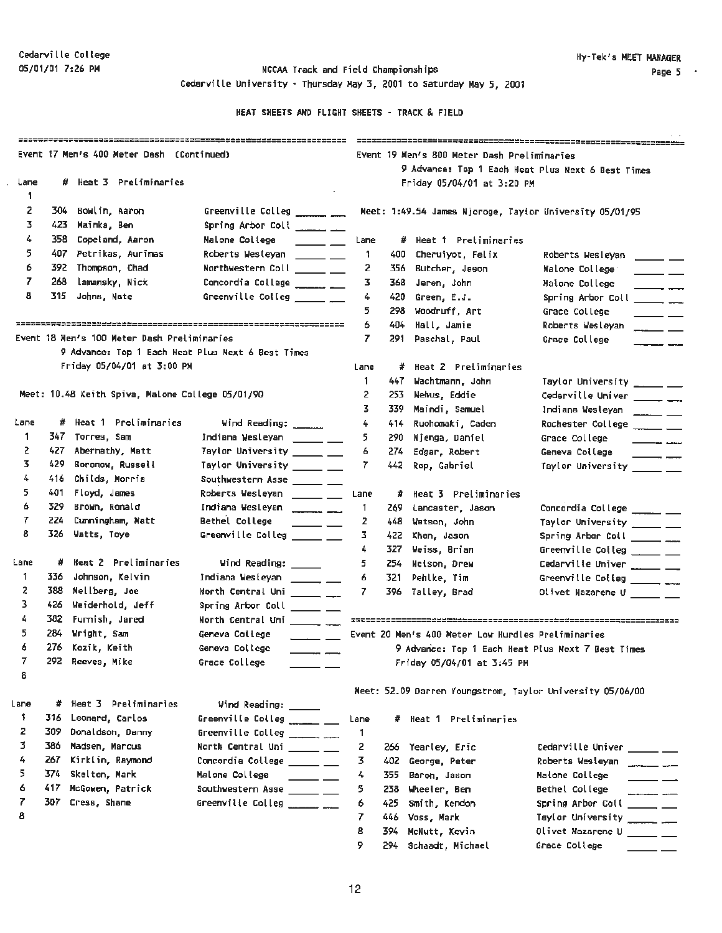$\bar{z}$ 

05/01/01 7:26 PM **NCCAA Track and Field Championships** Cedarville University• Thursday May 3, 2001 to Saturday May 5, 2001

|      |       | Event 17 Men's 400 Meter Dash (Continued)         |                                                                                                                                                                                                                                                                                                                 |      |      | Event 19 Men's 800 Meter Dash Preliminaries        | 9 Advance: Top 1 Each Heat Plus Next 6 Best Times                                                                                                                                                                                                                                                                                                                                                                                        |
|------|-------|---------------------------------------------------|-----------------------------------------------------------------------------------------------------------------------------------------------------------------------------------------------------------------------------------------------------------------------------------------------------------------|------|------|----------------------------------------------------|------------------------------------------------------------------------------------------------------------------------------------------------------------------------------------------------------------------------------------------------------------------------------------------------------------------------------------------------------------------------------------------------------------------------------------------|
| Lane |       | # Heat 3 Preliminaries                            |                                                                                                                                                                                                                                                                                                                 |      |      | Friday 05/04/01 at 3:20 PM                         |                                                                                                                                                                                                                                                                                                                                                                                                                                          |
| 1.   |       |                                                   |                                                                                                                                                                                                                                                                                                                 |      |      |                                                    |                                                                                                                                                                                                                                                                                                                                                                                                                                          |
| 2    | 304   | Bowlin, Aaron                                     | Greenville Colleg _______ ___                                                                                                                                                                                                                                                                                   |      |      |                                                    | Meet: 1:49.54 James Njoroge, Taylor University 05/01/95                                                                                                                                                                                                                                                                                                                                                                                  |
| 3    | 423.  | Mainka, Ben                                       | Spring Arbor Coll _______ ___                                                                                                                                                                                                                                                                                   |      |      |                                                    |                                                                                                                                                                                                                                                                                                                                                                                                                                          |
| 4    | 358.  | Copeland, Aaron                                   | Malone College<br><u>and the state</u>                                                                                                                                                                                                                                                                          | Lane |      | # Heat 1 Preliminaries                             |                                                                                                                                                                                                                                                                                                                                                                                                                                          |
| 5    | 407 - | Petrikas, Aurimas                                 | Roberts Westeyan ______ ___                                                                                                                                                                                                                                                                                     | 1    | 400  | Cheruiyot, Felix                                   | Roberts Wesleyan<br>$\frac{1}{2}$ and $\frac{1}{2}$ and $\frac{1}{2}$                                                                                                                                                                                                                                                                                                                                                                    |
| 6    |       | 392 Thompson, Chad                                | Northwestern Coll _____ __                                                                                                                                                                                                                                                                                      | 2    | 356. | Butcher, Jason                                     | Malone College:<br>$\frac{1}{1-\frac{1}{1-\frac{1}{1-\frac{1}{1-\frac{1}{1-\frac{1}{1-\frac{1}{1-\frac{1}{1-\frac{1}{1-\frac{1}{1-\frac{1}{1-\frac{1}{1-\frac{1}{1-\frac{1}{1-\frac{1}{1-\frac{1}{1-\frac{1}{1-\frac{1}{1-\frac{1}{1-\frac{1}{1-\frac{1}{1-\frac{1}{1-\frac{1}{1-\frac{1}{1-\frac{1}{1-\frac{1}{1-\frac{1}{1-\frac{1}{1-\frac{1}{1-\frac{1}{1-\frac{1}{1-\frac{1}{1-\frac{1}{1-\frac{1}{1-\frac{1}{1-\frac{1}{1-\frac{1$ |
| 7    | 268   | lamansky, Nick                                    | Concordia College ________                                                                                                                                                                                                                                                                                      | 3.   | 368  | Jeren, John                                        | Maione College<br>$\overline{\phantom{a}}$                                                                                                                                                                                                                                                                                                                                                                                               |
| 8    | 315.  | Johns, Nate                                       | Greenville Colleg ______ __                                                                                                                                                                                                                                                                                     | 4    | 420  | Green, E.J.                                        | Spring Arbor Coll ________                                                                                                                                                                                                                                                                                                                                                                                                               |
|      |       |                                                   |                                                                                                                                                                                                                                                                                                                 | 5    | 298  | Woodruff, Art                                      | Grace College                                                                                                                                                                                                                                                                                                                                                                                                                            |
|      |       |                                                   |                                                                                                                                                                                                                                                                                                                 | 6    | 404  | Hall, Jamie                                        | Roberts Wesleyan<br>$\overline{\phantom{a}}$                                                                                                                                                                                                                                                                                                                                                                                             |
|      |       | Event 18 Men's 100 Meter Dash Preliminaries       |                                                                                                                                                                                                                                                                                                                 | 7.   | 291  | Paschal, Paul                                      | Grace College                                                                                                                                                                                                                                                                                                                                                                                                                            |
|      |       | 9 Advance: Top 1 Each Heat Plus Next 6 Best Times |                                                                                                                                                                                                                                                                                                                 |      |      |                                                    |                                                                                                                                                                                                                                                                                                                                                                                                                                          |
|      |       | Friday 05/04/01 at 3:00 PM                        |                                                                                                                                                                                                                                                                                                                 | Lane | #    | Heat 2 Preliminaries                               |                                                                                                                                                                                                                                                                                                                                                                                                                                          |
|      |       |                                                   |                                                                                                                                                                                                                                                                                                                 | 1    | 447. | Wachtmann, John                                    | Taylor University _____ ___                                                                                                                                                                                                                                                                                                                                                                                                              |
|      |       | Meet: 10.48 Keith Spiva, Malone College 05/01/90  |                                                                                                                                                                                                                                                                                                                 | 2    | 253  | Nehus, Eddie                                       | Cedarville Univer ________                                                                                                                                                                                                                                                                                                                                                                                                               |
|      |       |                                                   |                                                                                                                                                                                                                                                                                                                 | 3.   | 339. | Maindi, Samuel                                     | Indiana Westeyan _____ __                                                                                                                                                                                                                                                                                                                                                                                                                |
| Lane |       | # Heat 1 Preliminaries                            | Wind Reading: ______                                                                                                                                                                                                                                                                                            | 4    | 414  | Ruohomaki, Caden                                   | Rochester College _____ __                                                                                                                                                                                                                                                                                                                                                                                                               |
| 1    |       | 347 Torres, Sam                                   | Indiana Wesleyan _____ __                                                                                                                                                                                                                                                                                       | 5.   | 290  | Njenga, Daniel                                     | Grace College<br>$\frac{1}{1-\frac{1}{1-\frac{1}{1-\frac{1}{1-\frac{1}{1-\frac{1}{1-\frac{1}{1-\frac{1}{1-\frac{1}{1-\frac{1}{1-\frac{1}{1-\frac{1}{1-\frac{1}{1-\frac{1}{1-\frac{1}{1-\frac{1}{1-\frac{1}{1-\frac{1}{1-\frac{1}{1-\frac{1}{1-\frac{1}{1-\frac{1}{1-\frac{1}{1-\frac{1}{1-\frac{1}{1-\frac{1}{1-\frac{1}{1-\frac{1}{1-\frac{1}{1-\frac{1}{1-\frac{1}{1-\frac{1}{1-\frac{1}{1-\frac{1}{1-\frac{1}{1-\frac{1}{1-\frac{1$   |
| 2    | 427.  | Abernathy, Matt                                   | Taylor University _____ __                                                                                                                                                                                                                                                                                      | 6    | 274  | Edgar, Robert                                      | Geneva College<br>$\frac{1}{1-\frac{1}{1-\frac{1}{1-\frac{1}{1-\frac{1}{1-\frac{1}{1-\frac{1}{1-\frac{1}{1-\frac{1}{1-\frac{1}{1-\frac{1}{1-\frac{1}{1-\frac{1}{1-\frac{1}{1-\frac{1}{1-\frac{1}{1-\frac{1}{1-\frac{1}{1-\frac{1}{1-\frac{1}{1-\frac{1}{1-\frac{1}{1-\frac{1}{1-\frac{1}{1-\frac{1}{1-\frac{1}{1-\frac{1}{1-\frac{1}{1-\frac{1}{1-\frac{1}{1-\frac{1}{1-\frac{1}{1-\frac{1}{1-\frac{1}{1-\frac{1}{1-\frac{1}{1-\frac{1$  |
| 3.   | 429.  | Boronow, Russell                                  | Taylor University ______ __                                                                                                                                                                                                                                                                                     | 7.   | 442  | Rop, Gabriel                                       | Taylor University _____ __                                                                                                                                                                                                                                                                                                                                                                                                               |
| 4    | 416   | Childs, Morris                                    | Southwestern Asse _____ __                                                                                                                                                                                                                                                                                      |      |      |                                                    |                                                                                                                                                                                                                                                                                                                                                                                                                                          |
| 5.   | 401   | Floyd, James                                      | Roberts Wesleyan ______ ___                                                                                                                                                                                                                                                                                     | Lane | #    | Heat 3 Preliminaries                               |                                                                                                                                                                                                                                                                                                                                                                                                                                          |
| 6    | 329   | Brown, Ronald                                     | Indiana Wesleyan                                                                                                                                                                                                                                                                                                | 1    | 269  | Lancaster, Jason                                   | Concordia College _______ ___                                                                                                                                                                                                                                                                                                                                                                                                            |
| 7    | 224   | Cumningham, Matt                                  | Bethel College<br>$\frac{1}{2}$                                                                                                                                                                                                                                                                                 | 2    | 448  | Wetson, John                                       | Taylor University _____ __                                                                                                                                                                                                                                                                                                                                                                                                               |
| 8    | 326.  | Watts, Toye                                       | Greenville Colleg _____ __                                                                                                                                                                                                                                                                                      | 3.   | 422  | Khon, Jason                                        | Spring Arbor Coll _______                                                                                                                                                                                                                                                                                                                                                                                                                |
|      |       |                                                   |                                                                                                                                                                                                                                                                                                                 | 4.   | 327  | Veiss, Brian                                       | Greenville Colleg $\_\_\_\_\_\_\_\_\_\_\_\$                                                                                                                                                                                                                                                                                                                                                                                              |
| Lane | #     | Heat 2 Preliminaries                              | Wind Reading: _____                                                                                                                                                                                                                                                                                             | 5.   | 254  | Neison, Drew                                       | Cedarville Univer ______ ___                                                                                                                                                                                                                                                                                                                                                                                                             |
| 1    | 336   | Johnson, Kelvin                                   | Indiana Westeyan ______ __                                                                                                                                                                                                                                                                                      | 6    | 321  | Pehlke, Tim                                        | Greenville Colleg $\frac{1}{2}$                                                                                                                                                                                                                                                                                                                                                                                                          |
| 2    | 388   | Mellberg, Joe                                     | North Central Uni ______ __                                                                                                                                                                                                                                                                                     | 7.   |      | 396 Talley, Brad                                   | Olivet Nazarene U _____ __                                                                                                                                                                                                                                                                                                                                                                                                               |
| 3.   | 426   | Weiderhold, Jeff                                  | Spring Arbor Coll _____ __                                                                                                                                                                                                                                                                                      |      |      |                                                    |                                                                                                                                                                                                                                                                                                                                                                                                                                          |
| 4    | 382   | Furnish, Jared                                    |                                                                                                                                                                                                                                                                                                                 |      |      |                                                    |                                                                                                                                                                                                                                                                                                                                                                                                                                          |
| 5    | 284   | Wright, Sam                                       | Geneva College<br>$\frac{1}{2}$ and $\frac{1}{2}$ and $\frac{1}{2}$ and $\frac{1}{2}$ and $\frac{1}{2}$ and $\frac{1}{2}$ and $\frac{1}{2}$ and $\frac{1}{2}$ and $\frac{1}{2}$ and $\frac{1}{2}$ and $\frac{1}{2}$ and $\frac{1}{2}$ and $\frac{1}{2}$ and $\frac{1}{2}$ and $\frac{1}{2}$ and $\frac{1}{2}$ a |      |      | Event 20 Men's 400 Meter Low Hurdles Preliminaries |                                                                                                                                                                                                                                                                                                                                                                                                                                          |
| 6    |       | 276 Kozik, Keith                                  | Geneva College<br>$\overline{\phantom{a}}$                                                                                                                                                                                                                                                                      |      |      |                                                    | 9 Advance: Top 1 Each Heat Plus Next 7 Best Times                                                                                                                                                                                                                                                                                                                                                                                        |
| x    |       | 292 Reeves, Mike                                  | Grace College                                                                                                                                                                                                                                                                                                   |      |      | Friday 05/04/01 at 3:45 PM                         |                                                                                                                                                                                                                                                                                                                                                                                                                                          |
| 8    |       |                                                   |                                                                                                                                                                                                                                                                                                                 |      |      |                                                    |                                                                                                                                                                                                                                                                                                                                                                                                                                          |
|      |       |                                                   |                                                                                                                                                                                                                                                                                                                 |      |      |                                                    | Meet: 52.09 Darren Youngstrom, Taylor University 05/06/00                                                                                                                                                                                                                                                                                                                                                                                |
| Lane |       | # Heat 3 Preliminaries                            | Wind Reading: ____                                                                                                                                                                                                                                                                                              |      |      |                                                    |                                                                                                                                                                                                                                                                                                                                                                                                                                          |
| Ŧ    | 316   | Leonard, Carlos                                   | Greenville Colleg ______ __                                                                                                                                                                                                                                                                                     | Lane | #    | Heat 1 Preliminaries                               |                                                                                                                                                                                                                                                                                                                                                                                                                                          |
| 2    | 309   | Donaldson, Danny                                  | Greenville Colleg _______ ___                                                                                                                                                                                                                                                                                   | 1.   |      |                                                    |                                                                                                                                                                                                                                                                                                                                                                                                                                          |
| 3.   | 386   | Madsen, Marcus                                    | North Central Uni _____ __                                                                                                                                                                                                                                                                                      | 2    | 266  | Yearley, Eric                                      | Cedarville Univer _____ __                                                                                                                                                                                                                                                                                                                                                                                                               |
| 4    | 267   | Kirklin, Raymond                                  | Concordia College ______ __                                                                                                                                                                                                                                                                                     | 3    | 402  | George, Peter                                      | Roberts Wesleyan                                                                                                                                                                                                                                                                                                                                                                                                                         |
| 5.   | 374.  | Skelton, Mark                                     | Malone College<br>$\frac{1}{1}$                                                                                                                                                                                                                                                                                 | 4    | 355  | Baron, Jason                                       | Malone College<br>$\overline{\phantom{a}}$                                                                                                                                                                                                                                                                                                                                                                                               |
| 6    |       | 417 McGowen, Patrick                              | Southwestern Asse _____ __                                                                                                                                                                                                                                                                                      | 5    | 238  | Wheeler, Ben                                       | Bethel College                                                                                                                                                                                                                                                                                                                                                                                                                           |
| 7    |       | 307 Cress, Shane                                  | Greenville Colleg _______ ___                                                                                                                                                                                                                                                                                   | 6    | 425  | Smith, Kendon                                      | Spring Arbor Coll _____ __                                                                                                                                                                                                                                                                                                                                                                                                               |
| 8    |       |                                                   |                                                                                                                                                                                                                                                                                                                 | 7    | 446  | Voss, Mark                                         | Taylor University                                                                                                                                                                                                                                                                                                                                                                                                                        |
|      |       |                                                   |                                                                                                                                                                                                                                                                                                                 | 8    | 394  | McNutt, Xevin                                      | Olivet Nazarene U ______ __                                                                                                                                                                                                                                                                                                                                                                                                              |
|      |       |                                                   |                                                                                                                                                                                                                                                                                                                 | 9    | 294. | Schaadt, Michael                                   | Grace College                                                                                                                                                                                                                                                                                                                                                                                                                            |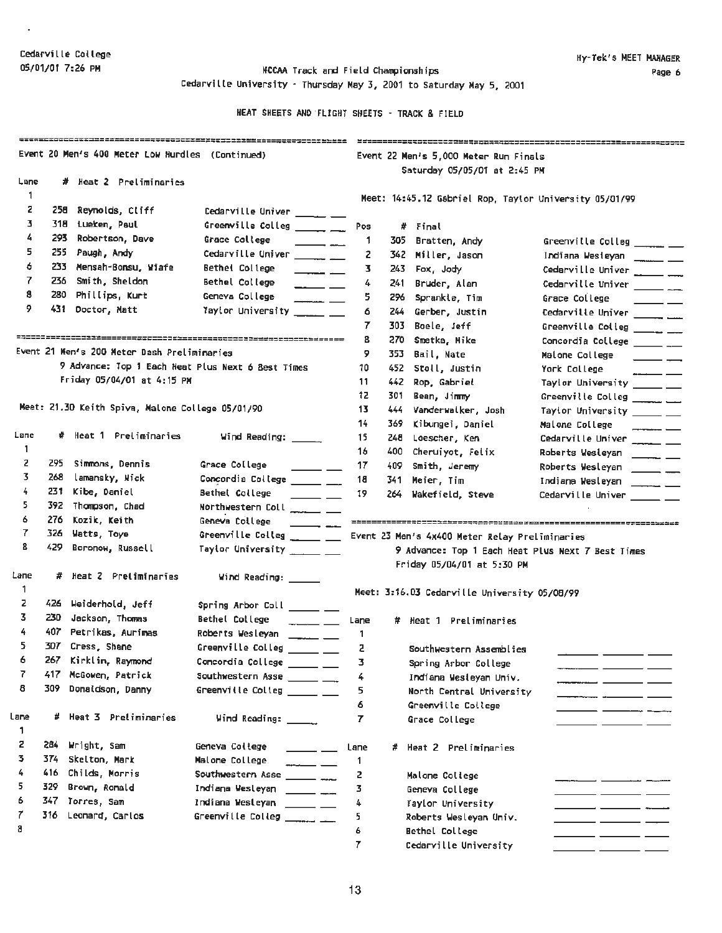$\epsilon$ 

OS/01/01 7:26 PM NCCAA Track and Field Championships Cedarville University - Thursday May 3, 2001 to Saturday May 5, 2001

|              |       | Event 20 Men's 400 Meter Low Hurdles (Continued)  |                                                                                                                                                                                                                                                                                                                                                                                                                                         |      |       | Event 22 Men's 5,000 Meter Run Finals                  |                                                   |
|--------------|-------|---------------------------------------------------|-----------------------------------------------------------------------------------------------------------------------------------------------------------------------------------------------------------------------------------------------------------------------------------------------------------------------------------------------------------------------------------------------------------------------------------------|------|-------|--------------------------------------------------------|---------------------------------------------------|
|              |       |                                                   |                                                                                                                                                                                                                                                                                                                                                                                                                                         |      |       | Saturday 05/05/01 at 2:45 PM                           |                                                   |
| Lane         |       | # Heat 2 Preliminaries                            |                                                                                                                                                                                                                                                                                                                                                                                                                                         |      |       |                                                        |                                                   |
| 1            |       |                                                   |                                                                                                                                                                                                                                                                                                                                                                                                                                         |      |       | Meet: 14:45.12 Gabriel Rop, Taylor University 05/01/99 |                                                   |
| 2            |       | 258 Reynolds, Cliff                               | Cedarville Univer _____ __                                                                                                                                                                                                                                                                                                                                                                                                              |      |       |                                                        |                                                   |
| з            |       | 318 Lueken, Paul                                  | Greenville Colleg $\_\_\_\_\_\_\_\_\$                                                                                                                                                                                                                                                                                                                                                                                                   | Pos  |       | # Final                                                |                                                   |
| 4            | 293.  | Robertson, Dave                                   | Grace College<br>$\overline{\phantom{a}}$                                                                                                                                                                                                                                                                                                                                                                                               | -1   | 305   | Bratten, Andy                                          | Greenville Colleg _____ __                        |
| 5            |       | 255 Paugh, Andy                                   | Cedarville Univer __________                                                                                                                                                                                                                                                                                                                                                                                                            | z    | 342   | Miller, Jason                                          | Indiana Westeyan ______ __                        |
| 6            |       | 233 Mensah-Bonsu, Wiafe                           | Bethel College<br>$\overline{\phantom{a}}$                                                                                                                                                                                                                                                                                                                                                                                              | з    | 243   | Fox, Jody                                              | Cedarville Univer $\frac{1}{2}$                   |
| 7            |       | 236 Smith, Sheldon                                | Bethel College<br>$\overline{\phantom{a}}$                                                                                                                                                                                                                                                                                                                                                                                              | 4    | 241   | Bruder, Alan                                           | Cedarville Univer $\frac{1}{2}$                   |
| 8            |       | 280 Phillips, Kurt                                | Geneva College<br>$\overline{\phantom{a}}$                                                                                                                                                                                                                                                                                                                                                                                              | 5.   | 296   | Sprankle, Tim                                          | Grace College                                     |
| 9.           |       | 431 Doctor, Matt                                  | Taylor University ______ __                                                                                                                                                                                                                                                                                                                                                                                                             | 6    | 244   | Gerber, Justin                                         | Cedarville Univer ______ ___                      |
|              |       |                                                   |                                                                                                                                                                                                                                                                                                                                                                                                                                         | 7    | 303   | Boele, Jeff                                            | Greenville Colleg $\frac{1}{2}$                   |
|              |       |                                                   |                                                                                                                                                                                                                                                                                                                                                                                                                                         | 8    | 270   | Smetka, Mike                                           | Concordia College ______ __                       |
|              |       | Event 21 Men's 200 Meter Dash Preliminaries       |                                                                                                                                                                                                                                                                                                                                                                                                                                         | 9    | 353   | Bail, Nate                                             | Malone College<br>$\overline{\phantom{0}}$        |
|              |       | 9 Advance: Top 1 Each Heat Plus Next 6 Best Times |                                                                                                                                                                                                                                                                                                                                                                                                                                         | 10   | 452   | Stoll, Justin                                          | York College<br>$\overline{\phantom{iiiiiiii}}$   |
|              |       | Friday 05/04/01 at 4:15 PM                        |                                                                                                                                                                                                                                                                                                                                                                                                                                         | 11   | 442   | Rop, Gabriel                                           | Taylor University _____ __                        |
|              |       |                                                   |                                                                                                                                                                                                                                                                                                                                                                                                                                         | 12   | 301.  | Bean, Jimmy                                            | Greenville Colleg ______ __                       |
|              |       | Meet: 21.30 Keith Spiva, Malone College 05/01/90  |                                                                                                                                                                                                                                                                                                                                                                                                                                         | 13   | 444   | Vanderwalker, Josh                                     | Taylor University ______ __                       |
|              |       |                                                   |                                                                                                                                                                                                                                                                                                                                                                                                                                         | 14   | 369.  | Kibungei, Daniel                                       | Malone College                                    |
| Lane         |       | # Heat 1 Preliminaries                            | Wind Reading: ______                                                                                                                                                                                                                                                                                                                                                                                                                    | 15.  | 248   | Loescher, Ken                                          | Cedarville Univer ______ __                       |
| 1            |       |                                                   |                                                                                                                                                                                                                                                                                                                                                                                                                                         | 16   | 400   | Cheruiyot, Felix                                       | Roberts Wesleyan _____ __                         |
| 2            | 295.  | Simmons, Dennis                                   | Grace College<br>$\frac{1}{2}$                                                                                                                                                                                                                                                                                                                                                                                                          | 17   | 409.  | Smith, Jeremy                                          | Roberts Wesleyan _______ ___                      |
| 3            | 268   | lamansky, Nick                                    | Concordia College ______ __                                                                                                                                                                                                                                                                                                                                                                                                             | 18   | 341.  | Meier, Tim                                             | Indiana Wesleyan<br>$\overline{\phantom{a}}$      |
| 4            | 231   | Kibe, Daniel                                      | Bethel College<br>$\frac{1}{1-\frac{1}{1-\frac{1}{1-\frac{1}{1-\frac{1}{1-\frac{1}{1-\frac{1}{1-\frac{1}{1-\frac{1}{1-\frac{1}{1-\frac{1}{1-\frac{1}{1-\frac{1}{1-\frac{1}{1-\frac{1}{1-\frac{1}{1-\frac{1}{1-\frac{1}{1-\frac{1}{1-\frac{1}{1-\frac{1}{1-\frac{1}{1-\frac{1}{1-\frac{1}{1-\frac{1}{1-\frac{1}{1-\frac{1}{1-\frac{1}{1-\frac{1}{1-\frac{1}{1-\frac{1}{1-\frac{1}{1-\frac{1}{1-\frac{1}{1-\frac{1}{1-\frac{1}{1-\frac{1$ | 19   | 264 - | Wakefield, Steve                                       | Cedarville Univer ______ __                       |
| 5            |       | 392 Thompson, Chad                                | Northwestern Coll ______ __                                                                                                                                                                                                                                                                                                                                                                                                             |      |       |                                                        |                                                   |
| 6            | 276 - | Kozik, Keith                                      | Geneva College<br>$\frac{1}{1-\frac{1}{1-\frac{1}{1-\frac{1}{1-\frac{1}{1-\frac{1}{1-\frac{1}{1-\frac{1}{1-\frac{1}{1-\frac{1}{1-\frac{1}{1-\frac{1}{1-\frac{1}{1-\frac{1}{1-\frac{1}{1-\frac{1}{1-\frac{1}{1-\frac{1}{1-\frac{1}{1-\frac{1}{1-\frac{1}{1-\frac{1}{1-\frac{1}{1-\frac{1}{1-\frac{1}{1-\frac{1}{1-\frac{1}{1-\frac{1}{1-\frac{1}{1-\frac{1}{1-\frac{1}{1-\frac{1}{1-\frac{1}{1-\frac{1}{1-\frac{1}{1-\frac{1}{1-\frac{1$ |      |       |                                                        |                                                   |
| 7            | 326   | Watts, Toye                                       | Greenville Colleg $\_\_\_\_\_\_\_\_\_\_\_\_\_\_\_$                                                                                                                                                                                                                                                                                                                                                                                      |      |       | Event 23 Men's 4x400 Meter Relay Preliminaries         |                                                   |
| 8            | 429.  | Boronow, Russell                                  | Taylor University ______ ___                                                                                                                                                                                                                                                                                                                                                                                                            |      |       |                                                        | 9 Advance: Top 1 Each Heat Plus Next 7 Best Times |
|              |       |                                                   |                                                                                                                                                                                                                                                                                                                                                                                                                                         |      |       | Friday 05/04/01 at 5:30 PM                             |                                                   |
| Lane         |       | # Heat 2 Preliminaries                            | Wind Reading: _____                                                                                                                                                                                                                                                                                                                                                                                                                     |      |       |                                                        |                                                   |
| $\mathbf{1}$ |       |                                                   |                                                                                                                                                                                                                                                                                                                                                                                                                                         |      |       | Meet: 3:16.03 Cedarville University 05/08/99           |                                                   |
| z            |       | 426 Weiderhold, Jeff                              | Spring Arbor Coll ______ __                                                                                                                                                                                                                                                                                                                                                                                                             |      |       |                                                        |                                                   |
| 3.           |       | 230 Jackson, Thomas                               | Bethel College<br>$\frac{1}{2}$                                                                                                                                                                                                                                                                                                                                                                                                         | Lane |       | # Heat 1 Preliminaries                                 |                                                   |
| 4            |       | 407 Petrikas, Aurimas                             | Roberts Wesleyan ______ __                                                                                                                                                                                                                                                                                                                                                                                                              | -1   |       |                                                        |                                                   |
| 5.           |       | 307 Cress, Shane                                  | Greenville Colleg ______ ___                                                                                                                                                                                                                                                                                                                                                                                                            | z    |       | Southwestern Assemblies                                |                                                   |
| 6            |       | 267 Kirklin, Raymond                              | Concordia College ______ ___                                                                                                                                                                                                                                                                                                                                                                                                            | з    |       | Spring Arbor College                                   |                                                   |
| 7            | 417.  | McGowen, Patrick                                  | Southwestern Asse ______ ___                                                                                                                                                                                                                                                                                                                                                                                                            | 4    |       | Indiana Wesleyan Univ.                                 |                                                   |
| 8            | 309.  | Donaldson, Danny                                  | Greenville Colleg ______ ___                                                                                                                                                                                                                                                                                                                                                                                                            | 5    |       | North Central University                               |                                                   |
|              |       |                                                   |                                                                                                                                                                                                                                                                                                                                                                                                                                         | 6.   |       | Greenville College                                     |                                                   |
| Lane         |       | # Heat 3 Pretiminaries                            | Wind Reading: ______                                                                                                                                                                                                                                                                                                                                                                                                                    | 7    |       | Grace College                                          | ___                                               |
| 1            |       |                                                   |                                                                                                                                                                                                                                                                                                                                                                                                                                         |      |       |                                                        |                                                   |
| 2            | 284   | Wright, Sam                                       | Geneva College<br><u>and the state</u>                                                                                                                                                                                                                                                                                                                                                                                                  | Lane |       | # Heat 2 Preliminaries                                 |                                                   |
| 3.           | 374.  | Skelton, Mark                                     | Malone College                                                                                                                                                                                                                                                                                                                                                                                                                          | -1   |       |                                                        |                                                   |
| 4            | 416.  | Childs, Morris                                    | Southwestern Asse _______ ___                                                                                                                                                                                                                                                                                                                                                                                                           | 2    |       | Malone College                                         |                                                   |
| 5            | 329.  | Brown, Ronald                                     | Indiana Westeyan ______ __                                                                                                                                                                                                                                                                                                                                                                                                              | 3    |       | Geneva College                                         |                                                   |
| 6            | 347.  | Torres, Sam                                       | Indiana Westeyan ______ __                                                                                                                                                                                                                                                                                                                                                                                                              | 4    |       | Taylor University                                      |                                                   |
| 7            |       | 316 Leonard, Carlos                               | Greenville Colleg $\frac{1}{2}$                                                                                                                                                                                                                                                                                                                                                                                                         | 5    |       | Roberts Wesleyan Univ.                                 | ____ ________ __                                  |
| 8            |       |                                                   |                                                                                                                                                                                                                                                                                                                                                                                                                                         | 6    |       | <b>Bethel College</b>                                  | ____                                              |
|              |       |                                                   |                                                                                                                                                                                                                                                                                                                                                                                                                                         | 7    |       | Cedarville University                                  |                                                   |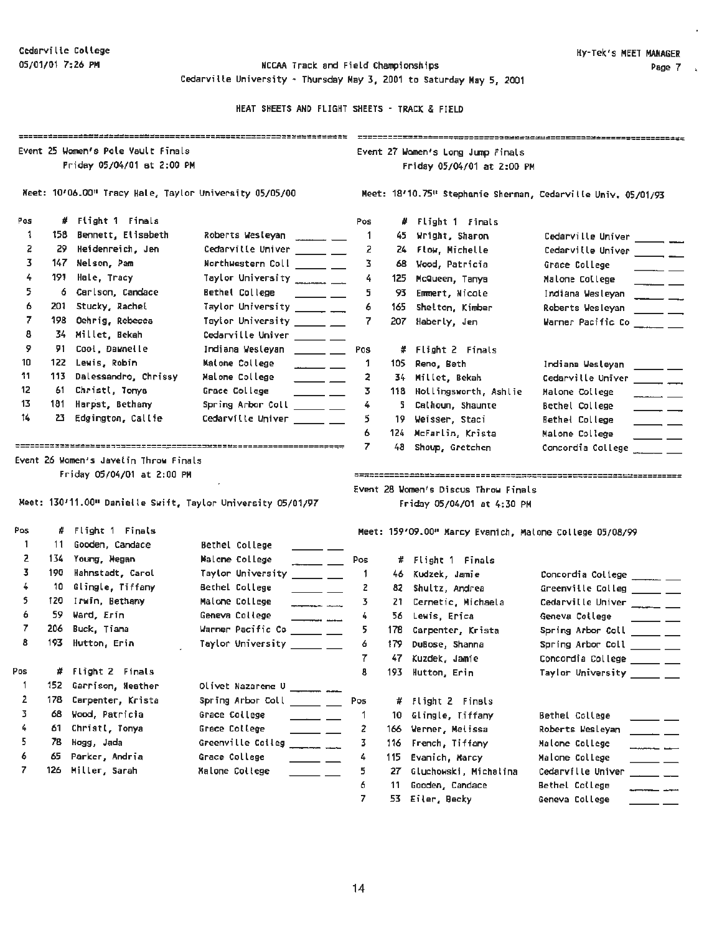05/01/01 7:26 **PN** NCCAA Track and Field Championships Cedarville University - Thursday **May 3,** 2001 to Saturday May 5, 2001

|          | Event 25 Women's Pole Vault Finals<br>Friday 05/04/01 st 2:00 PM |                                                                     |                                |                                                                                                                                                                                                                                                                                                                                                                                                                                               |                                                              |       | Event 27 Women's Long Jump Finals                       |                                                                                                |  |
|----------|------------------------------------------------------------------|---------------------------------------------------------------------|--------------------------------|-----------------------------------------------------------------------------------------------------------------------------------------------------------------------------------------------------------------------------------------------------------------------------------------------------------------------------------------------------------------------------------------------------------------------------------------------|--------------------------------------------------------------|-------|---------------------------------------------------------|------------------------------------------------------------------------------------------------|--|
|          |                                                                  |                                                                     |                                |                                                                                                                                                                                                                                                                                                                                                                                                                                               |                                                              |       | Friday 05/04/01 at 2:00 PM                              |                                                                                                |  |
|          |                                                                  | Meet: 10/06.00" Tracy Hale, Taylor University 05/05/00              |                                |                                                                                                                                                                                                                                                                                                                                                                                                                                               | Meet: 18'10.75" Stephanie Sherman, Cedarville Univ. 05/01/93 |       |                                                         |                                                                                                |  |
| Pos      |                                                                  | # Flight 1 Finals                                                   |                                |                                                                                                                                                                                                                                                                                                                                                                                                                                               | Pos                                                          |       | # Flight 1 Finals                                       |                                                                                                |  |
| 1        |                                                                  | 158 Bennett, Elisabeth                                              | Roberts Wesleyan ________ ___  |                                                                                                                                                                                                                                                                                                                                                                                                                                               | -1.                                                          | 45.   | Wright, Sharon                                          | Cedarville Univer _______ ___                                                                  |  |
| 2        | 29.                                                              | Heidenreich, Jen                                                    | Cedarville Univer ______ __    |                                                                                                                                                                                                                                                                                                                                                                                                                                               | 2                                                            |       | 24 Flow, Michelle                                       | Cedarville Univer _______ ___                                                                  |  |
| 3.       | 147 -                                                            | Nelson, Pam                                                         | Northwestern Coll _____ __     |                                                                                                                                                                                                                                                                                                                                                                                                                                               | 3                                                            | 68.   | Wood, Patricia                                          | Grace College<br>$\overline{\phantom{a}}$                                                      |  |
| 4        | 191.                                                             | Hale, Tracy                                                         | Taylor University ____________ |                                                                                                                                                                                                                                                                                                                                                                                                                                               | 4                                                            | 125   | McQueen, Tanya                                          | Malone College<br>$ -$                                                                         |  |
| 5        | 6.                                                               | Carlson, Candace                                                    | Bethel College                 | $\frac{1}{2}$ and $\frac{1}{2}$ and $\frac{1}{2}$ and $\frac{1}{2}$ and $\frac{1}{2}$ and $\frac{1}{2}$                                                                                                                                                                                                                                                                                                                                       | 5.                                                           | 93    | Emmert, Nicole                                          | Indiana Wesleyan ______ __                                                                     |  |
| 6        | 201                                                              | Stucky, Rachel                                                      | Taylor University _______ ___  |                                                                                                                                                                                                                                                                                                                                                                                                                                               | 6                                                            | 165   | Shelton, Kimber                                         | Roberts Wesleyan _____ __                                                                      |  |
| 7        | 198                                                              | Oehrig, Rebecca                                                     | Taylor University ______ __    |                                                                                                                                                                                                                                                                                                                                                                                                                                               | 7                                                            | 207   | Haberly, Jen                                            | Warner Pacific Co _____ __                                                                     |  |
| 8        | 34.                                                              | Millet, Bekah                                                       | Cedarville Univer ______ __    |                                                                                                                                                                                                                                                                                                                                                                                                                                               |                                                              |       |                                                         |                                                                                                |  |
| 9        | 91.                                                              | Cool, Dawnelle                                                      | Indiana Westeyan ______ ___    |                                                                                                                                                                                                                                                                                                                                                                                                                                               | Pos                                                          |       | # Flight 2 Finals                                       |                                                                                                |  |
| 10       |                                                                  | 122 Lewis, Robin                                                    | Matone College                 | المستنقذ المستحققة                                                                                                                                                                                                                                                                                                                                                                                                                            | 1                                                            | 105   | Reno, Beth                                              | Indiana Westeyan _____ __                                                                      |  |
| 11       | 113                                                              | Dalessandro, Chrissy                                                | Malome College                 | $\frac{1}{1}$                                                                                                                                                                                                                                                                                                                                                                                                                                 | 2                                                            |       | 34 Millet, Bekah                                        | Cedarville Univer $\frac{1}{\sqrt{1-\frac{1}{2}}}$                                             |  |
| 12       |                                                                  | 61 Christl, Tonya                                                   | Grace College                  | $\frac{1}{1} \left( \frac{1}{1} \right)^{2} \left( \frac{1}{1} \right)^{2} \left( \frac{1}{1} \right)^{2} \left( \frac{1}{1} \right)^{2} \left( \frac{1}{1} \right)^{2} \left( \frac{1}{1} \right)^{2} \left( \frac{1}{1} \right)^{2} \left( \frac{1}{1} \right)^{2} \left( \frac{1}{1} \right)^{2} \left( \frac{1}{1} \right)^{2} \left( \frac{1}{1} \right)^{2} \left( \frac{1}{1} \right)^{2} \left( \frac{1}{1} \right)^{2} \left( \frac$ | 3                                                            | 118   | Hollingsworth, Ashlie                                   | Malone College<br>$\overline{\phantom{a}}$                                                     |  |
| 13       |                                                                  | 181 Harpst, Bethany                                                 | Spring Arbor Coll ______ __    |                                                                                                                                                                                                                                                                                                                                                                                                                                               | 4                                                            | 5.    | Calhoun, Shaunte                                        | Bethel College<br>$\overline{\phantom{a}}$                                                     |  |
| 14       |                                                                  | 23 Edgington, Callie                                                | Cedarville Univer ______ __    |                                                                                                                                                                                                                                                                                                                                                                                                                                               | 5                                                            |       | 19 Weisser, Staci                                       | Bethel College<br>$\overline{\phantom{a}}$                                                     |  |
|          |                                                                  |                                                                     |                                |                                                                                                                                                                                                                                                                                                                                                                                                                                               | 6                                                            |       | 124 McFarlin, Krista                                    | Malone College                                                                                 |  |
|          |                                                                  |                                                                     |                                |                                                                                                                                                                                                                                                                                                                                                                                                                                               |                                                              | 48    |                                                         |                                                                                                |  |
|          |                                                                  | Event 26 Women's Javelin Throw Finals<br>Friday 05/04/01 at 2:00 PM |                                |                                                                                                                                                                                                                                                                                                                                                                                                                                               | 7.                                                           |       | Shoup, Gretchen<br>Event 28 Women's Discus Throw Finals |                                                                                                |  |
|          |                                                                  | Meet: 130'11.00" Danielle Swift, Taylor University 05/01/97         |                                |                                                                                                                                                                                                                                                                                                                                                                                                                                               |                                                              |       | Friday 05/04/01 at 4:30 PM                              | Concordia College _____ __<br>7788566222222222333333333344227333963656565555555555552223333333 |  |
|          |                                                                  | # Flight 1 Finals                                                   |                                |                                                                                                                                                                                                                                                                                                                                                                                                                                               |                                                              |       | Meet: 159'09.00" Marcy Evanich, Maione College 05/08/99 |                                                                                                |  |
| 1        | 11                                                               | Gooden, Candace                                                     | Bethel College                 |                                                                                                                                                                                                                                                                                                                                                                                                                                               |                                                              |       |                                                         |                                                                                                |  |
| 2        |                                                                  | 134 Young, Megan                                                    | Malone College                 | $\overline{\phantom{a}}$                                                                                                                                                                                                                                                                                                                                                                                                                      | Pos                                                          |       | # Flight 1 Finals                                       |                                                                                                |  |
| 3        | 190                                                              | Hahnstadt, Carol                                                    | Taylor University ______ __    |                                                                                                                                                                                                                                                                                                                                                                                                                                               | 1                                                            |       | 46 Kudzek, Jamie                                        | Concordia College ______ __                                                                    |  |
| 4        | 10                                                               | Glingle, Tiffany                                                    | Bethel College                 | $\overline{\phantom{iiiiiiii}}$                                                                                                                                                                                                                                                                                                                                                                                                               | 2                                                            |       | 82 Shultz, Andrea                                       | Greenville Colleg _____ __                                                                     |  |
| 5.       |                                                                  | 120 Irwin, Bethany                                                  | Malone College                 | and a series of the series of the series of the series of the series of the series of the series of the series                                                                                                                                                                                                                                                                                                                                | 3                                                            |       | 21 Cernetic, Michaela                                   | Cedarville Univer _____ __                                                                     |  |
| 6        | 59.                                                              | Ward, Erin                                                          | Geneva College                 | —— <del>————</del>                                                                                                                                                                                                                                                                                                                                                                                                                            | 4                                                            |       | 56 Lewis, Erica                                         | Geneva College<br>$\frac{1}{1}$                                                                |  |
| 7.       | 206                                                              | Buck, Tiana                                                         | Warner Pacific Co ______ ___   |                                                                                                                                                                                                                                                                                                                                                                                                                                               | 5.                                                           |       | 178 Carpenter, Krista                                   | Spring Arbor Coll _____ __                                                                     |  |
| 8        |                                                                  | 193 Hutton, Erin                                                    | Taylor University ______ __    |                                                                                                                                                                                                                                                                                                                                                                                                                                               | 6                                                            |       | 179 DuBose, Shanna                                      | Spring Arbor Coll _____ __                                                                     |  |
|          |                                                                  |                                                                     |                                |                                                                                                                                                                                                                                                                                                                                                                                                                                               |                                                              |       | 47 Kuzdek, Jamie                                        | Concordia College _____ __                                                                     |  |
|          | #.                                                               | Flight 2 Finals                                                     |                                |                                                                                                                                                                                                                                                                                                                                                                                                                                               | 8                                                            | 193 - | Hutton, Erin                                            | Taylor University _____ __                                                                     |  |
| 1        | 152                                                              | Garrison, Heather                                                   | Olivet Nazarene U ________ ___ |                                                                                                                                                                                                                                                                                                                                                                                                                                               |                                                              |       |                                                         |                                                                                                |  |
| 2        | 178                                                              | Carpenter, Krista                                                   | Spring Arbor Coll              |                                                                                                                                                                                                                                                                                                                                                                                                                                               | Pos                                                          | #     | Flight 2 Finsls                                         |                                                                                                |  |
| 3        | 68                                                               | Wood, Patricia                                                      | Grace College                  | للمستنقص المستنقص                                                                                                                                                                                                                                                                                                                                                                                                                             | 1                                                            | 10    | Glingle, Tiffany                                        | Bethel College                                                                                 |  |
| 4        | 61                                                               | Christl, Tonya                                                      | Grace College                  | $\frac{1}{2}$                                                                                                                                                                                                                                                                                                                                                                                                                                 | 2                                                            | 166   | Werner, Melissa                                         | Roberts Wesleyan                                                                               |  |
| 5.       | 78                                                               | Hogg, Jada                                                          | Greenville Colleg              | $\frac{1}{1-\frac{1}{1-\frac{1}{1-\frac{1}{1-\frac{1}{1-\frac{1}{1-\frac{1}{1-\frac{1}{1-\frac{1}{1-\frac{1}{1-\frac{1}{1-\frac{1}{1-\frac{1}{1-\frac{1}{1-\frac{1}{1-\frac{1}{1-\frac{1}{1-\frac{1}{1-\frac{1}{1-\frac{1}{1-\frac{1}{1-\frac{1}{1-\frac{1}{1-\frac{1}{1-\frac{1}{1-\frac{1}{1-\frac{1}{1-\frac{1}{1-\frac{1}{1-\frac{1}{1-\frac{1}{1-\frac{1}{1-\frac{1}{1-\frac{1}{1-\frac{1}{1-\frac{1}{1-\frac{1$                         | 3                                                            | 116.  | French, Tiffany                                         | Malone College                                                                                 |  |
| Pos<br>6 | 65                                                               | Parker, Andria                                                      | Grace College                  | $\overline{\phantom{a}}$                                                                                                                                                                                                                                                                                                                                                                                                                      | 4                                                            | 115   | Evanich, Marcy                                          | Malone College                                                                                 |  |
| 7        | 126                                                              | Miller, Sarah                                                       | Malone College                 |                                                                                                                                                                                                                                                                                                                                                                                                                                               | 5                                                            | 27.   | Gluchowski, Michalina                                   | Cedarville Univer                                                                              |  |
| Pos      |                                                                  |                                                                     |                                |                                                                                                                                                                                                                                                                                                                                                                                                                                               | 6<br>7                                                       | 11    | Gooden, Candace<br>53 Eiler, Becky                      | Bethel College<br>Geneva College                                                               |  |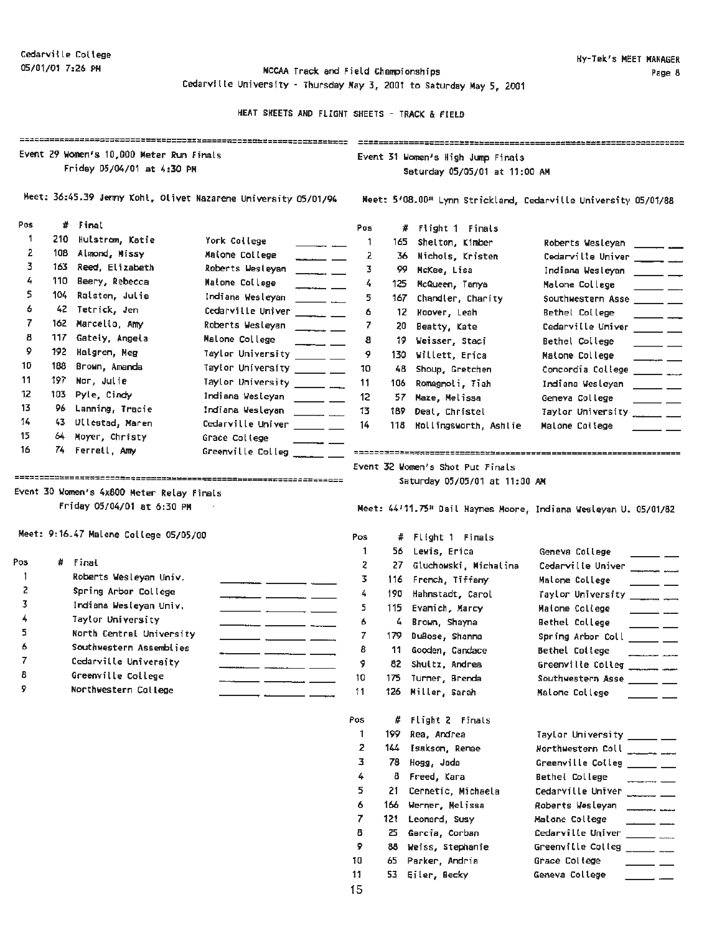05/01/01 7:26 PH MCCAA Track and Field chanpionships Cedarville University - Thursday May 3, 2001 to Saturday May 5, 2001

|           | Event 29 Women's 10,000 Meter Run Finals<br>Friday 05/04/01 at 4:30 PM<br>Meet: 36:45.39 Jenny Kohl, Olivet Nazarene University 05/01/94 |                                            |                                                                    | Event 31 Women's High Jump Finals<br>Saturday 05/05/01 at 11:00 AM<br>Meet: 5'08.00" Lynn Strickland, Cedarville University 05/01/88 |       |                                           |                                                                       |  |  |
|-----------|------------------------------------------------------------------------------------------------------------------------------------------|--------------------------------------------|--------------------------------------------------------------------|--------------------------------------------------------------------------------------------------------------------------------------|-------|-------------------------------------------|-----------------------------------------------------------------------|--|--|
|           |                                                                                                                                          |                                            |                                                                    |                                                                                                                                      |       |                                           |                                                                       |  |  |
| Pos       |                                                                                                                                          | # Final                                    |                                                                    | Pos                                                                                                                                  |       | # Flight 1 Finals                         |                                                                       |  |  |
| -1        | 210.                                                                                                                                     | Hulstrom, Katie                            | York College                                                       | 1                                                                                                                                    | 165   | Shelton, Kimber                           | Roberts Wesleyan<br>$\frac{1}{2}$ and $\frac{1}{2}$ and $\frac{1}{2}$ |  |  |
| 2         | 108                                                                                                                                      | Almond, Missy                              | Malone College<br>$\overline{a}$ . $\overline{a}$ . $\overline{a}$ | 2                                                                                                                                    | 36.   | Nichols, Kristen                          | Cedarville Univer _______ ___                                         |  |  |
| 3         | 163 -                                                                                                                                    | Reed, Elizabeth                            | Roberts Wesleyan<br>$\overline{\phantom{a}}$                       | 3                                                                                                                                    | 99.   | McKee, Lisa                               | Indiana Wesleyan<br>$\overline{\phantom{a}}$                          |  |  |
| 4         | 110                                                                                                                                      | Beery, Rebecca                             | Matome College<br>$ -$                                             | 4                                                                                                                                    | 125.  | McQueen, Tanya                            | Malone College                                                        |  |  |
| 5.        | 104.                                                                                                                                     | Raiston, Julie                             | Indiana Wesleyan                                                   | 5.                                                                                                                                   | 167.  | Chandler, Charity                         | Southwestern Asse ______ __                                           |  |  |
| 6         | 42                                                                                                                                       | Tetrick, Jen                               | Cedarville Univer ______ __                                        | 6                                                                                                                                    | 12.   | Hoover, Leah                              | Bethel College                                                        |  |  |
| 7         | 162                                                                                                                                      | Marcello, Amy                              | Roberts Wesleyan<br>$\overline{\phantom{a}}$                       | 7                                                                                                                                    | 20    | Beatty, Kate                              | Cedarville Univer                                                     |  |  |
| 8         | 117 -                                                                                                                                    | Gateiy, Angela                             | Malone College<br>$ -$                                             | 8                                                                                                                                    | 19.   | Weisser, Staci                            | Bethel College                                                        |  |  |
| 9         | 192                                                                                                                                      | Halgren, Meg                               | Taylor University _____ __                                         | 9                                                                                                                                    | 130 - | Willett, Erica                            | Matone College                                                        |  |  |
| 10        | 188                                                                                                                                      | Brown, Amanda                              | Taylor University _____ __                                         | 10                                                                                                                                   | 48    | Shoup, Gretchen                           | Concordia College ______ ___                                          |  |  |
| 11        | 197.                                                                                                                                     | Nor, Julie                                 | Taylor University _______ ___                                      | 11                                                                                                                                   | 106   | Romagnoli, Tiah                           | Indiana Wesleyan                                                      |  |  |
| 12        | 103.                                                                                                                                     | Pyle, Cindy                                | Indiana Wesleyan<br>$\frac{1}{2}$ and $\frac{1}{2}$                | 12                                                                                                                                   |       | 57 Maze, Melissa                          | Gemeva College                                                        |  |  |
| 13        | 96.                                                                                                                                      | Lanning, Tracie                            | Indiana Wesleyan<br>$\overline{\phantom{a}}$                       | 13                                                                                                                                   | 189.  | Deal, Christel                            | Taylor University ________                                            |  |  |
| 14        | 43.                                                                                                                                      | Ullestad, Maren                            | Cedarville Univer ______ ___                                       | 14                                                                                                                                   | 118   | Mollingsworth, Ashlie                     | Malone College                                                        |  |  |
| 15        | 64.                                                                                                                                      | Moyer, Christy                             | Grace College                                                      |                                                                                                                                      |       |                                           |                                                                       |  |  |
| 16        |                                                                                                                                          | 74 Ferrell, Amy                            | Greenville Colleg $\_\_$                                           |                                                                                                                                      |       |                                           |                                                                       |  |  |
|           |                                                                                                                                          | Friday 05/04/01 at 6:30 PM                 |                                                                    |                                                                                                                                      |       |                                           | Meet: 44'11.75" Dail Haynes Moore, Indiana Wesleyan U. 05/01/82       |  |  |
|           |                                                                                                                                          | Meet: 9:16.47 Malone College 05/05/00      |                                                                    | Pos                                                                                                                                  | #     | Flight 1 Finals                           |                                                                       |  |  |
|           |                                                                                                                                          |                                            |                                                                    | 1.                                                                                                                                   | 56.   | Lewis, Erica                              | Geneva College                                                        |  |  |
| Pos<br>-1 |                                                                                                                                          | # Final                                    |                                                                    | 2                                                                                                                                    | 27.   | Gluchowski, Michalina                     | Cedarville Univer ______                                              |  |  |
|           |                                                                                                                                          | Roberts Wesleyan Univ.                     |                                                                    | 3.                                                                                                                                   | 116.  | French, Tiffany                           | Malome College                                                        |  |  |
| 2<br>3.   |                                                                                                                                          | Spring Arbor College                       |                                                                    | 4                                                                                                                                    | 190   | Hahnstadt, Carol                          | Taylor University _______                                             |  |  |
| 4         |                                                                                                                                          | Indiana Wesleyan Univ.                     |                                                                    | 5                                                                                                                                    | 115   | Evanich, Marcy                            | Maione College                                                        |  |  |
|           |                                                                                                                                          | Taylor University                          |                                                                    | 6                                                                                                                                    | 4     | Brown, Shayna                             | Bethel College                                                        |  |  |
| 5<br>6    |                                                                                                                                          | North Central University                   |                                                                    | 7                                                                                                                                    | 179   | DuBose, Shanna                            | Spring Arbor Coll _____ _                                             |  |  |
|           |                                                                                                                                          | Southwestern Assemblies                    | $\overline{\phantom{a}}$<br>__ _                                   | 8                                                                                                                                    | 11    | Gooden, Candace                           | Bethel College<br><b>Construction Committee</b>                       |  |  |
| ı         |                                                                                                                                          | Cedarville University                      |                                                                    | 9                                                                                                                                    |       | 82 Shuitz, Andrea                         | Greenville Colleg                                                     |  |  |
| 8<br>9    |                                                                                                                                          | Greenville College<br>Northwestern College |                                                                    | 10                                                                                                                                   | 175   | Turner, Brenda                            | Southwestern Asse ______ __                                           |  |  |
|           |                                                                                                                                          |                                            |                                                                    | 11                                                                                                                                   | 126   | Miller, Sarah                             | Malome College                                                        |  |  |
|           |                                                                                                                                          |                                            |                                                                    | Pos                                                                                                                                  | #     | Flight 2 Finals                           |                                                                       |  |  |
|           |                                                                                                                                          |                                            |                                                                    | 1                                                                                                                                    | 199.  | Rea, Andrea                               | Taylor University _____ __                                            |  |  |
|           |                                                                                                                                          |                                            |                                                                    | 2                                                                                                                                    | 144.  | Isakson, Renae                            | Northwestern Coll ________                                            |  |  |
|           |                                                                                                                                          |                                            |                                                                    | з                                                                                                                                    | 78.   | Hogg, Jada                                | Greenville Colleg _____ __                                            |  |  |
|           |                                                                                                                                          |                                            |                                                                    | 4                                                                                                                                    | 8.    | Freed, Kara                               | Bethel College<br><b><i>Company's</i></b>                             |  |  |
|           |                                                                                                                                          |                                            |                                                                    |                                                                                                                                      |       |                                           |                                                                       |  |  |
|           |                                                                                                                                          |                                            |                                                                    | 5.<br>6                                                                                                                              | 21    | Cernetic, Michaela<br>166 Werner, Melissa | Cedarville Univer ______ __<br>Roberts Wesleyan ________              |  |  |

- 
- Fifthermer, Melian College ----- 121 Leonard, Susy Malone College ------ ---<br>8 25 Garcia, Corban Cedarville Univer ----- ----<br>9 88 Weiss, Stephanie Greenville Colleg ------ ---
	-
- <sup>10</sup>**65** Parker, Andria Grace Col !ege ----- 11 53 Eiler, Seeley Geneva College ----- 15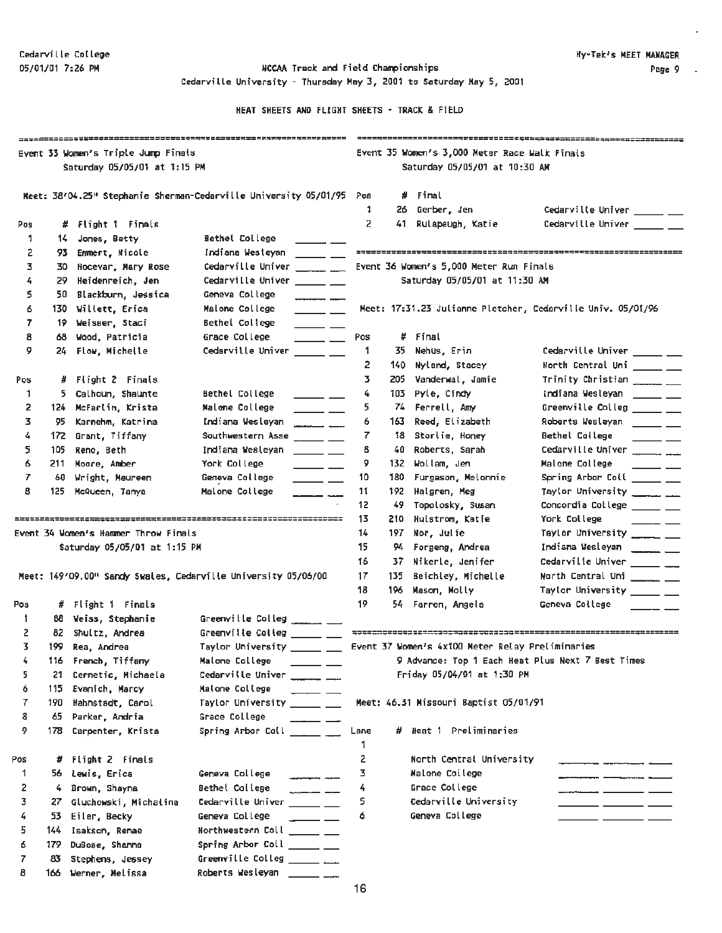05/01/01 7:26 **PM** NCCAA Track and Field Chanpionships Cedarville University - Thursday May 3, 2001 to Saturday **Mey 5,** 2001

|     |      | Event 33 Women's Triple Jump Finals<br>Saturday 05/05/01 at 1:15 PM |                                                                                                                                                                                                                                                                                                                                                                                                                                         | Event 35 Women's 3,000 Meter Race Walk Finals<br>Saturday 05/05/01 at 10:30 AM |       |                                                  |                                                                                 |  |  |  |
|-----|------|---------------------------------------------------------------------|-----------------------------------------------------------------------------------------------------------------------------------------------------------------------------------------------------------------------------------------------------------------------------------------------------------------------------------------------------------------------------------------------------------------------------------------|--------------------------------------------------------------------------------|-------|--------------------------------------------------|---------------------------------------------------------------------------------|--|--|--|
|     |      |                                                                     | Meet: 38/04.25" Stephanie Sherman-Cedarville University 05/01/95 Pos                                                                                                                                                                                                                                                                                                                                                                    | 1.                                                                             |       | # Final<br>26 Gerber, Jen                        | Cedarville Univer ______ ___                                                    |  |  |  |
| Pos |      | # Flight 1 Finals                                                   |                                                                                                                                                                                                                                                                                                                                                                                                                                         | 2                                                                              | 41.   | Rulapaugh, Katie                                 | Cedarville Univer _____ __                                                      |  |  |  |
| 1   | 14.  | Jones, Betty                                                        | <b>Sethel College</b>                                                                                                                                                                                                                                                                                                                                                                                                                   |                                                                                |       |                                                  |                                                                                 |  |  |  |
| 2   |      | 93 Emmert, Nicole                                                   | Indiana Westeyan                                                                                                                                                                                                                                                                                                                                                                                                                        |                                                                                |       |                                                  |                                                                                 |  |  |  |
| 3   |      | 30 Hocevar, Mary Rose                                               | Cedarville Univer                                                                                                                                                                                                                                                                                                                                                                                                                       |                                                                                |       | Event 36 Women's 5,000 Meter Run Finals          |                                                                                 |  |  |  |
| 4   |      | 29 Heidenreich, Jen                                                 | Cedarville Univer ______ __                                                                                                                                                                                                                                                                                                                                                                                                             |                                                                                |       | Saturday 05/05/01 at 11:30 AM                    |                                                                                 |  |  |  |
| 5.  |      | 50 Blackburn, Jessica                                               | Geneva College                                                                                                                                                                                                                                                                                                                                                                                                                          |                                                                                |       |                                                  |                                                                                 |  |  |  |
| б   |      | 130 Willett, Erica                                                  | Malone College<br>$\overline{\phantom{a}}$ $\overline{\phantom{a}}$                                                                                                                                                                                                                                                                                                                                                                     |                                                                                |       |                                                  | Meet: 17:31.23 Julianne Pletcher, Cedarville Univ. 05/01/96                     |  |  |  |
| 7   |      | 19 Weisser, Staci                                                   | Bethel College                                                                                                                                                                                                                                                                                                                                                                                                                          |                                                                                |       |                                                  |                                                                                 |  |  |  |
| 8   | 68.  | Wood, Patricia                                                      | $\overline{\phantom{a}}$<br>Grace College<br>$\overline{\phantom{a}}$ $\overline{\phantom{a}}$                                                                                                                                                                                                                                                                                                                                          | Pos                                                                            |       | # Final                                          |                                                                                 |  |  |  |
| 9   |      | 24 Flow, Michelle                                                   | Cedarville Univer $\_\_\_\_\_\_\_\_\$                                                                                                                                                                                                                                                                                                                                                                                                   | -1                                                                             | 35    | Nehus, Erin                                      | Cedarville Univer ______ __                                                     |  |  |  |
|     |      |                                                                     |                                                                                                                                                                                                                                                                                                                                                                                                                                         | 2                                                                              | 140 - | Nyland, Stacey                                   | North Central Uni _____ __                                                      |  |  |  |
| Pos |      | # Flight 2 Finals                                                   |                                                                                                                                                                                                                                                                                                                                                                                                                                         | 3.                                                                             | 205   | Vanderwal, Jamie                                 | Trinity Christian _______ __                                                    |  |  |  |
| -1  |      | 5 Calhoun, Shaunte                                                  | Bethel College                                                                                                                                                                                                                                                                                                                                                                                                                          | 4                                                                              | 103   | Pyle, Cindy                                      | Indiana Wesleyan _____ __                                                       |  |  |  |
| 2   |      | 124 McFarlin, Krista                                                | $\overline{\phantom{0}}$<br>Malone College                                                                                                                                                                                                                                                                                                                                                                                              | 5                                                                              |       | 74 Ferrell, Amy                                  | Greenville Colleg _____ __                                                      |  |  |  |
| 3   | 95.  | Karnehm, Katrina                                                    | $\overline{\phantom{iiiiiiii}}$<br>Indiana Wesleyan                                                                                                                                                                                                                                                                                                                                                                                     | 6                                                                              | 163.  | Reed, Elizabeth                                  | Roberts Wesleyan ______ __                                                      |  |  |  |
| 4   |      | 172 Grant, Tiffany                                                  | $\overline{\phantom{a}}$<br>Southwestern Asse ______ __                                                                                                                                                                                                                                                                                                                                                                                 | 7                                                                              |       | 18 Storlie, Honey                                | <b>Bethel Callege</b>                                                           |  |  |  |
| 5   | 105  | Reno, Beth                                                          | Indiana Wesleyan                                                                                                                                                                                                                                                                                                                                                                                                                        | 8                                                                              | 40.   | Roberts, Sarah                                   | Cedarville Univer ___________                                                   |  |  |  |
| б   | 211  | Moore, Amber                                                        | <u> 2002 - 20</u>                                                                                                                                                                                                                                                                                                                                                                                                                       | 9                                                                              | 132   | Wollam, Jen                                      | Malone College                                                                  |  |  |  |
| 7   |      |                                                                     | York College<br>$\overline{\phantom{0}}$ $\overline{\phantom{0}}$                                                                                                                                                                                                                                                                                                                                                                       | 10                                                                             | 180   |                                                  | $\overline{\phantom{a}}$ $\overline{\phantom{a}}$<br>Spring Arbor Coll _____ __ |  |  |  |
| 8   | 60.  | Wright, Maureen                                                     | Geneva College<br>$\sim$ $\sim$<br>Malone College                                                                                                                                                                                                                                                                                                                                                                                       | 11                                                                             | 192   | Furgason, Melonnie<br>Halgren, Meg               | Taylor University __________                                                    |  |  |  |
|     | 125  | McQueen, Tanya                                                      | _______                                                                                                                                                                                                                                                                                                                                                                                                                                 | 12                                                                             | 49    | Topolosky, Susan                                 | Concordia College _____ __                                                      |  |  |  |
|     |      |                                                                     |                                                                                                                                                                                                                                                                                                                                                                                                                                         | 13                                                                             | 210   | Hulstrom, Katie                                  | York College                                                                    |  |  |  |
|     |      | Event 34 Women's Hammer Throw Finals                                |                                                                                                                                                                                                                                                                                                                                                                                                                                         | 14                                                                             | 197   | Nor, Julie                                       | Taylor University ______                                                        |  |  |  |
|     |      | Saturday 05/05/01 at 1:15 PM                                        |                                                                                                                                                                                                                                                                                                                                                                                                                                         | 15                                                                             |       | 94 Forgeng, Andrea                               | Indiana Wesleyan _______ __                                                     |  |  |  |
|     |      |                                                                     |                                                                                                                                                                                                                                                                                                                                                                                                                                         | 16                                                                             |       | 37 Nikerle, Jenifer                              | Cedarville Univer _______ ___                                                   |  |  |  |
|     |      |                                                                     | Meet: 149'09.00" Sandy Swales, Cedarville University 05/06/00                                                                                                                                                                                                                                                                                                                                                                           | 17                                                                             | 135   | Beichley, Michelle                               | North Central Uni _____ __                                                      |  |  |  |
|     |      |                                                                     |                                                                                                                                                                                                                                                                                                                                                                                                                                         | 18                                                                             | 196   | Mason, Molly                                     | Taylor University _____ __                                                      |  |  |  |
| Pos |      | # Flight 1 Finals                                                   |                                                                                                                                                                                                                                                                                                                                                                                                                                         | 19                                                                             |       | 54 Farren, Angela                                | Geneva College                                                                  |  |  |  |
| 1   |      |                                                                     | Greenville Colleg $\frac{1}{2}$                                                                                                                                                                                                                                                                                                                                                                                                         |                                                                                |       |                                                  |                                                                                 |  |  |  |
| 2   |      | 88 Weiss, Stephanie<br>82 Shultz, Andrea                            | Greenville Colleg _____ __                                                                                                                                                                                                                                                                                                                                                                                                              |                                                                                |       |                                                  |                                                                                 |  |  |  |
| 3.  |      |                                                                     | Taylor University ______ ___                                                                                                                                                                                                                                                                                                                                                                                                            |                                                                                |       | Event 37 Women's 4x100 Meter Relay Preliminaries |                                                                                 |  |  |  |
| 4.  |      | 199 Rea, Andrea                                                     |                                                                                                                                                                                                                                                                                                                                                                                                                                         |                                                                                |       |                                                  | 9 Advance: Top 1 Each Heat Plus Next 7 Best Times                               |  |  |  |
|     |      | 116 French, Tiffany                                                 | Malone College ______ ___                                                                                                                                                                                                                                                                                                                                                                                                               |                                                                                |       | Friday 05/04/01 at 1:30 PM                       |                                                                                 |  |  |  |
| 5   | 21   | Cernetic, Michaela                                                  | Cedarville Univer ________                                                                                                                                                                                                                                                                                                                                                                                                              |                                                                                |       |                                                  |                                                                                 |  |  |  |
| 6   | 115  | Evanich, Marcy<br>Hahnstadt, Carol                                  | Matone College<br>$\frac{1}{1-\frac{1}{1-\frac{1}{1-\frac{1}{1-\frac{1}{1-\frac{1}{1-\frac{1}{1-\frac{1}{1-\frac{1}{1-\frac{1}{1-\frac{1}{1-\frac{1}{1-\frac{1}{1-\frac{1}{1-\frac{1}{1-\frac{1}{1-\frac{1}{1-\frac{1}{1-\frac{1}{1-\frac{1}{1-\frac{1}{1-\frac{1}{1-\frac{1}{1-\frac{1}{1-\frac{1}{1-\frac{1}{1-\frac{1}{1-\frac{1}{1-\frac{1}{1-\frac{1}{1-\frac{1}{1-\frac{1}{1-\frac{1}{1-\frac{1}{1-\frac{1}{1-\frac{1}{1-\frac{1$ |                                                                                |       |                                                  |                                                                                 |  |  |  |
| 7   | 190  |                                                                     | Taylor University _______                                                                                                                                                                                                                                                                                                                                                                                                               |                                                                                |       | Meet: 46.31 Missouri Baptist 05/01/91            |                                                                                 |  |  |  |
| 8   | 65.  | Parker, Andria                                                      | Grace College                                                                                                                                                                                                                                                                                                                                                                                                                           |                                                                                |       |                                                  |                                                                                 |  |  |  |
| 9   | 178. | Carpenter, Krista                                                   | Spring Arbor Coll $\qquad \qquad \qquad \qquad$                                                                                                                                                                                                                                                                                                                                                                                         | Lane<br>1                                                                      |       | # Heat 1 Preliminaries                           |                                                                                 |  |  |  |
| Pos | #    | Flight 2 Finals                                                     |                                                                                                                                                                                                                                                                                                                                                                                                                                         | 2                                                                              |       | North Central University                         |                                                                                 |  |  |  |
| 1   | 56.  | Lewis, Erica                                                        | Geneva College                                                                                                                                                                                                                                                                                                                                                                                                                          | 3                                                                              |       | Malone College                                   |                                                                                 |  |  |  |
| 2   | 4.   | Brown, Shayna                                                       | Bethel College                                                                                                                                                                                                                                                                                                                                                                                                                          | 4                                                                              |       | Grace College                                    |                                                                                 |  |  |  |
| 3   | 27   | Gluchowski, Michalina                                               | $\overline{\phantom{a}}$<br>Cedarville Univer ______ __                                                                                                                                                                                                                                                                                                                                                                                 | 5                                                                              |       | Cedarville University                            |                                                                                 |  |  |  |
| 4   | 53.  | Eiler, Becky                                                        | $\frac{1}{2}$<br>Geneva College                                                                                                                                                                                                                                                                                                                                                                                                         | ó                                                                              |       | Geneva College                                   | $ -$                                                                            |  |  |  |
| 5.  | 144  | Isakson, Renae                                                      | Northwestern Coll _____ __                                                                                                                                                                                                                                                                                                                                                                                                              |                                                                                |       |                                                  |                                                                                 |  |  |  |
| б   | 179  | DuBose, Shanna                                                      | Spring Arbor Coll ______ __                                                                                                                                                                                                                                                                                                                                                                                                             |                                                                                |       |                                                  |                                                                                 |  |  |  |
| 7   | 83   | Stephens, Jessey                                                    | Greenville Colleg ______ __                                                                                                                                                                                                                                                                                                                                                                                                             |                                                                                |       |                                                  |                                                                                 |  |  |  |
| 8   |      | 166 Werner, Melissa                                                 | Roberts Wesleyan $\frac{1}{\sqrt{2}}$                                                                                                                                                                                                                                                                                                                                                                                                   |                                                                                |       |                                                  |                                                                                 |  |  |  |
|     |      |                                                                     |                                                                                                                                                                                                                                                                                                                                                                                                                                         |                                                                                |       |                                                  |                                                                                 |  |  |  |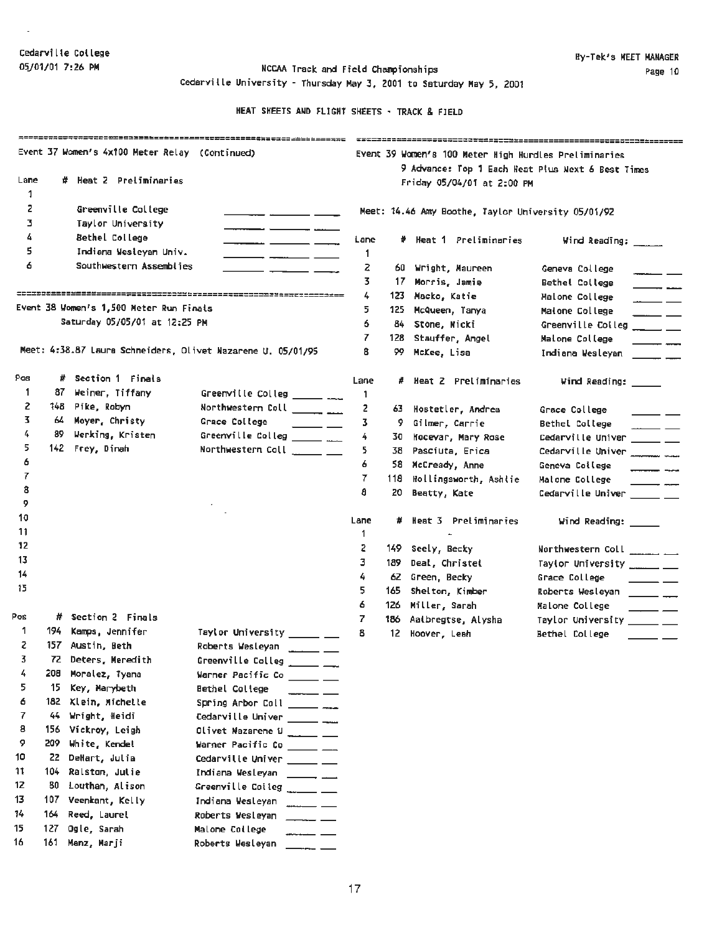$\mathbf{r}$ 

05/01/01 7:26 PM  $NCCAA$  Track and Field Championships Cedarville University - Thursday May 3, 2001 to Saturday May 5, 2001

|        |                                                |                                         | ***ECC2023011316exty===================================                                                                                       |                                                       |      |                                                                                 |                                                                      |  |  |  |
|--------|------------------------------------------------|-----------------------------------------|-----------------------------------------------------------------------------------------------------------------------------------------------|-------------------------------------------------------|------|---------------------------------------------------------------------------------|----------------------------------------------------------------------|--|--|--|
|        | Event 37 Women's 4x100 Meter Relay (Continued) |                                         |                                                                                                                                               | Event 39 Women's 100 Meter High Hurdles Preliminaries |      |                                                                                 |                                                                      |  |  |  |
| Lane   |                                                | # Heat 2 Preliminaries                  |                                                                                                                                               |                                                       |      | 9 Advance: Top 1 Each Heat Plus Next 6 Best Times<br>Friday 05/04/01 at 2:00 PM |                                                                      |  |  |  |
| 1      |                                                |                                         |                                                                                                                                               |                                                       |      |                                                                                 |                                                                      |  |  |  |
| 2      |                                                | Greenville College                      |                                                                                                                                               |                                                       |      | Meet: 14.46 Amy Boothe, Taylor University 05/01/92                              |                                                                      |  |  |  |
| з      |                                                | Taylor University                       |                                                                                                                                               |                                                       |      |                                                                                 |                                                                      |  |  |  |
| 4      |                                                | Bethel College                          |                                                                                                                                               | Lane                                                  |      | # Neat 1 Preliminaries                                                          | Wind Reading: _____                                                  |  |  |  |
| 5      |                                                | Indiana Wesleyan Univ.                  |                                                                                                                                               | 1                                                     |      |                                                                                 |                                                                      |  |  |  |
| 6      |                                                | Southwestern Assemblies                 |                                                                                                                                               | z                                                     | 60.  | Wright, Maureen                                                                 | Geneva College                                                       |  |  |  |
|        |                                                |                                         |                                                                                                                                               | 3.                                                    | 17.  | Morris, Jamie                                                                   | Bethel College                                                       |  |  |  |
|        |                                                |                                         |                                                                                                                                               | 4                                                     | 123  | Macko, Katie                                                                    | Malone College<br>$\overline{\phantom{a}}$                           |  |  |  |
|        |                                                | Event 38 Women's 1,500 Meter Run Finals |                                                                                                                                               | 5.                                                    | 125  | McQueen, Tanya                                                                  | Malone College<br>$\overline{\phantom{a}}$                           |  |  |  |
|        |                                                | Saturday 05/05/01 at 12:25 PM           |                                                                                                                                               | 6.                                                    | 84.  | Stone, Nicki                                                                    | Greenville Colleg<br>$\overline{\phantom{a}}$                        |  |  |  |
|        |                                                |                                         |                                                                                                                                               | 7.                                                    | 128  | Stauffer, Angel                                                                 | Malone College<br>$\frac{1}{2}$                                      |  |  |  |
|        |                                                |                                         | Meet: 4:38.87 Laura Schneiders, Olivet Nazarene U. 05/01/95                                                                                   | 8                                                     | 99   | McKee, Lisa                                                                     | Indiana Wesleyan<br>$\overline{\phantom{a}}$                         |  |  |  |
| Pos    |                                                | # Section 1 Finals                      |                                                                                                                                               | Lane                                                  |      | Heat 2 Preliminaries                                                            | Wind Reading: _____                                                  |  |  |  |
| 1      | 87.                                            | Weiner, Tiffany                         | Greenville Colleg ______ ___                                                                                                                  | 1.                                                    |      |                                                                                 |                                                                      |  |  |  |
| 2      | 148 I                                          | Pike, Robyn                             | Northwestern Coll ______ ___                                                                                                                  | 2                                                     | 63 - | Hostetler, Andrea                                                               | Grace College                                                        |  |  |  |
| 3.     | 64.                                            | Moyer, Christy                          | Grace College<br>$\frac{1}{2}$ and $\frac{1}{2}$ and $\frac{1}{2}$ and $\frac{1}{2}$                                                          | 3.                                                    | 9.   | Gilmer, Carrie                                                                  | Bethel College                                                       |  |  |  |
| 4      | 89.                                            | Werking, Kristen                        | Greenville Colleg ______ ___                                                                                                                  | 4                                                     | 30.  | Hocevar, Mary Rose                                                              | Cedarville Univer ______ __                                          |  |  |  |
| 5      |                                                | 142 Frey, Dinah                         |                                                                                                                                               | 5                                                     | 38.  | Pasciuta, Erica                                                                 | Cedarville Univer                                                    |  |  |  |
| 6      |                                                |                                         |                                                                                                                                               | 6                                                     |      | 58 McCready, Anne                                                               | Geneva College                                                       |  |  |  |
| 7      |                                                |                                         |                                                                                                                                               | 7                                                     | 118  | Hollingsworth, Ashlie                                                           | Matone College                                                       |  |  |  |
| 8<br>9 |                                                |                                         |                                                                                                                                               | a                                                     | 20   | Beatty, Kate                                                                    | Cedarville Univer ______ __                                          |  |  |  |
| 10     |                                                |                                         |                                                                                                                                               |                                                       |      |                                                                                 |                                                                      |  |  |  |
| 11     |                                                |                                         |                                                                                                                                               | Lane                                                  |      | Heat 3 Preliminaries                                                            | $Find$ Reading: $\frac{1}{\sqrt{1-\frac{1}{2}}\sqrt{1-\frac{1}{2}}}$ |  |  |  |
| 12     |                                                |                                         |                                                                                                                                               | 1                                                     |      |                                                                                 |                                                                      |  |  |  |
| 13     |                                                |                                         |                                                                                                                                               | 2                                                     |      | 149 Seely, Becky                                                                | Northwestern Coll ________                                           |  |  |  |
| 14     |                                                |                                         |                                                                                                                                               | 3.                                                    | 189  | Deal, Christel                                                                  | Taylor University _______                                            |  |  |  |
| 15     |                                                |                                         |                                                                                                                                               | 4<br>5.                                               |      | 62 Green, Becky                                                                 | Grace College                                                        |  |  |  |
|        |                                                |                                         |                                                                                                                                               | 6                                                     | 165  | Shelton, Kimber                                                                 | Roberts Wesleyan _____ __                                            |  |  |  |
| Pos    |                                                | # Section 2 Finals                      |                                                                                                                                               | 7                                                     |      | 126 Miller, Sarah                                                               | Malone College                                                       |  |  |  |
| 1      | 194                                            | Kamps, Jennifer                         | Taylor University ______ __                                                                                                                   | 8                                                     |      | 186 Aatbregtse, Alysha                                                          | Taylor University ______ __                                          |  |  |  |
| z      |                                                | 157 Austin, Beth                        | Roberts Wesleyan ______ ___                                                                                                                   |                                                       |      | 12 Hoover, Leah                                                                 | Bethel College                                                       |  |  |  |
| 3.     |                                                | 72 Deters, Meredith                     | Greenville Colleg ______ ___                                                                                                                  |                                                       |      |                                                                                 |                                                                      |  |  |  |
| 4      | 208                                            | Moralez, Tyana                          | Warner Pacific Co ______ ___                                                                                                                  |                                                       |      |                                                                                 |                                                                      |  |  |  |
| 5      | 15                                             | Key, Marybeth                           | Bethel College                                                                                                                                |                                                       |      |                                                                                 |                                                                      |  |  |  |
| 6      | 182                                            | Klein, Michelle                         | Spring Arbor Coll<br>$\frac{1}{2}$                                                                                                            |                                                       |      |                                                                                 |                                                                      |  |  |  |
| 7      | 44.                                            | Wright, Heidi                           | Cedarville Univer _______ ___                                                                                                                 |                                                       |      |                                                                                 |                                                                      |  |  |  |
| 8      | 156.                                           | Vickroy, Leigh                          | Olivet Nazarene U ______ __                                                                                                                   |                                                       |      |                                                                                 |                                                                      |  |  |  |
| 9      | 209                                            | White, Kendel                           | Warner Pacific Co ______ __                                                                                                                   |                                                       |      |                                                                                 |                                                                      |  |  |  |
| 10     | 22.                                            | DeMart, Julia                           | Cedarville Univer ______ __                                                                                                                   |                                                       |      |                                                                                 |                                                                      |  |  |  |
| 11     | 104.                                           | Ralston, Julie                          | Indiana Wesleyan _______ ___                                                                                                                  |                                                       |      |                                                                                 |                                                                      |  |  |  |
| 12     | 80                                             | Louthan, Alison                         |                                                                                                                                               |                                                       |      |                                                                                 |                                                                      |  |  |  |
| 13     | 107                                            | Veenkant, Kelly                         | Indiana Wesleyan _____ __                                                                                                                     |                                                       |      |                                                                                 |                                                                      |  |  |  |
| 74     | 164                                            | Reed, Laurel                            | Roberts Wesleyan<br>$\frac{1}{1}$                                                                                                             |                                                       |      |                                                                                 |                                                                      |  |  |  |
| 15     | 127                                            | Ogle, Sarah                             | Malone College                                                                                                                                |                                                       |      |                                                                                 |                                                                      |  |  |  |
| 16     | 161                                            | Manz, Marji                             | Roberts Wesleyan<br>$\frac{1}{2}$ and $\frac{1}{2}$ and $\frac{1}{2}$ and $\frac{1}{2}$ and $\frac{1}{2}$ and $\frac{1}{2}$ and $\frac{1}{2}$ |                                                       |      |                                                                                 |                                                                      |  |  |  |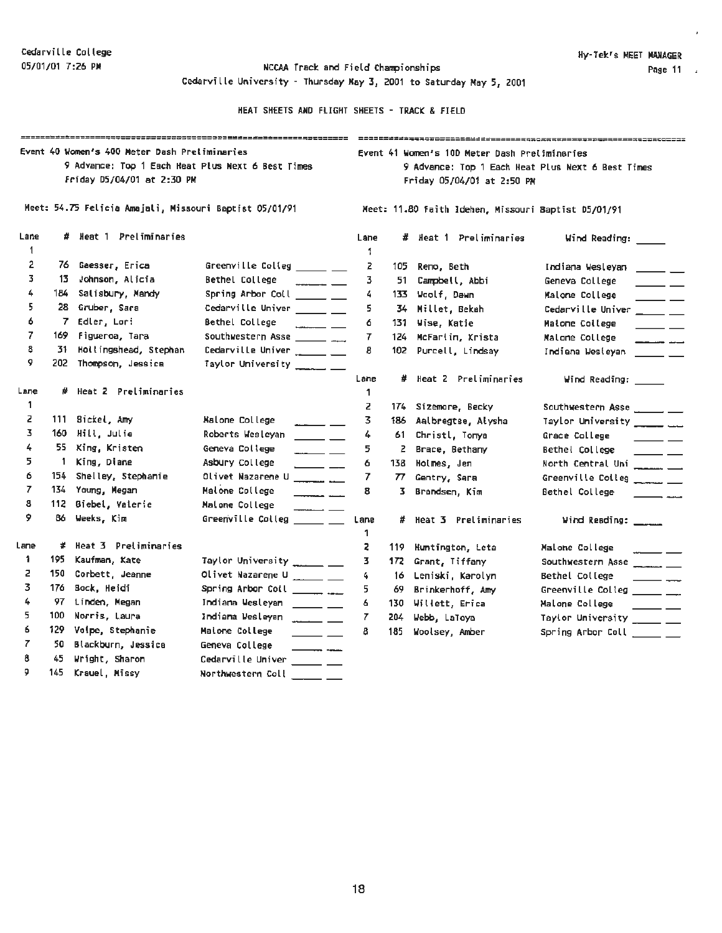J.

05/01/01 7:26 PM **NCCAA** Track and Field Championships Cedarville University - Thursday **May 3,** 2001 to Saturday **May 5,** 2001

|           | =============== |                                                                             |                                                                                                                                                                                                                                                                                                                                                                                                                                           |                                                                                                                                  |     |                        |                                                                                                                                                                                                                                                                                                                                                                                                                                         |  |  |  |
|-----------|-----------------|-----------------------------------------------------------------------------|-------------------------------------------------------------------------------------------------------------------------------------------------------------------------------------------------------------------------------------------------------------------------------------------------------------------------------------------------------------------------------------------------------------------------------------------|----------------------------------------------------------------------------------------------------------------------------------|-----|------------------------|-----------------------------------------------------------------------------------------------------------------------------------------------------------------------------------------------------------------------------------------------------------------------------------------------------------------------------------------------------------------------------------------------------------------------------------------|--|--|--|
|           |                 | Event 40 Women's 400 Meter Dash Preliminaries<br>Friday D5/04/01 at 2:30 PM | 9 Advance: Top 1 Each Heat Plus Next 6 Best Times                                                                                                                                                                                                                                                                                                                                                                                         | Event 41 Women's 10D Meter Dash Preliminaries<br>9 Advance: Top 1 Each Heat Plus Next 6 Best Times<br>Friday 05/04/01 at 2:50 PM |     |                        |                                                                                                                                                                                                                                                                                                                                                                                                                                         |  |  |  |
|           |                 | Meet: 54.75 Felicia Amajali, Missouri Baptist 05/01/91                      |                                                                                                                                                                                                                                                                                                                                                                                                                                           | Meet: 11.80 Faith Idehen, Missouri Baptist 05/01/91                                                                              |     |                        |                                                                                                                                                                                                                                                                                                                                                                                                                                         |  |  |  |
| Lane<br>1 | #.              | Heat 1 Preliminaries                                                        |                                                                                                                                                                                                                                                                                                                                                                                                                                           | Lane<br>1                                                                                                                        |     | # Heat 1 Preliminaries | Wind Reading:                                                                                                                                                                                                                                                                                                                                                                                                                           |  |  |  |
| 2         |                 | 76 Gaesser, Erica                                                           | Greenville Colleg _____ __                                                                                                                                                                                                                                                                                                                                                                                                                | 2                                                                                                                                | 105 | Reno, Beth             | Indiana Wesleyan<br>$\frac{1}{2}$                                                                                                                                                                                                                                                                                                                                                                                                       |  |  |  |
| 3         |                 | 13 Johnson, Alicia                                                          | Bethel College<br><u> 2002 - 2003 - 2004</u>                                                                                                                                                                                                                                                                                                                                                                                              | 3.                                                                                                                               | 51. | Campbell, Abbi         | Geneva College<br>$\overline{\phantom{a}}$                                                                                                                                                                                                                                                                                                                                                                                              |  |  |  |
| 4         |                 | 184 Salisbury, Mandy                                                        | Spring Arbor Coll ______ __                                                                                                                                                                                                                                                                                                                                                                                                               | 4                                                                                                                                | 133 | ¥oolf, Dawn            | Malone College<br>$\overline{\phantom{a}}$                                                                                                                                                                                                                                                                                                                                                                                              |  |  |  |
| 5         |                 | 28 Gruber, Sara                                                             | Cedarville Univer ______ __                                                                                                                                                                                                                                                                                                                                                                                                               | 5                                                                                                                                |     | 34 Millet, Bekah       | Cedarville Univer<br>$\overline{\phantom{a}}$ and $\overline{\phantom{a}}$                                                                                                                                                                                                                                                                                                                                                              |  |  |  |
| 6         |                 | 7 Edler, Lori                                                               | Bethel College                                                                                                                                                                                                                                                                                                                                                                                                                            | 6                                                                                                                                |     | 131 Wise, Katie        | Malone College<br>$\overline{\phantom{0}}$                                                                                                                                                                                                                                                                                                                                                                                              |  |  |  |
| 7         | 169.            | Figueroa, Tara                                                              | Southwestern Asse $\frac{1}{2}$                                                                                                                                                                                                                                                                                                                                                                                                           | $\overline{r}$                                                                                                                   |     | 124 McFarlin, Krista   | Malone College<br>المستحدث المستحدد                                                                                                                                                                                                                                                                                                                                                                                                     |  |  |  |
| 8<br>9    | 31.             | Hollingshead, Stephan<br>202 Thompson, Jessica                              | Taylor University _____ __                                                                                                                                                                                                                                                                                                                                                                                                                | 8                                                                                                                                |     | 102 Purcell, Lindsay   | Indiana Westeyan                                                                                                                                                                                                                                                                                                                                                                                                                        |  |  |  |
|           |                 |                                                                             |                                                                                                                                                                                                                                                                                                                                                                                                                                           | Lane                                                                                                                             | #   | Heat 2 Preliminaries   | Wind Reading: _____                                                                                                                                                                                                                                                                                                                                                                                                                     |  |  |  |
| Lane      |                 | # Heat 2 Preliminaries                                                      |                                                                                                                                                                                                                                                                                                                                                                                                                                           | 1                                                                                                                                |     |                        |                                                                                                                                                                                                                                                                                                                                                                                                                                         |  |  |  |
| 1         |                 |                                                                             |                                                                                                                                                                                                                                                                                                                                                                                                                                           | z                                                                                                                                |     | 174 Sizemare, Becky    | Southwestern Asse ______ __                                                                                                                                                                                                                                                                                                                                                                                                             |  |  |  |
| z         |                 | 111 Sickel, Amy                                                             | Malone College<br>$\frac{1}{1-\frac{1}{1-\frac{1}{1-\frac{1}{1-\frac{1}{1-\frac{1}{1-\frac{1}{1-\frac{1}{1-\frac{1}{1-\frac{1}{1-\frac{1}{1-\frac{1}{1-\frac{1}{1-\frac{1}{1-\frac{1}{1-\frac{1}{1-\frac{1}{1-\frac{1}{1-\frac{1}{1-\frac{1}{1-\frac{1}{1-\frac{1}{1-\frac{1}{1-\frac{1}{1-\frac{1}{1-\frac{1}{1-\frac{1}{1-\frac{1}{1-\frac{1}{1-\frac{1}{1-\frac{1}{1-\frac{1}{1-\frac{1}{1-\frac{1}{1-\frac{1}{1-\frac{1}{1-\frac{1$   | 3                                                                                                                                | 186 | Aalbregtse, Alysha     | Taylor University ______ __                                                                                                                                                                                                                                                                                                                                                                                                             |  |  |  |
| 3         |                 | 160 Hill, Julie                                                             | Roberts Wesleyan<br>$\overline{\phantom{a}}$                                                                                                                                                                                                                                                                                                                                                                                              | 4                                                                                                                                | 61  | Christl, Tonya         | Grace College<br>$\frac{1}{2}$                                                                                                                                                                                                                                                                                                                                                                                                          |  |  |  |
| 4         |                 | 55 King, Kristen                                                            | Geneva College                                                                                                                                                                                                                                                                                                                                                                                                                            | 5.                                                                                                                               | 2.  | Brace, Bethany         | Bethel College<br>$\frac{1}{1}$                                                                                                                                                                                                                                                                                                                                                                                                         |  |  |  |
| 5         | -1.             | King, Diane                                                                 | Asbury College<br>$\overline{\phantom{a}}$                                                                                                                                                                                                                                                                                                                                                                                                | 6                                                                                                                                | 138 | Holmes, Jen            | North Central Uni _______                                                                                                                                                                                                                                                                                                                                                                                                               |  |  |  |
| 6         |                 | 154 Shelley, Stephanie                                                      | Olivet Nazarene U<br><u> Thomas Ma</u>                                                                                                                                                                                                                                                                                                                                                                                                    | 7                                                                                                                                | 77  | Gentry, Sara           | Greenville Colleg _____ __                                                                                                                                                                                                                                                                                                                                                                                                              |  |  |  |
| 7         |                 | 134 Young, Megan                                                            | Malone College<br>and the company of the company of the company of the company of the company of the company of the company of the company of the company of the company of the company of the company of the company of the company of the comp                                                                                                                                                                                          | 8                                                                                                                                | 3.  | Brandsen, Kim          | Bethel College<br>$\overline{\phantom{a}}$                                                                                                                                                                                                                                                                                                                                                                                              |  |  |  |
| 8         |                 | 112 Biebel, Valerie                                                         | Malone College                                                                                                                                                                                                                                                                                                                                                                                                                            |                                                                                                                                  |     |                        |                                                                                                                                                                                                                                                                                                                                                                                                                                         |  |  |  |
| 9         | 86.             | Weeks, Kim                                                                  | Greenville Colleg<br><u> The Common State State State State State State State State State State State State State State State State State State State State State State State State State State State State State State State State State State State</u>                                                                                                                                                                                 | Lane<br>1.                                                                                                                       | #   | Heat 3 Preliminaries   | Wind Reading: _____                                                                                                                                                                                                                                                                                                                                                                                                                     |  |  |  |
| Lane      | #               | Heat 3 Preliminaries                                                        |                                                                                                                                                                                                                                                                                                                                                                                                                                           | 2                                                                                                                                | 119 | Huntington, Leta       | Malone College                                                                                                                                                                                                                                                                                                                                                                                                                          |  |  |  |
| 1         | 195             | Kaufman, Kate                                                               | Taylor University ______ __                                                                                                                                                                                                                                                                                                                                                                                                               | з                                                                                                                                | 172 | Grant, Tiffany         | Southwestern Asse                                                                                                                                                                                                                                                                                                                                                                                                                       |  |  |  |
| z         | 150             | Corbett, Jeanne                                                             | Olivet Nazarene U _____ __                                                                                                                                                                                                                                                                                                                                                                                                                | 4                                                                                                                                | 16  | Leniski, Karolyn       | Bethel College<br>$\frac{1}{1-\frac{1}{1-\frac{1}{1-\frac{1}{1-\frac{1}{1-\frac{1}{1-\frac{1}{1-\frac{1}{1-\frac{1}{1-\frac{1}{1-\frac{1}{1-\frac{1}{1-\frac{1}{1-\frac{1}{1-\frac{1}{1-\frac{1}{1-\frac{1}{1-\frac{1}{1-\frac{1}{1-\frac{1}{1-\frac{1}{1-\frac{1}{1-\frac{1}{1-\frac{1}{1-\frac{1}{1-\frac{1}{1-\frac{1}{1-\frac{1}{1-\frac{1}{1-\frac{1}{1-\frac{1}{1-\frac{1}{1-\frac{1}{1-\frac{1}{1-\frac{1}{1-\frac{1}{1-\frac{1$ |  |  |  |
| 3         | 176             | Sock, Heidi                                                                 | Spring Arbor Coil $\frac{1}{1-\frac{1}{2}}$                                                                                                                                                                                                                                                                                                                                                                                               | 5                                                                                                                                | 69. | Brinkerhoff, Amy       | Greenville Colleg $\_\_\_\_\_\_\_\_\$                                                                                                                                                                                                                                                                                                                                                                                                   |  |  |  |
| 4         | 97.             | Linden, Megan                                                               | Indiana Wesleyan<br>$\frac{1}{1-\frac{1}{1-\frac{1}{1-\frac{1}{1-\frac{1}{1-\frac{1}{1-\frac{1}{1-\frac{1}{1-\frac{1}{1-\frac{1}{1-\frac{1}{1-\frac{1}{1-\frac{1}{1-\frac{1}{1-\frac{1}{1-\frac{1}{1-\frac{1}{1-\frac{1}{1-\frac{1}{1-\frac{1}{1-\frac{1}{1-\frac{1}{1-\frac{1}{1-\frac{1}{1-\frac{1}{1-\frac{1}{1-\frac{1}{1-\frac{1}{1-\frac{1}{1-\frac{1}{1-\frac{1}{1-\frac{1}{1-\frac{1}{1-\frac{1}{1-\frac{1}{1-\frac{1}{1-\frac{1$ | 6                                                                                                                                | 130 | Willett, Erica         | Malone College<br>$\frac{1}{2} \left( \frac{1}{2} \right) \left( \frac{1}{2} \right) \left( \frac{1}{2} \right)$                                                                                                                                                                                                                                                                                                                        |  |  |  |
| 5.        | 100             | Norris, Laura                                                               | Indiana Wesleyan                                                                                                                                                                                                                                                                                                                                                                                                                          | 7                                                                                                                                | 204 | Webb, LaToya           | Taylor University _____ __                                                                                                                                                                                                                                                                                                                                                                                                              |  |  |  |
| 6         | 129             | Volpe, Stephanie                                                            | Malone College<br>$\overline{\phantom{a}}$                                                                                                                                                                                                                                                                                                                                                                                                | 8                                                                                                                                | 185 | Woolsey, Amber         | Spring Arbor Coll _____ __                                                                                                                                                                                                                                                                                                                                                                                                              |  |  |  |
| 7         | 50              | Blackburn, Jessica                                                          | Geneva College                                                                                                                                                                                                                                                                                                                                                                                                                            |                                                                                                                                  |     |                        |                                                                                                                                                                                                                                                                                                                                                                                                                                         |  |  |  |
| 8         | 45              | Wright, Sharon                                                              | Cedarville Univer _____ __                                                                                                                                                                                                                                                                                                                                                                                                                |                                                                                                                                  |     |                        |                                                                                                                                                                                                                                                                                                                                                                                                                                         |  |  |  |
| 9         | 145             | Krauel, Missy                                                               | Northwestern Coll                                                                                                                                                                                                                                                                                                                                                                                                                         |                                                                                                                                  |     |                        |                                                                                                                                                                                                                                                                                                                                                                                                                                         |  |  |  |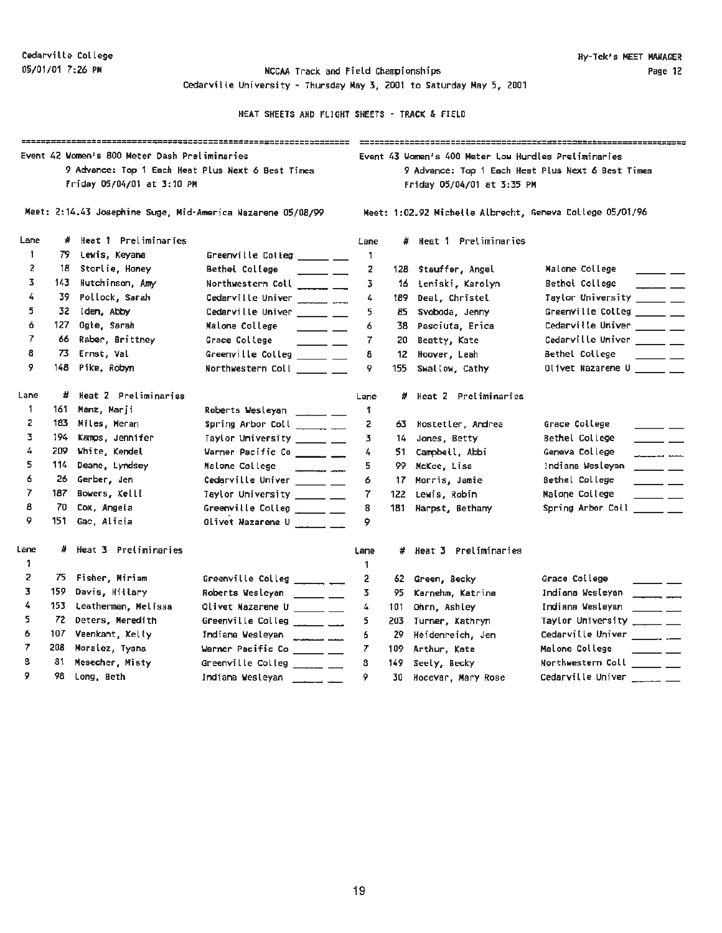Cedarville University - Thursday May 3, 2001 to Saturday May 5, 2001

| =====================================<br>Event 42 Women's 800 Meter Dash Preliminaries<br>9 Advance: Top 1 Each Heat Plus Next 6 Best Times<br>Friday 05/04/01 at 3:10 PM |      |                      |                                                                    |      | Event 43 Women's 400 Meter Low Hurdles Preliminaries<br>9 Advance: Top 1 Each Heat Plus Next 6 Best Times<br>Friday 05/04/01 at 3:35 PM |                        |                                                                         |  |  |  |
|---------------------------------------------------------------------------------------------------------------------------------------------------------------------------|------|----------------------|--------------------------------------------------------------------|------|-----------------------------------------------------------------------------------------------------------------------------------------|------------------------|-------------------------------------------------------------------------|--|--|--|
|                                                                                                                                                                           |      |                      | Meet: 2:14.43 Josephine Suge, Mid-America Nazarene 05/08/99        |      | Meet: 1:02.92 Michelle Albrecht, Geneva College 05/01/96                                                                                |                        |                                                                         |  |  |  |
| Lane                                                                                                                                                                      | #    | Heat 1 Preliminaries |                                                                    | Lane |                                                                                                                                         | # Heat 1 Preliminaries |                                                                         |  |  |  |
| 1                                                                                                                                                                         |      | 79 Lewis, Keyana     | Greenville Colleg _____ __                                         | 1    |                                                                                                                                         |                        |                                                                         |  |  |  |
| 2                                                                                                                                                                         | 18   | Storlie, Honey       | Bethel College<br>$\frac{1}{1}$                                    | z    | 128                                                                                                                                     | Stauffer, Angel        | Malone College                                                          |  |  |  |
| 3                                                                                                                                                                         | 143. | Hutchinson, Amy      | Northwestern Coll ______ __                                        | 3    | 16 -                                                                                                                                    | teniski, Karolyn       | Bethel College<br>$\overline{\phantom{a}}$ $\overline{\phantom{a}}$     |  |  |  |
| 4                                                                                                                                                                         | 39   | Pollock, Sarah       | Cedarville Univer ________ ___                                     | 4    | 189                                                                                                                                     | Deal, Christel         | Taylor University _____ __                                              |  |  |  |
| 5                                                                                                                                                                         | 32.  | Iden, Abby           | Cedarville Univer _______ ___                                      | 5.   | 85                                                                                                                                      | Svoboda, Jenny         | Greenville Colleg _____ __                                              |  |  |  |
| 6                                                                                                                                                                         | 127  | Ogle, Sarah          | Malone College<br>$\frac{1}{2}$                                    | 6    | 38.                                                                                                                                     | Pasciuta, Erica        | Cedarville Univer _____ __                                              |  |  |  |
| 7                                                                                                                                                                         | 66.  | Raber, Brittney      | Grace College<br>$\overline{\phantom{a}}$ $\overline{\phantom{a}}$ | 7    | 20                                                                                                                                      | Beatty, Kate           | Cedarville Univer _____ __                                              |  |  |  |
| 8                                                                                                                                                                         | 73.  | Ernst, Val           | Greenville Colleg ______ __                                        | 8    | 12                                                                                                                                      | Hoover, Leah           | Bethel College<br>$ -$                                                  |  |  |  |
| 9                                                                                                                                                                         | 148  | Pike, Robyn          | Northwestern Coll _____ __                                         | 9    | 155                                                                                                                                     | Swallow, Cathy         | Olivet Nazarene U                                                       |  |  |  |
| Lane                                                                                                                                                                      |      | Heat 2 Preliminaries |                                                                    | Lane | #                                                                                                                                       | Heat 2 Preliminaries   |                                                                         |  |  |  |
| 1                                                                                                                                                                         | 161  | Manz, Marji          | Roberts Wesleyan ______ ___                                        | 1    |                                                                                                                                         |                        |                                                                         |  |  |  |
| 2                                                                                                                                                                         |      | 183 Miles, Meran     | Spring Arbor Coll _______ __                                       | 2    | 63.                                                                                                                                     | Hostetler, Andrea      | Grace College<br>$\overline{\phantom{a}}$ $\overline{\phantom{a}}$      |  |  |  |
| 3.                                                                                                                                                                        | 194. | Kamps, Jennifer      | Taylor University ______ __                                        | 3.   | 14                                                                                                                                      | Jones, Betty           | Bethel College<br>$\overline{\phantom{a}}$                              |  |  |  |
| 4                                                                                                                                                                         |      | 209 White, Kendel    | Warner Pacific Co ______ __                                        | 4    | 51.                                                                                                                                     | Campbell, Abbi         | Geneva College                                                          |  |  |  |
| 5                                                                                                                                                                         | 114  | Deane, Lyndsey       | Malone College<br>$\overbrace{\qquad \qquad }^{ \qquad \qquad }$   | 5.   | 99                                                                                                                                      | McKee, Lisa            | Indiana Wesleyan<br>$\overline{\phantom{a}}$                            |  |  |  |
| 6                                                                                                                                                                         | 26   | Gerber, Jen          | Cedarville Univer ______ __                                        | 6    | 17                                                                                                                                      | Morris, Jamie          | Bethel College<br>$\overline{\phantom{a}}$                              |  |  |  |
| 7                                                                                                                                                                         | 187  | Bowers, Kelli        | Taylor University ______ __                                        | 7.   | 122                                                                                                                                     | Lewis, Robin           | Malone College<br>$\overline{\phantom{a}}$                              |  |  |  |
| 8                                                                                                                                                                         | 70   | Cox, Angela          | Greenville Colleg ______ ___                                       | 8    | 181                                                                                                                                     | Harpst, Bethany        | Spring Arbor Coll _____ __                                              |  |  |  |
| 9                                                                                                                                                                         | 151  | Gac, Alicia          | Olivet Wazarene U                                                  | 9    |                                                                                                                                         |                        |                                                                         |  |  |  |
| Lane                                                                                                                                                                      | #.   | Heat 3 Preliminaries |                                                                    | Lane |                                                                                                                                         | # Heat 3 Preliminaries |                                                                         |  |  |  |
| 1                                                                                                                                                                         |      |                      |                                                                    |      |                                                                                                                                         |                        |                                                                         |  |  |  |
| 2                                                                                                                                                                         | 75.  | Fisher, Miriam       | Greenville Colleg ______ __                                        | 2    | 62.                                                                                                                                     | Green, Becky           | Grace College                                                           |  |  |  |
| 3                                                                                                                                                                         | 159  | Davis, Hillary       | Roberts Wesleyan _____ __                                          | 3    | 95                                                                                                                                      | Karnehm, Katrina       | Indiana Wesleyan<br>$\overline{\phantom{a}}$                            |  |  |  |
| 4                                                                                                                                                                         | 153  | Leatherman, Melissa  | Olivet Nazarene U ______ __                                        | 4    | 101                                                                                                                                     | Ohrn, Ashley           | Indiana Wesleyan<br>$\frac{1}{2}$                                       |  |  |  |
| 5.                                                                                                                                                                        |      | 72 Deters, Meredith  | Greenville Colleg ______ ___                                       | 5    | 203                                                                                                                                     | Turner, Kathryn        | Taylor University $\_\_\_\_\_\_\_\_\_\_\_\_\_\_\_$                      |  |  |  |
| 6                                                                                                                                                                         | 107  | Veenkant, Kelly      | Indiana Wesleyan                                                   | 6.   | 29                                                                                                                                      | Heidenreich, Jen       | Cedarville Univer $\frac{1}{\sqrt{1-\frac{1}{2}}}$                      |  |  |  |
| 7                                                                                                                                                                         | 208  | Moralez, Tyana       | Warner Pacific Co ______ __                                        | 7    | 109                                                                                                                                     | Arthur, Kate           | Malone College<br>$\overline{\phantom{a}}$ and $\overline{\phantom{a}}$ |  |  |  |
| 8                                                                                                                                                                         | 81   | Mesecher, Misty      | Greenville Colleg ______ __                                        | 8    | 149                                                                                                                                     | Seely, Becky           | Northwestern Coll _____ __                                              |  |  |  |
| 9                                                                                                                                                                         | 98.  | Long, Beth           | Indiana Wesleyan                                                   | ۰    | 30                                                                                                                                      | Hocevar, Mary Rose     | Cedarville Univer<br>_____                                              |  |  |  |